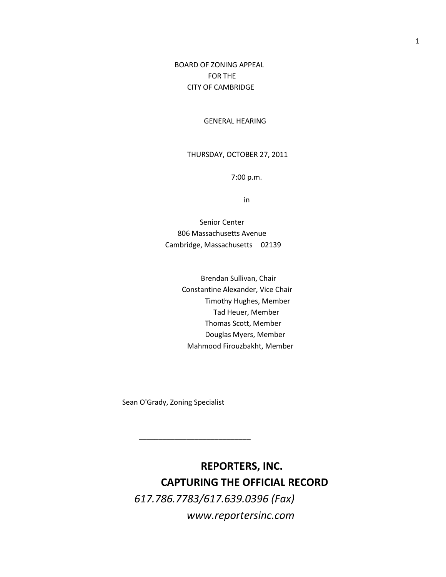## BOARD OF ZONING APPEAL FOR THE CITY OF CAMBRIDGE

#### GENERAL HEARING

### THURSDAY, OCTOBER 27, 2011

7:00 p.m.

in

 Senior Center 806 Massachusetts Avenue Cambridge, Massachusetts 02139

> Brendan Sullivan, Chair Constantine Alexander, Vice Chair Timothy Hughes, Member Tad Heuer, Member Thomas Scott, Member Douglas Myers, Member Mahmood Firouzbakht, Member

Sean O'Grady, Zoning Specialist

\_\_\_\_\_\_\_\_\_\_\_\_\_\_\_\_\_\_\_\_\_\_\_\_\_\_\_\_

**REPORTERS, INC. CAPTURING THE OFFICIAL RECORD** *617.786.7783/617.639.0396 (Fax) www.reportersinc.com*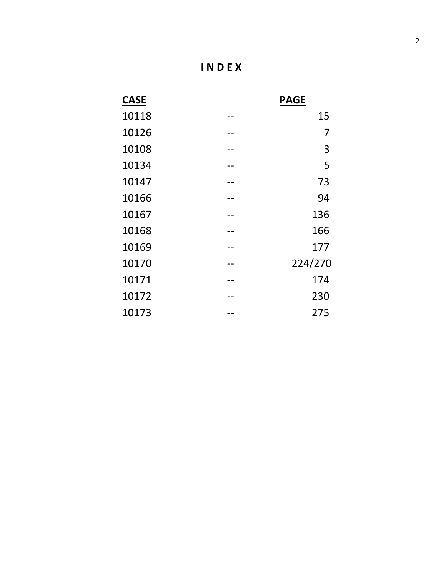| <b>CASE</b> | <b>PAGE</b> |
|-------------|-------------|
| 10118       | 15          |
| 10126       | 7           |
| 10108       | 3           |
| 10134       | 5           |
| 10147       | 73          |
| 10166       | 94          |
| 10167       | 136         |
| 10168       | 166         |
| 10169       | 177         |
| 10170       | 224/270     |
| 10171       | 174         |
| 10172       | 230         |
| 10173       | 275         |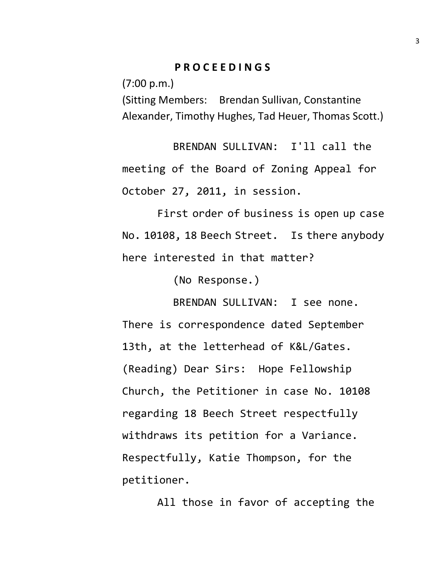# **P R O C E E D I N G S**

(7:00 p.m.)

(Sitting Members: Brendan Sullivan, Constantine Alexander, Timothy Hughes, Tad Heuer, Thomas Scott.)

BRENDAN SULLIVAN: I'll call the meeting of the Board of Zoning Appeal for October 27, 2011, in session.

First order of business is open up case No. 10108, 18 Beech Street. Is there anybody here interested in that matter?

(No Response.)

BRENDAN SULLIVAN: I see none. There is correspondence dated September 13th, at the letterhead of K&L/Gates. (Reading) Dear Sirs: Hope Fellowship Church, the Petitioner in case No. 10108 regarding 18 Beech Street respectfully withdraws its petition for a Variance. Respectfully, Katie Thompson, for the petitioner.

All those in favor of accepting the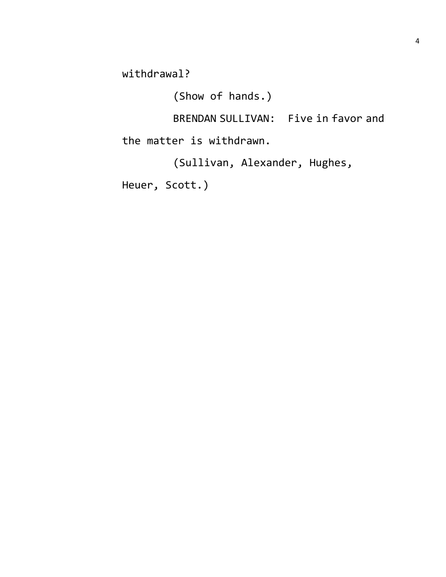withdrawal?

(Show of hands.)

BRENDAN SULLIVAN: Five in favor and the matter is withdrawn.

(Sullivan, Alexander, Hughes,

Heuer, Scott.)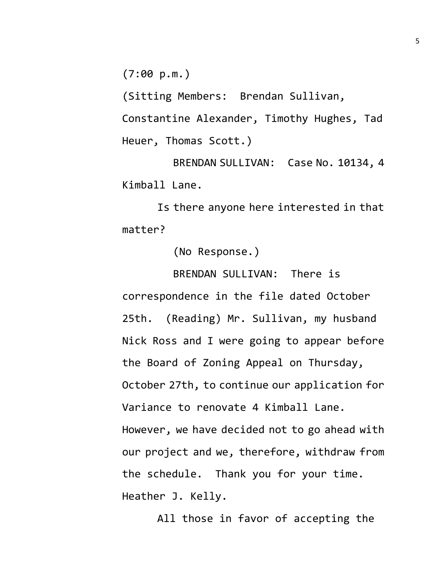(7:00 p.m.)

(Sitting Members: Brendan Sullivan,

Constantine Alexander, Timothy Hughes, Tad Heuer, Thomas Scott.)

BRENDAN SULLIVAN: Case No. 10134, 4 Kimball Lane.

Is there anyone here interested in that matter?

(No Response.)

BRENDAN SULLIVAN: There is correspondence in the file dated October 25th. (Reading) Mr. Sullivan, my husband Nick Ross and I were going to appear before the Board of Zoning Appeal on Thursday, October 27th, to continue our application for Variance to renovate 4 Kimball Lane. However, we have decided not to go ahead with our project and we, therefore, withdraw from the schedule. Thank you for your time. Heather J. Kelly.

All those in favor of accepting the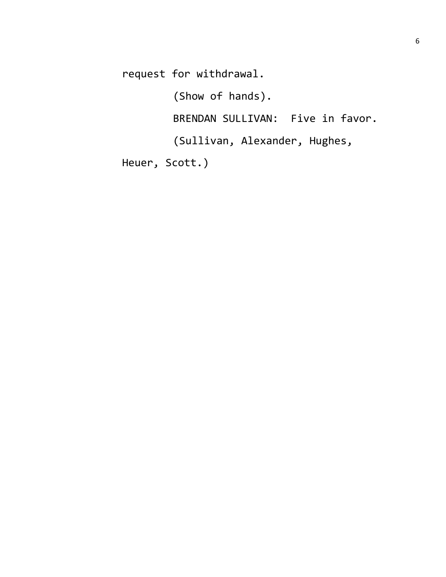request for withdrawal.

(Show of hands).

BRENDAN SULLIVAN: Five in favor.

(Sullivan, Alexander, Hughes,

Heuer, Scott.)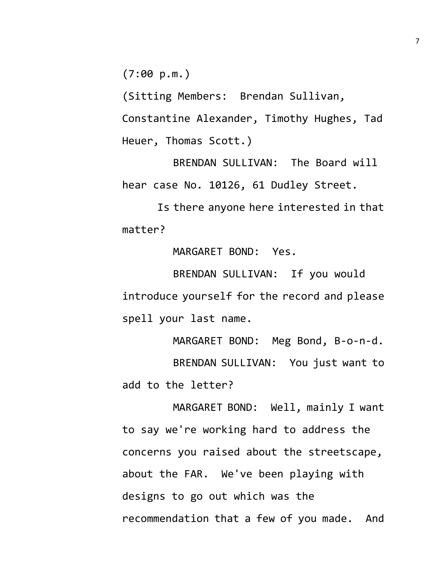(7:00 p.m.)

(Sitting Members: Brendan Sullivan, Constantine Alexander, Timothy Hughes, Tad Heuer, Thomas Scott.)

BRENDAN SULLIVAN: The Board will hear case No. 10126, 61 Dudley Street.

Is there anyone here interested in that matter?

MARGARET BOND: Yes.

BRENDAN SULLIVAN: If you would introduce yourself for the record and please spell your last name.

MARGARET BOND: Meg Bond, B-o-n-d. BRENDAN SULLIVAN: You just want to add to the letter?

MARGARET BOND: Well, mainly I want to say we're working hard to address the concerns you raised about the streetscape, about the FAR. We've been playing with designs to go out which was the recommendation that a few of you made. And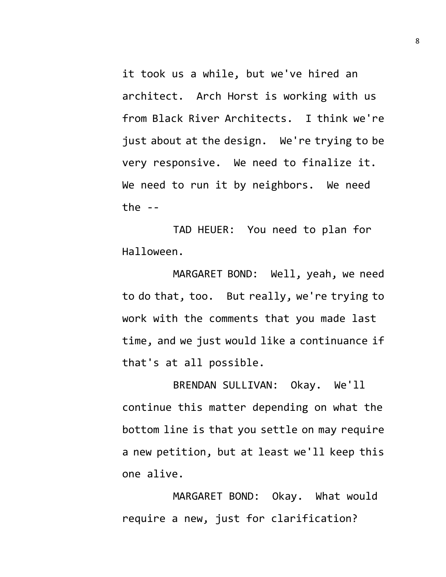it took us a while, but we've hired an architect. Arch Horst is working with us from Black River Architects. I think we're just about at the design. We're trying to be very responsive. We need to finalize it. We need to run it by neighbors. We need the  $-$ 

TAD HEUER: You need to plan for Halloween.

MARGARET BOND: Well, yeah, we need to do that, too. But really, we're trying to work with the comments that you made last time, and we just would like a continuance if that's at all possible.

BRENDAN SULLIVAN: Okay. We'll continue this matter depending on what the bottom line is that you settle on may require a new petition, but at least we'll keep this one alive.

MARGARET BOND: Okay. What would require a new, just for clarification?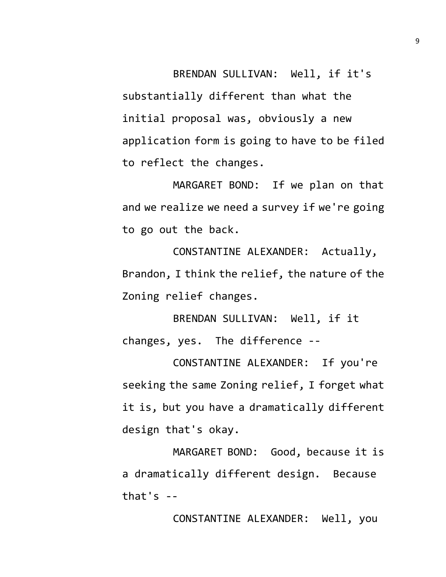BRENDAN SULLIVAN: Well, if it's substantially different than what the initial proposal was, obviously a new application form is going to have to be filed to reflect the changes.

MARGARET BOND: If we plan on that and we realize we need a survey if we're going to go out the back.

CONSTANTINE ALEXANDER: Actually, Brandon, I think the relief, the nature of the Zoning relief changes.

BRENDAN SULLIVAN: Well, if it changes, yes. The difference --

CONSTANTINE ALEXANDER: If you're seeking the same Zoning relief, I forget what it is, but you have a dramatically different design that's okay.

MARGARET BOND: Good, because it is a dramatically different design. Because that's  $-$ 

CONSTANTINE ALEXANDER: Well, you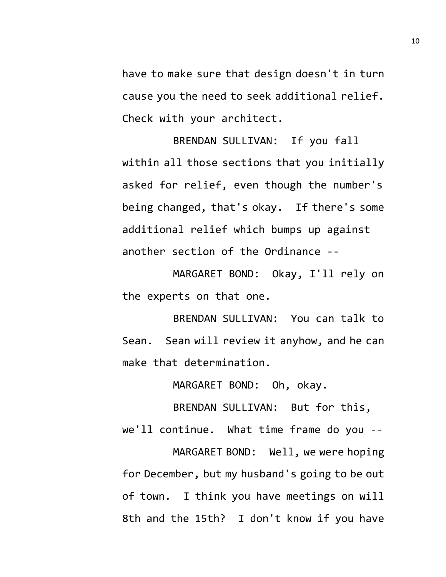have to make sure that design doesn't in turn cause you the need to seek additional relief. Check with your architect.

BRENDAN SULLIVAN: If you fall within all those sections that you initially asked for relief, even though the number's being changed, that's okay. If there's some additional relief which bumps up against another section of the Ordinance --

MARGARET BOND: Okay, I'll rely on the experts on that one.

BRENDAN SULLIVAN: You can talk to Sean. Sean will review it anyhow, and he can make that determination.

MARGARET BOND: Oh, okay.

BRENDAN SULLIVAN: But for this, we'll continue. What time frame do you -- MARGARET BOND: Well, we were hoping for December, but my husband's going to be out of town. I think you have meetings on will 8th and the 15th? I don't know if you have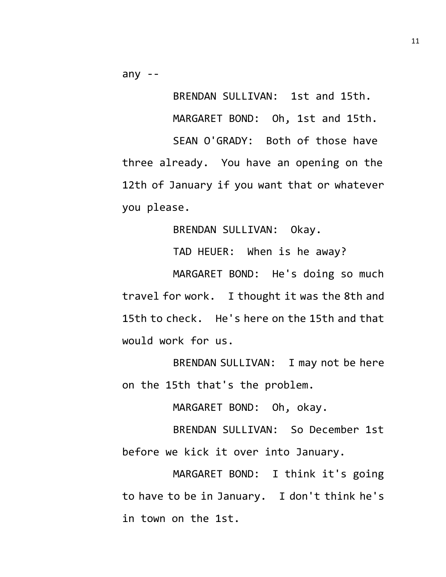any --

BRENDAN SULLIVAN: 1st and 15th. MARGARET BOND: Oh, 1st and 15th. SEAN O'GRADY: Both of those have three already. You have an opening on the 12th of January if you want that or whatever you please.

BRENDAN SULLIVAN: Okay.

TAD HEUER: When is he away?

MARGARET BOND: He's doing so much travel for work. I thought it was the 8th and 15th to check. He's here on the 15th and that would work for us.

BRENDAN SULLIVAN: I may not be here on the 15th that's the problem.

MARGARET BOND: Oh, okay.

BRENDAN SULLIVAN: So December 1st before we kick it over into January.

MARGARET BOND: I think it's going to have to be in January. I don't think he's in town on the 1st.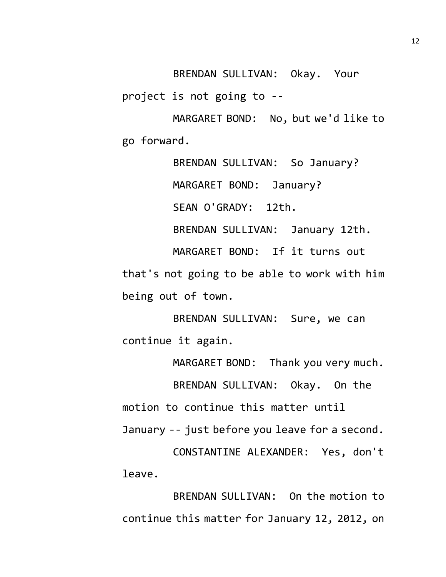BRENDAN SULLIVAN: Okay. Your

project is not going to --

MARGARET BOND: No, but we'd like to go forward.

BRENDAN SULLIVAN: So January? MARGARET BOND: January? SEAN O'GRADY: 12th. BRENDAN SULLIVAN: January 12th. MARGARET BOND: If it turns out that's not going to be able to work with him being out of town.

BRENDAN SULLIVAN: Sure, we can continue it again.

MARGARET BOND: Thank you very much. BRENDAN SULLIVAN: Okay. On the motion to continue this matter until January -- just before you leave for a second.

CONSTANTINE ALEXANDER: Yes, don't leave.

BRENDAN SULLIVAN: On the motion to continue this matter for January 12, 2012, on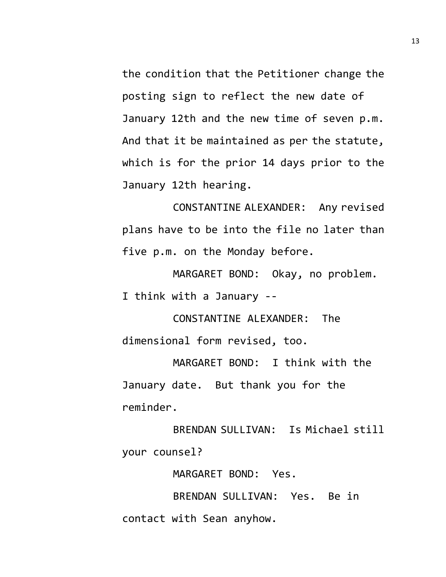the condition that the Petitioner change the posting sign to reflect the new date of January 12th and the new time of seven p.m. And that it be maintained as per the statute, which is for the prior 14 days prior to the January 12th hearing.

CONSTANTINE ALEXANDER: Any revised plans have to be into the file no later than five p.m. on the Monday before.

MARGARET BOND: Okay, no problem. I think with a January --

CONSTANTINE ALEXANDER: The dimensional form revised, too.

MARGARET BOND: I think with the January date. But thank you for the reminder.

BRENDAN SULLIVAN: Is Michael still your counsel?

MARGARET BOND: Yes.

BRENDAN SULLIVAN: Yes. Be in contact with Sean anyhow.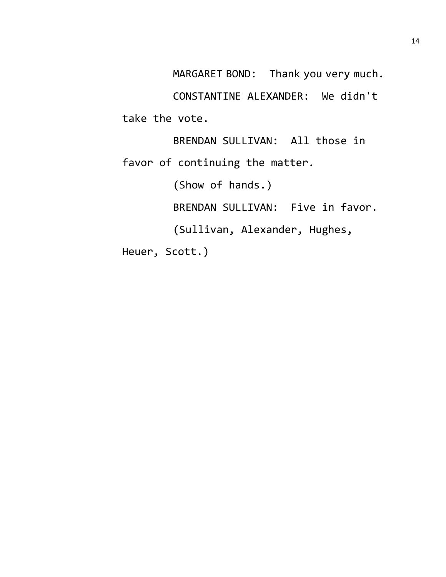MARGARET BOND: Thank you very much.

CONSTANTINE ALEXANDER: We didn't take the vote.

BRENDAN SULLIVAN: All those in favor of continuing the matter. (Show of hands.)

BRENDAN SULLIVAN: Five in favor.

(Sullivan, Alexander, Hughes,

Heuer, Scott.)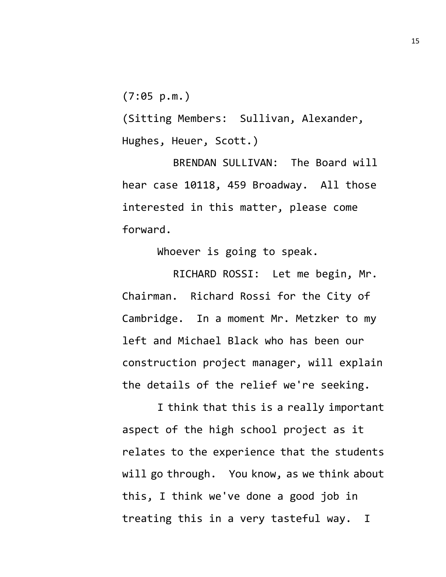(7:05 p.m.)

(Sitting Members: Sullivan, Alexander, Hughes, Heuer, Scott.)

BRENDAN SULLIVAN: The Board will hear case 10118, 459 Broadway. All those interested in this matter, please come forward.

Whoever is going to speak.

RICHARD ROSSI: Let me begin, Mr. Chairman. Richard Rossi for the City of Cambridge. In a moment Mr. Metzker to my left and Michael Black who has been our construction project manager, will explain the details of the relief we're seeking.

I think that this is a really important aspect of the high school project as it relates to the experience that the students will go through. You know, as we think about this, I think we've done a good job in treating this in a very tasteful way. I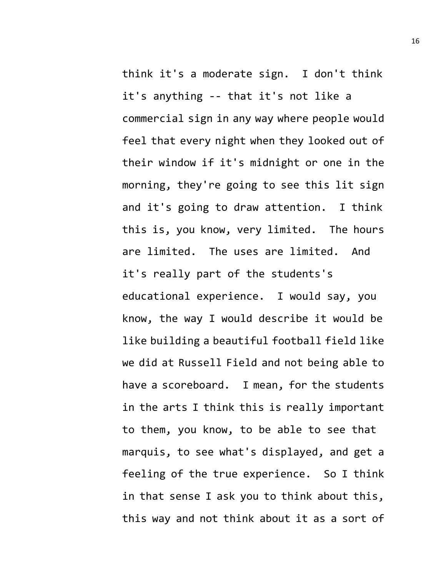think it's a moderate sign. I don't think it's anything -- that it's not like a commercial sign in any way where people would feel that every night when they looked out of their window if it's midnight or one in the morning, they're going to see this lit sign and it's going to draw attention. I think this is, you know, very limited. The hours are limited. The uses are limited. And it's really part of the students's educational experience. I would say, you know, the way I would describe it would be like building a beautiful football field like we did at Russell Field and not being able to have a scoreboard. I mean, for the students in the arts I think this is really important to them, you know, to be able to see that marquis, to see what's displayed, and get a feeling of the true experience. So I think in that sense I ask you to think about this, this way and not think about it as a sort of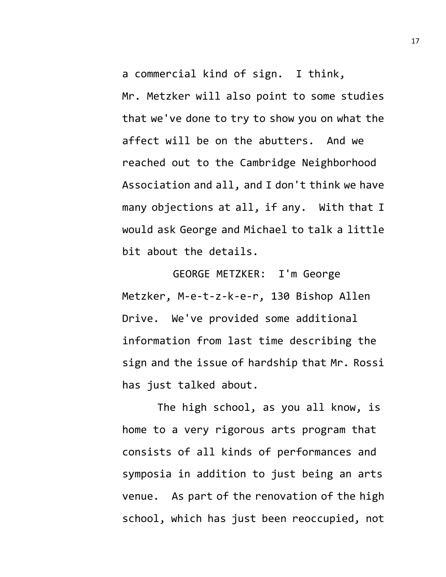a commercial kind of sign. I think, Mr. Metzker will also point to some studies that we've done to try to show you on what the affect will be on the abutters. And we reached out to the Cambridge Neighborhood Association and all, and I don't think we have many objections at all, if any. With that I would ask George and Michael to talk a little bit about the details.

GEORGE METZKER: I'm George Metzker, M-e-t-z-k-e-r, 130 Bishop Allen Drive. We've provided some additional information from last time describing the sign and the issue of hardship that Mr. Rossi has just talked about.

The high school, as you all know, is home to a very rigorous arts program that consists of all kinds of performances and symposia in addition to just being an arts venue. As part of the renovation of the high school, which has just been reoccupied, not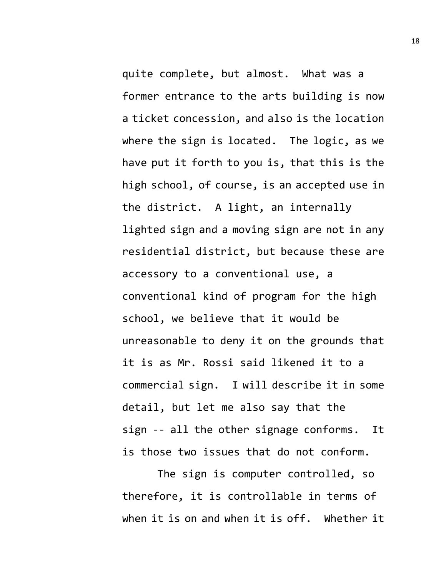quite complete, but almost. What was a former entrance to the arts building is now a ticket concession, and also is the location where the sign is located. The logic, as we have put it forth to you is, that this is the high school, of course, is an accepted use in the district. A light, an internally lighted sign and a moving sign are not in any residential district, but because these are accessory to a conventional use, a conventional kind of program for the high school, we believe that it would be unreasonable to deny it on the grounds that it is as Mr. Rossi said likened it to a commercial sign. I will describe it in some detail, but let me also say that the sign -- all the other signage conforms. It is those two issues that do not conform.

The sign is computer controlled, so therefore, it is controllable in terms of when it is on and when it is off. Whether it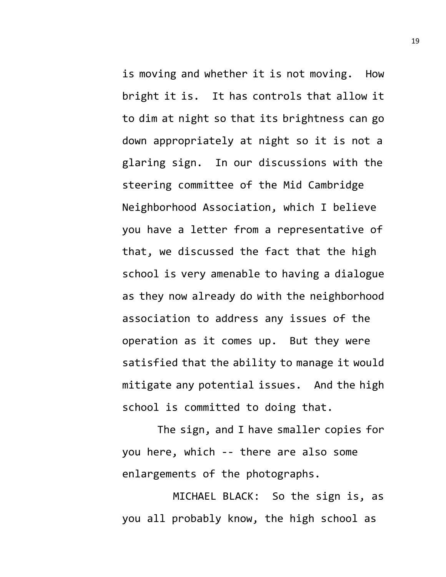is moving and whether it is not moving. How bright it is. It has controls that allow it to dim at night so that its brightness can go down appropriately at night so it is not a glaring sign. In our discussions with the steering committee of the Mid Cambridge Neighborhood Association, which I believe you have a letter from a representative of that, we discussed the fact that the high school is very amenable to having a dialogue as they now already do with the neighborhood association to address any issues of the operation as it comes up. But they were satisfied that the ability to manage it would mitigate any potential issues. And the high school is committed to doing that.

The sign, and I have smaller copies for you here, which -- there are also some enlargements of the photographs.

MICHAEL BLACK: So the sign is, as you all probably know, the high school as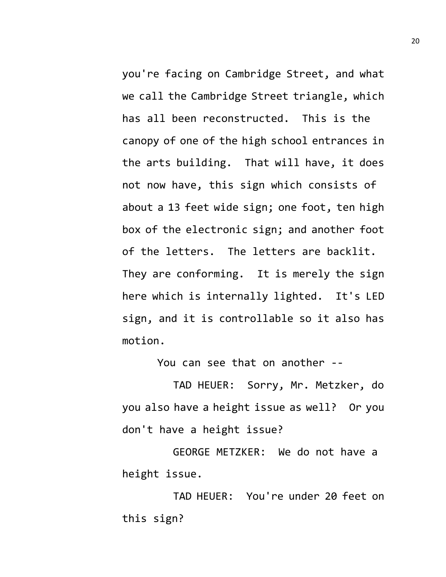you're facing on Cambridge Street, and what we call the Cambridge Street triangle, which has all been reconstructed. This is the canopy of one of the high school entrances in the arts building. That will have, it does not now have, this sign which consists of about a 13 feet wide sign; one foot, ten high box of the electronic sign; and another foot of the letters. The letters are backlit. They are conforming. It is merely the sign here which is internally lighted. It's LED sign, and it is controllable so it also has motion.

You can see that on another --

TAD HEUER: Sorry, Mr. Metzker, do you also have a height issue as well? Or you don't have a height issue?

GEORGE METZKER: We do not have a height issue.

TAD HEUER: You're under 20 feet on this sign?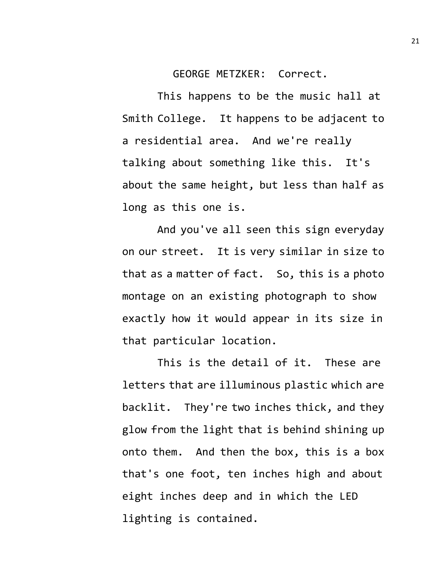GEORGE METZKER: Correct.

This happens to be the music hall at Smith College. It happens to be adjacent to a residential area. And we're really talking about something like this. It's about the same height, but less than half as long as this one is.

And you've all seen this sign everyday on our street. It is very similar in size to that as a matter of fact. So, this is a photo montage on an existing photograph to show exactly how it would appear in its size in that particular location.

This is the detail of it. These are letters that are illuminous plastic which are backlit. They're two inches thick, and they glow from the light that is behind shining up onto them. And then the box, this is a box that's one foot, ten inches high and about eight inches deep and in which the LED lighting is contained.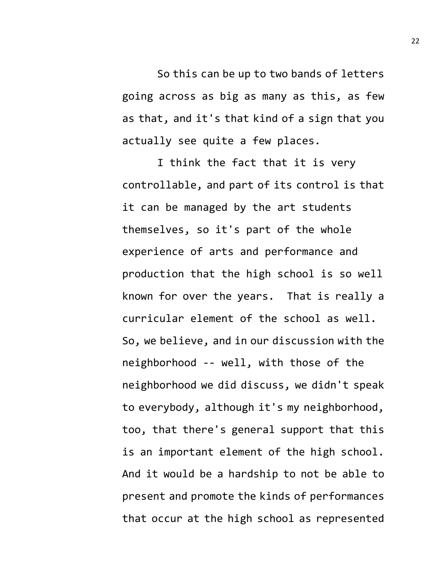So this can be up to two bands of letters going across as big as many as this, as few as that, and it's that kind of a sign that you actually see quite a few places.

I think the fact that it is very controllable, and part of its control is that it can be managed by the art students themselves, so it's part of the whole experience of arts and performance and production that the high school is so well known for over the years. That is really a curricular element of the school as well. So, we believe, and in our discussion with the neighborhood -- well, with those of the neighborhood we did discuss, we didn't speak to everybody, although it's my neighborhood, too, that there's general support that this is an important element of the high school. And it would be a hardship to not be able to present and promote the kinds of performances that occur at the high school as represented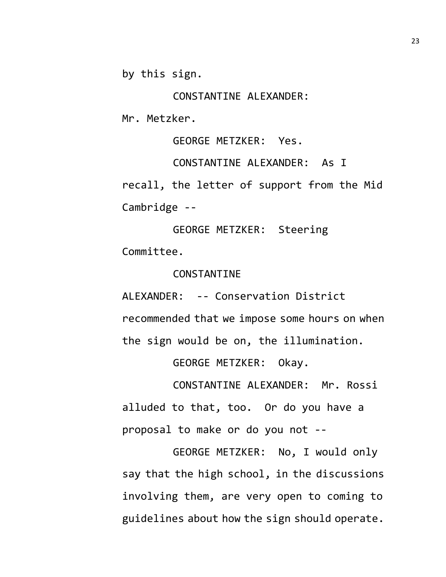by this sign.

CONSTANTINE ALEXANDER:

Mr. Metzker.

GEORGE METZKER: Yes.

CONSTANTINE ALEXANDER: As I recall, the letter of support from the Mid Cambridge --

GEORGE METZKER: Steering Committee.

### CONSTANTINE

ALEXANDER: -- Conservation District recommended that we impose some hours on when the sign would be on, the illumination.

GEORGE METZKER: Okay.

CONSTANTINE ALEXANDER: Mr. Rossi alluded to that, too. Or do you have a proposal to make or do you not --

GEORGE METZKER: No, I would only say that the high school, in the discussions involving them, are very open to coming to guidelines about how the sign should operate.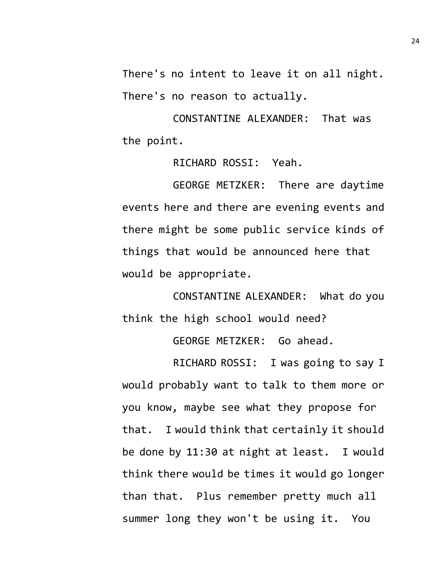There's no intent to leave it on all night. There's no reason to actually.

CONSTANTINE ALEXANDER: That was the point.

RICHARD ROSSI: Yeah.

GEORGE METZKER: There are daytime events here and there are evening events and there might be some public service kinds of things that would be announced here that would be appropriate.

CONSTANTINE ALEXANDER: What do you think the high school would need?

GEORGE METZKER: Go ahead.

RICHARD ROSSI: I was going to say I would probably want to talk to them more or you know, maybe see what they propose for that. I would think that certainly it should be done by 11:30 at night at least. I would think there would be times it would go longer than that. Plus remember pretty much all summer long they won't be using it. You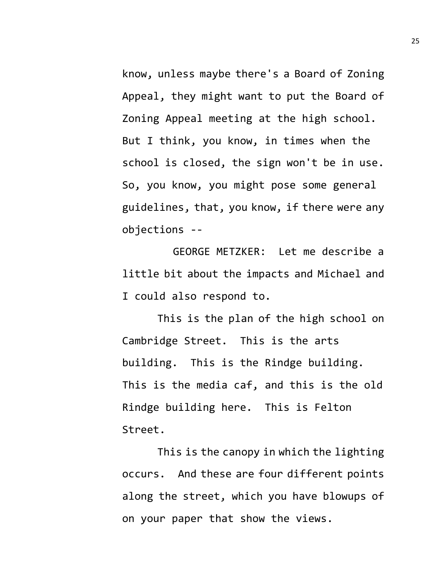know, unless maybe there's a Board of Zoning Appeal, they might want to put the Board of Zoning Appeal meeting at the high school. But I think, you know, in times when the school is closed, the sign won't be in use. So, you know, you might pose some general guidelines, that, you know, if there were any objections --

GEORGE METZKER: Let me describe a little bit about the impacts and Michael and I could also respond to.

This is the plan of the high school on Cambridge Street. This is the arts building. This is the Rindge building. This is the media caf, and this is the old Rindge building here. This is Felton Street.

This is the canopy in which the lighting occurs. And these are four different points along the street, which you have blowups of on your paper that show the views.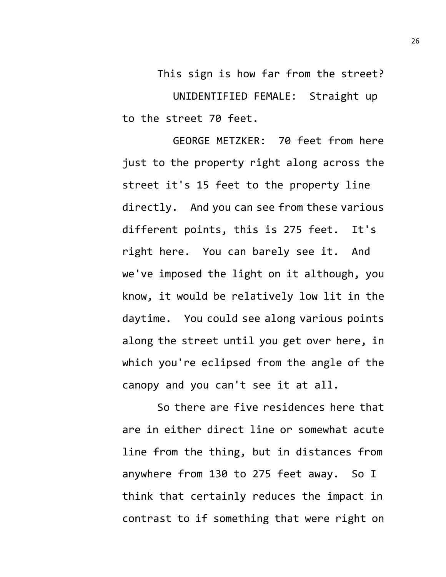This sign is how far from the street? UNIDENTIFIED FEMALE: Straight up to the street 70 feet.

GEORGE METZKER: 70 feet from here just to the property right along across the street it's 15 feet to the property line directly. And you can see from these various different points, this is 275 feet. It's right here. You can barely see it. And we've imposed the light on it although, you know, it would be relatively low lit in the daytime. You could see along various points along the street until you get over here, in which you're eclipsed from the angle of the canopy and you can't see it at all.

So there are five residences here that are in either direct line or somewhat acute line from the thing, but in distances from anywhere from 130 to 275 feet away. So I think that certainly reduces the impact in contrast to if something that were right on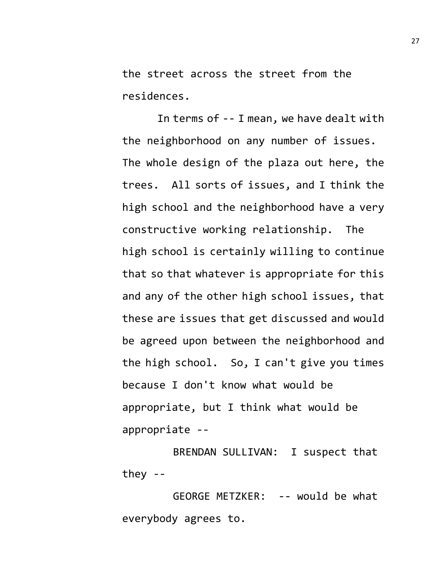the street across the street from the residences.

In terms of -- I mean, we have dealt with the neighborhood on any number of issues. The whole design of the plaza out here, the trees. All sorts of issues, and I think the high school and the neighborhood have a very constructive working relationship. The high school is certainly willing to continue that so that whatever is appropriate for this and any of the other high school issues, that these are issues that get discussed and would be agreed upon between the neighborhood and the high school. So, I can't give you times because I don't know what would be appropriate, but I think what would be appropriate --

BRENDAN SULLIVAN: I suspect that they --

GEORGE METZKER: -- would be what everybody agrees to.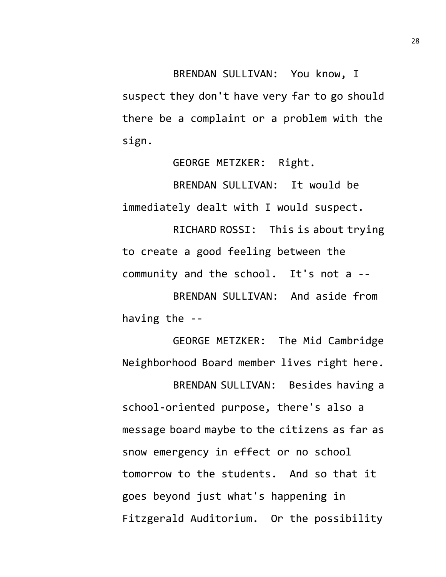BRENDAN SULLIVAN: You know, I suspect they don't have very far to go should there be a complaint or a problem with the sign.

GEORGE METZKER: Right.

BRENDAN SULLIVAN: It would be immediately dealt with I would suspect.

RICHARD ROSSI: This is about trying to create a good feeling between the community and the school. It's not a --

BRENDAN SULLIVAN: And aside from having the --

GEORGE METZKER: The Mid Cambridge Neighborhood Board member lives right here.

BRENDAN SULLIVAN: Besides having a school-oriented purpose, there's also a message board maybe to the citizens as far as snow emergency in effect or no school tomorrow to the students. And so that it goes beyond just what's happening in Fitzgerald Auditorium. Or the possibility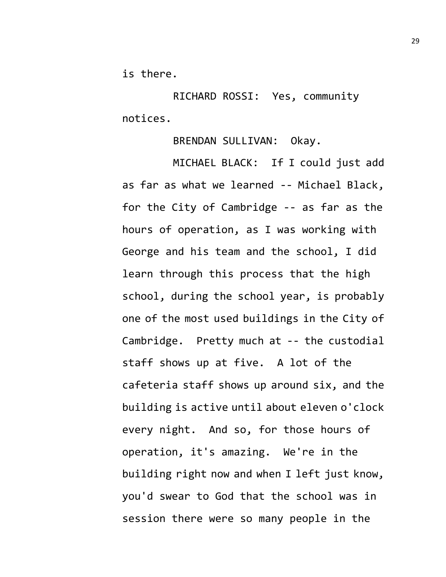is there.

RICHARD ROSSI: Yes, community notices.

BRENDAN SULLIVAN: Okay.

MICHAEL BLACK: If I could just add as far as what we learned -- Michael Black, for the City of Cambridge -- as far as the hours of operation, as I was working with George and his team and the school, I did learn through this process that the high school, during the school year, is probably one of the most used buildings in the City of Cambridge. Pretty much at -- the custodial staff shows up at five. A lot of the cafeteria staff shows up around six, and the building is active until about eleven o'clock every night. And so, for those hours of operation, it's amazing. We're in the building right now and when I left just know, you'd swear to God that the school was in session there were so many people in the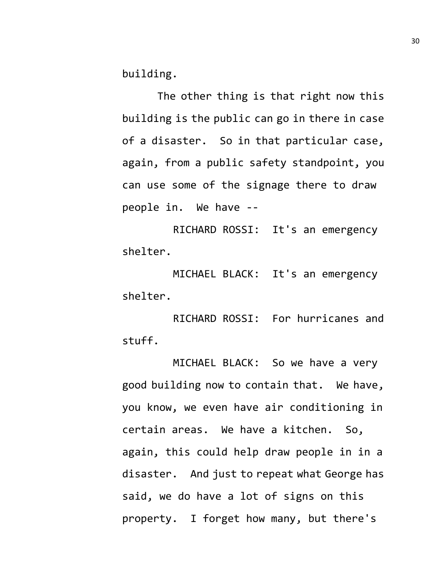building.

The other thing is that right now this building is the public can go in there in case of a disaster. So in that particular case, again, from a public safety standpoint, you can use some of the signage there to draw people in. We have --

RICHARD ROSSI: It's an emergency shelter.

MICHAEL BLACK: It's an emergency shelter.

RICHARD ROSSI: For hurricanes and stuff.

MICHAEL BLACK: So we have a very good building now to contain that. We have, you know, we even have air conditioning in certain areas. We have a kitchen. So, again, this could help draw people in in a disaster. And just to repeat what George has said, we do have a lot of signs on this property. I forget how many, but there's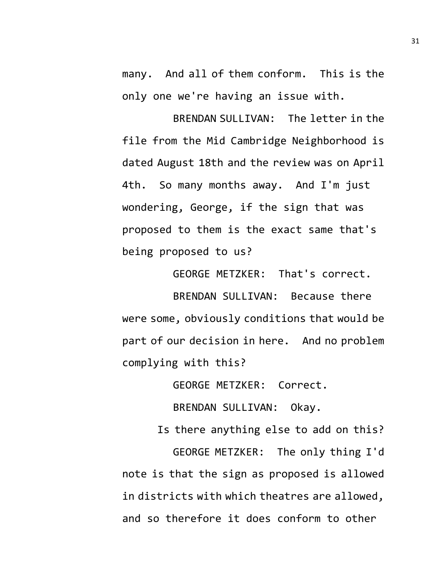many. And all of them conform. This is the only one we're having an issue with.

BRENDAN SULLIVAN: The letter in the file from the Mid Cambridge Neighborhood is dated August 18th and the review was on April 4th. So many months away. And I'm just wondering, George, if the sign that was proposed to them is the exact same that's being proposed to us?

BRENDAN SULLIVAN: Because there were some, obviously conditions that would be part of our decision in here. And no problem complying with this?

GEORGE METZKER: That's correct.

GEORGE METZKER: Correct.

BRENDAN SULLIVAN: Okay.

Is there anything else to add on this?

GEORGE METZKER: The only thing I'd note is that the sign as proposed is allowed in districts with which theatres are allowed, and so therefore it does conform to other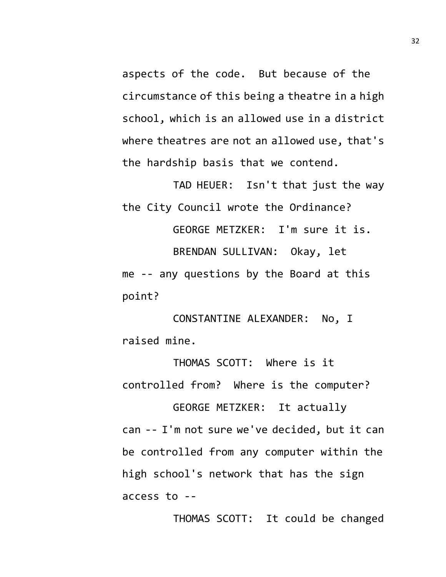aspects of the code. But because of the circumstance of this being a theatre in a high school, which is an allowed use in a district where theatres are not an allowed use, that's the hardship basis that we contend.

TAD HEUER: Isn't that just the way the City Council wrote the Ordinance?

GEORGE METZKER: I'm sure it is. BRENDAN SULLIVAN: Okay, let me -- any questions by the Board at this point?

CONSTANTINE ALEXANDER: No, I raised mine.

THOMAS SCOTT: Where is it controlled from? Where is the computer?

GEORGE METZKER: It actually can -- I'm not sure we've decided, but it can be controlled from any computer within the high school's network that has the sign access to --

THOMAS SCOTT: It could be changed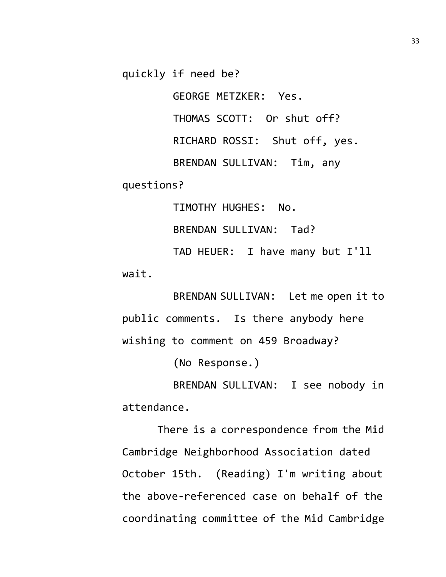quickly if need be?

GEORGE METZKER: Yes.

THOMAS SCOTT: Or shut off?

RICHARD ROSSI: Shut off, yes.

BRENDAN SULLIVAN: Tim, any

questions?

TIMOTHY HUGHES: No. BRENDAN SULLIVAN: Tad? TAD HEUER: I have many but I'll wait.

BRENDAN SULLIVAN: Let me open it to public comments. Is there anybody here wishing to comment on 459 Broadway?

(No Response.)

BRENDAN SULLIVAN: I see nobody in attendance.

There is a correspondence from the Mid Cambridge Neighborhood Association dated October 15th. (Reading) I'm writing about the above-referenced case on behalf of the coordinating committee of the Mid Cambridge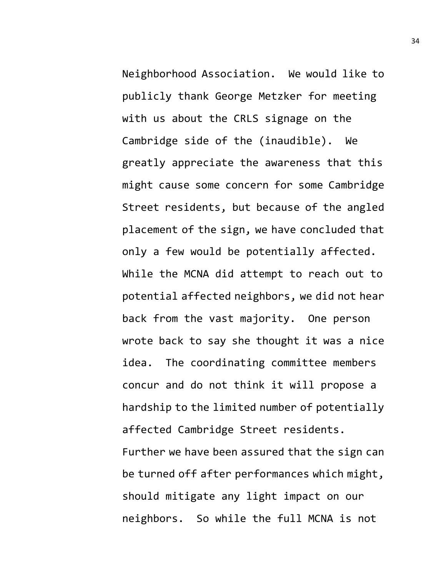Neighborhood Association. We would like to publicly thank George Metzker for meeting with us about the CRLS signage on the Cambridge side of the (inaudible). We greatly appreciate the awareness that this might cause some concern for some Cambridge Street residents, but because of the angled placement of the sign, we have concluded that only a few would be potentially affected. While the MCNA did attempt to reach out to potential affected neighbors, we did not hear back from the vast majority. One person wrote back to say she thought it was a nice idea. The coordinating committee members concur and do not think it will propose a hardship to the limited number of potentially affected Cambridge Street residents. Further we have been assured that the sign can be turned off after performances which might, should mitigate any light impact on our neighbors. So while the full MCNA is not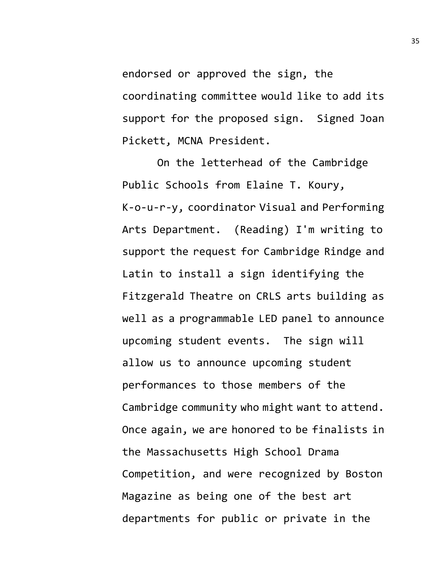endorsed or approved the sign, the coordinating committee would like to add its support for the proposed sign. Signed Joan Pickett, MCNA President.

On the letterhead of the Cambridge Public Schools from Elaine T. Koury, K-o-u-r-y, coordinator Visual and Performing Arts Department. (Reading) I'm writing to support the request for Cambridge Rindge and Latin to install a sign identifying the Fitzgerald Theatre on CRLS arts building as well as a programmable LED panel to announce upcoming student events. The sign will allow us to announce upcoming student performances to those members of the Cambridge community who might want to attend. Once again, we are honored to be finalists in the Massachusetts High School Drama Competition, and were recognized by Boston Magazine as being one of the best art departments for public or private in the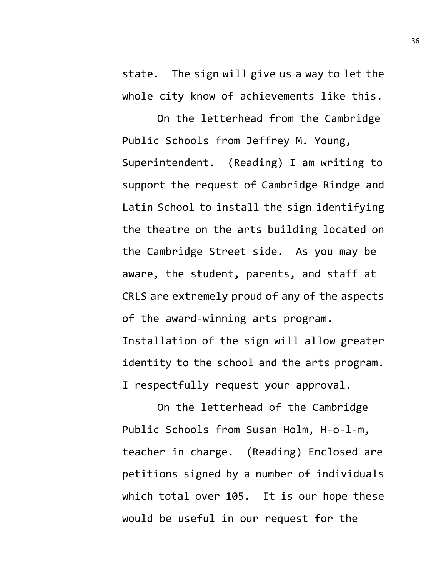state. The sign will give us a way to let the whole city know of achievements like this.

On the letterhead from the Cambridge Public Schools from Jeffrey M. Young, Superintendent. (Reading) I am writing to support the request of Cambridge Rindge and Latin School to install the sign identifying the theatre on the arts building located on the Cambridge Street side. As you may be aware, the student, parents, and staff at CRLS are extremely proud of any of the aspects of the award-winning arts program. Installation of the sign will allow greater identity to the school and the arts program. I respectfully request your approval.

On the letterhead of the Cambridge Public Schools from Susan Holm, H-o-l-m, teacher in charge. (Reading) Enclosed are petitions signed by a number of individuals which total over 105. It is our hope these would be useful in our request for the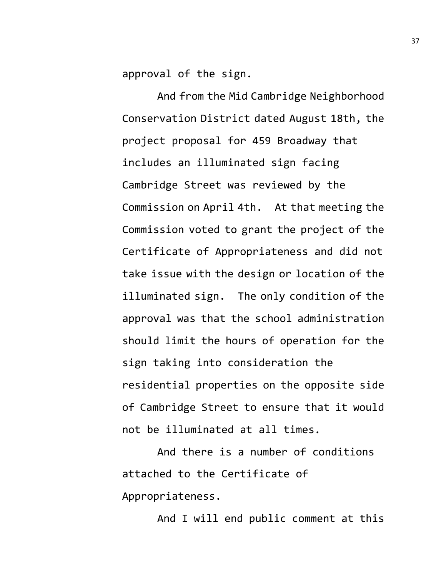approval of the sign.

And from the Mid Cambridge Neighborhood Conservation District dated August 18th, the project proposal for 459 Broadway that includes an illuminated sign facing Cambridge Street was reviewed by the Commission on April 4th. At that meeting the Commission voted to grant the project of the Certificate of Appropriateness and did not take issue with the design or location of the illuminated sign. The only condition of the approval was that the school administration should limit the hours of operation for the sign taking into consideration the residential properties on the opposite side of Cambridge Street to ensure that it would not be illuminated at all times.

And there is a number of conditions attached to the Certificate of Appropriateness.

And I will end public comment at this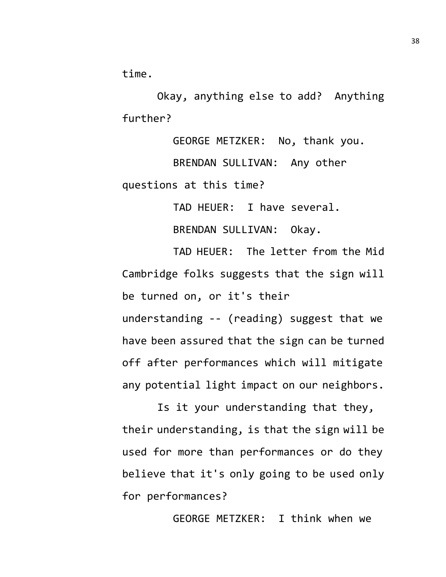time.

Okay, anything else to add? Anything further?

GEORGE METZKER: No, thank you. BRENDAN SULLIVAN: Any other questions at this time?

TAD HEUER: I have several.

BRENDAN SULLIVAN: Okay.

TAD HEUER: The letter from the Mid Cambridge folks suggests that the sign will be turned on, or it's their

understanding -- (reading) suggest that we have been assured that the sign can be turned off after performances which will mitigate any potential light impact on our neighbors.

Is it your understanding that they, their understanding, is that the sign will be used for more than performances or do they believe that it's only going to be used only for performances?

GEORGE METZKER: I think when we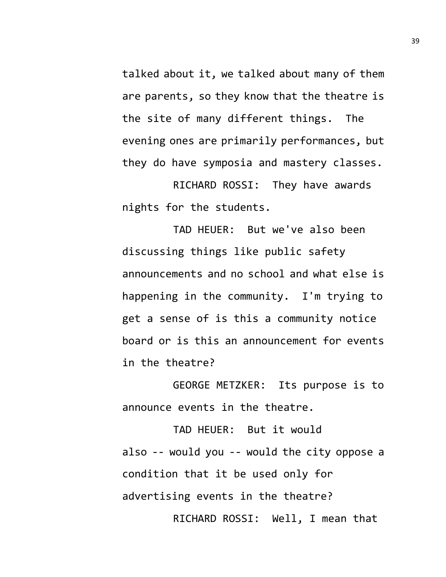talked about it, we talked about many of them are parents, so they know that the theatre is the site of many different things. The evening ones are primarily performances, but they do have symposia and mastery classes.

RICHARD ROSSI: They have awards nights for the students.

TAD HEUER: But we've also been discussing things like public safety announcements and no school and what else is happening in the community. I'm trying to get a sense of is this a community notice board or is this an announcement for events in the theatre?

GEORGE METZKER: Its purpose is to announce events in the theatre.

TAD HEUER: But it would also -- would you -- would the city oppose a condition that it be used only for advertising events in the theatre? RICHARD ROSSI: Well, I mean that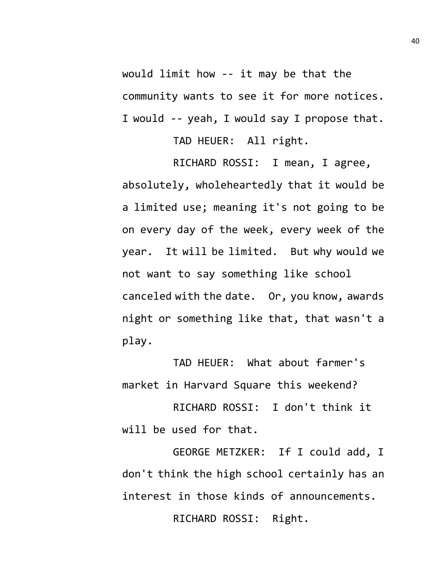would limit how -- it may be that the community wants to see it for more notices. I would -- yeah, I would say I propose that.

TAD HEUER: All right.

RICHARD ROSSI: I mean, I agree, absolutely, wholeheartedly that it would be a limited use; meaning it's not going to be on every day of the week, every week of the year. It will be limited. But why would we not want to say something like school canceled with the date. Or, you know, awards night or something like that, that wasn't a play.

TAD HEUER: What about farmer's market in Harvard Square this weekend?

RICHARD ROSSI: I don't think it will be used for that.

GEORGE METZKER: If I could add, I don't think the high school certainly has an interest in those kinds of announcements. RICHARD ROSSI: Right.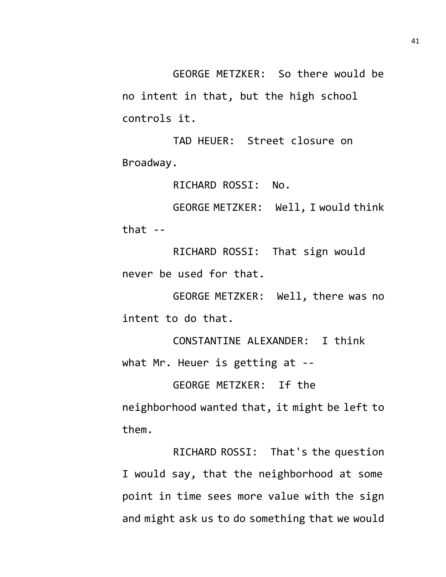GEORGE METZKER: So there would be no intent in that, but the high school controls it.

TAD HEUER: Street closure on Broadway.

RICHARD ROSSI: No.

GEORGE METZKER: Well, I would think that  $-$ 

RICHARD ROSSI: That sign would never be used for that.

GEORGE METZKER: Well, there was no intent to do that.

CONSTANTINE ALEXANDER: I think what Mr. Heuer is getting at --

GEORGE METZKER: If the neighborhood wanted that, it might be left to them.

RICHARD ROSSI: That's the question I would say, that the neighborhood at some point in time sees more value with the sign and might ask us to do something that we would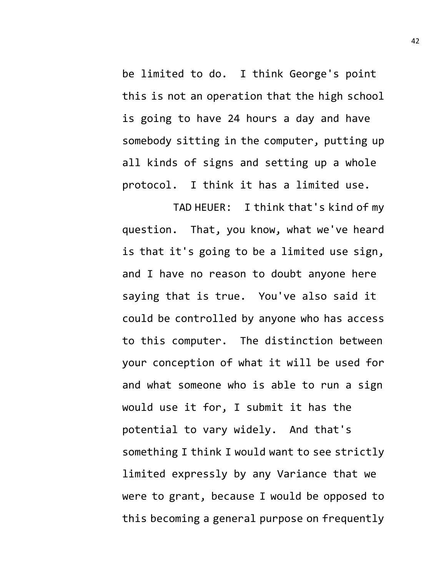be limited to do. I think George's point this is not an operation that the high school is going to have 24 hours a day and have somebody sitting in the computer, putting up all kinds of signs and setting up a whole protocol. I think it has a limited use.

TAD HEUER: I think that's kind of my question. That, you know, what we've heard is that it's going to be a limited use sign, and I have no reason to doubt anyone here saying that is true. You've also said it could be controlled by anyone who has access to this computer. The distinction between your conception of what it will be used for and what someone who is able to run a sign would use it for, I submit it has the potential to vary widely. And that's something I think I would want to see strictly limited expressly by any Variance that we were to grant, because I would be opposed to this becoming a general purpose on frequently 42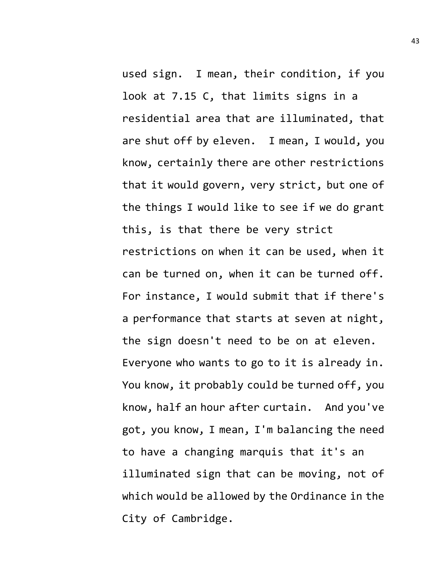used sign. I mean, their condition, if you look at 7.15 C, that limits signs in a residential area that are illuminated, that are shut off by eleven. I mean, I would, you know, certainly there are other restrictions that it would govern, very strict, but one of the things I would like to see if we do grant this, is that there be very strict restrictions on when it can be used, when it can be turned on, when it can be turned off. For instance, I would submit that if there's a performance that starts at seven at night, the sign doesn't need to be on at eleven. Everyone who wants to go to it is already in. You know, it probably could be turned off, you know, half an hour after curtain. And you've got, you know, I mean, I'm balancing the need to have a changing marquis that it's an illuminated sign that can be moving, not of which would be allowed by the Ordinance in the City of Cambridge.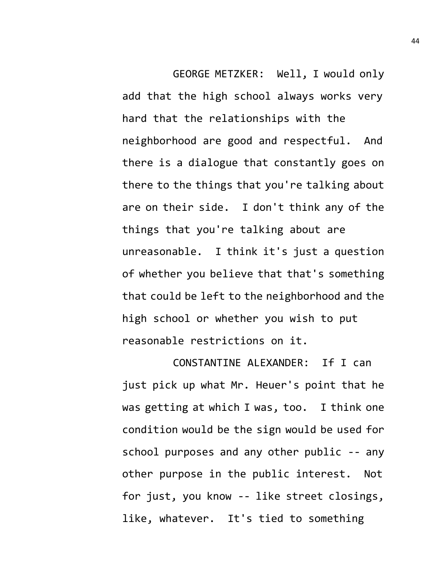GEORGE METZKER: Well, I would only add that the high school always works very hard that the relationships with the neighborhood are good and respectful. And there is a dialogue that constantly goes on there to the things that you're talking about are on their side. I don't think any of the things that you're talking about are unreasonable. I think it's just a question of whether you believe that that's something that could be left to the neighborhood and the high school or whether you wish to put reasonable restrictions on it.

CONSTANTINE ALEXANDER: If I can just pick up what Mr. Heuer's point that he was getting at which I was, too. I think one condition would be the sign would be used for school purposes and any other public -- any other purpose in the public interest. Not for just, you know -- like street closings, like, whatever. It's tied to something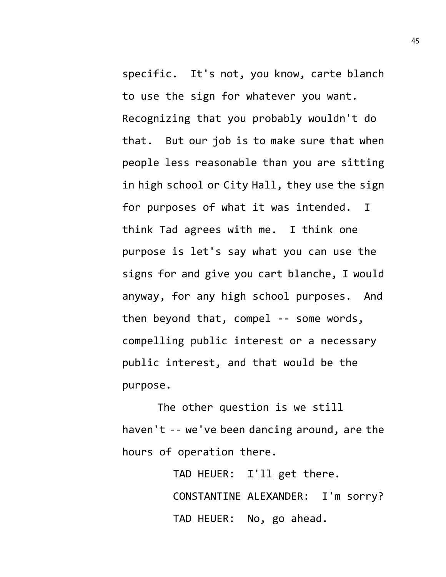specific. It's not, you know, carte blanch to use the sign for whatever you want. Recognizing that you probably wouldn't do that. But our job is to make sure that when people less reasonable than you are sitting in high school or City Hall, they use the sign for purposes of what it was intended. I think Tad agrees with me. I think one purpose is let's say what you can use the signs for and give you cart blanche, I would anyway, for any high school purposes. And then beyond that, compel -- some words, compelling public interest or a necessary public interest, and that would be the purpose.

The other question is we still haven't -- we've been dancing around, are the hours of operation there.

> TAD HEUER: I'll get there. CONSTANTINE ALEXANDER: I'm sorry? TAD HEUER: No, go ahead.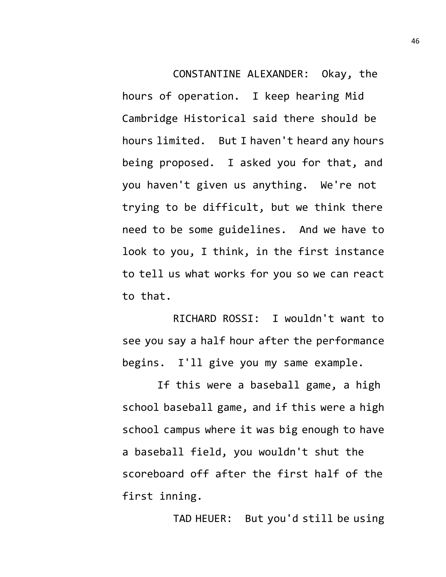CONSTANTINE ALEXANDER: Okay, the hours of operation. I keep hearing Mid Cambridge Historical said there should be hours limited. But I haven't heard any hours being proposed. I asked you for that, and you haven't given us anything. We're not trying to be difficult, but we think there need to be some guidelines. And we have to look to you, I think, in the first instance to tell us what works for you so we can react to that.

RICHARD ROSSI: I wouldn't want to see you say a half hour after the performance begins. I'll give you my same example.

If this were a baseball game, a high school baseball game, and if this were a high school campus where it was big enough to have a baseball field, you wouldn't shut the scoreboard off after the first half of the first inning.

TAD HEUER: But you'd still be using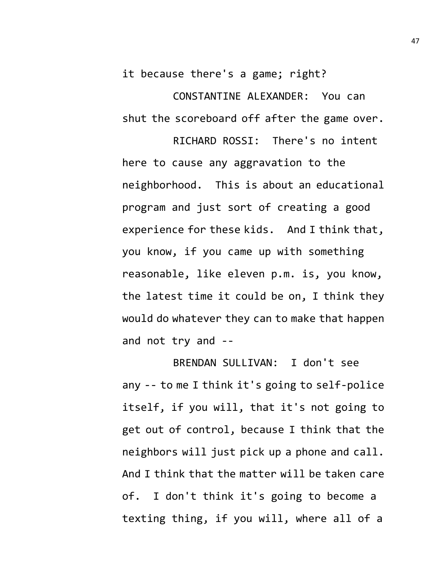it because there's a game; right?

CONSTANTINE ALEXANDER: You can shut the scoreboard off after the game over.

RICHARD ROSSI: There's no intent here to cause any aggravation to the neighborhood. This is about an educational program and just sort of creating a good experience for these kids. And I think that, you know, if you came up with something reasonable, like eleven p.m. is, you know, the latest time it could be on, I think they would do whatever they can to make that happen and not try and --

BRENDAN SULLIVAN: I don't see any -- to me I think it's going to self-police itself, if you will, that it's not going to get out of control, because I think that the neighbors will just pick up a phone and call. And I think that the matter will be taken care of. I don't think it's going to become a texting thing, if you will, where all of a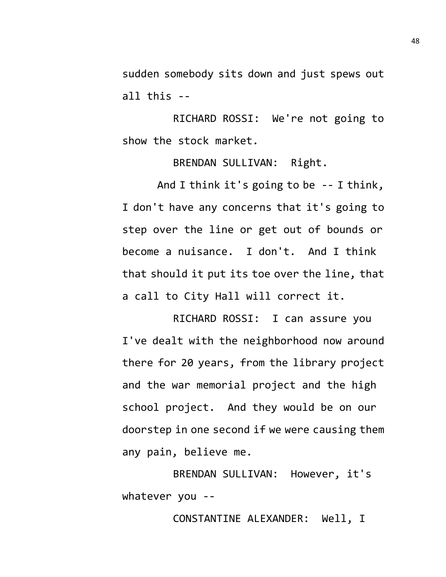sudden somebody sits down and just spews out all this --

RICHARD ROSSI: We're not going to show the stock market.

BRENDAN SULLIVAN: Right.

And I think it's going to be -- I think, I don't have any concerns that it's going to step over the line or get out of bounds or become a nuisance. I don't. And I think that should it put its toe over the line, that a call to City Hall will correct it.

RICHARD ROSSI: I can assure you I've dealt with the neighborhood now around there for 20 years, from the library project and the war memorial project and the high school project. And they would be on our doorstep in one second if we were causing them any pain, believe me.

BRENDAN SULLIVAN: However, it's whatever you --

CONSTANTINE ALEXANDER: Well, I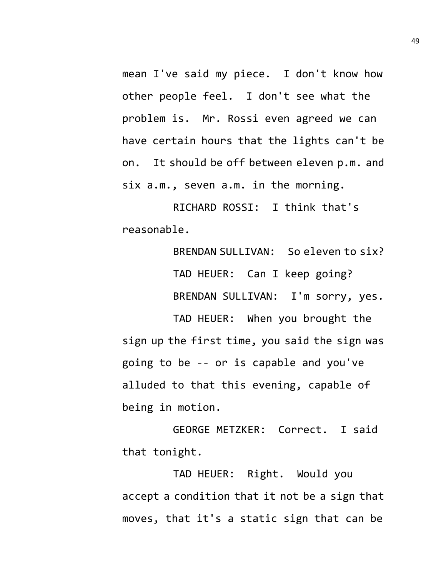mean I've said my piece. I don't know how other people feel. I don't see what the problem is. Mr. Rossi even agreed we can have certain hours that the lights can't be on. It should be off between eleven p.m. and six a.m., seven a.m. in the morning.

RICHARD ROSSI: I think that's reasonable.

> BRENDAN SULLIVAN: So eleven to six? TAD HEUER: Can I keep going? BRENDAN SULLIVAN: I'm sorry, yes.

TAD HEUER: When you brought the sign up the first time, you said the sign was going to be -- or is capable and you've alluded to that this evening, capable of being in motion.

GEORGE METZKER: Correct. I said that tonight.

TAD HEUER: Right. Would you accept a condition that it not be a sign that moves, that it's a static sign that can be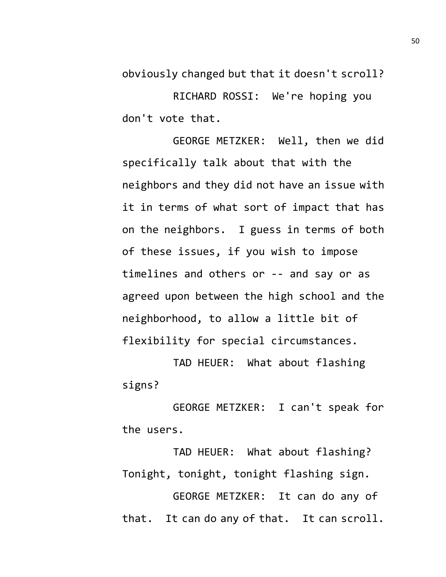obviously changed but that it doesn't scroll?

RICHARD ROSSI: We're hoping you don't vote that.

GEORGE METZKER: Well, then we did specifically talk about that with the neighbors and they did not have an issue with it in terms of what sort of impact that has on the neighbors. I guess in terms of both of these issues, if you wish to impose timelines and others or -- and say or as agreed upon between the high school and the neighborhood, to allow a little bit of flexibility for special circumstances.

TAD HEUER: What about flashing signs?

GEORGE METZKER: I can't speak for the users.

TAD HEUER: What about flashing? Tonight, tonight, tonight flashing sign.

GEORGE METZKER: It can do any of that. It can do any of that. It can scroll.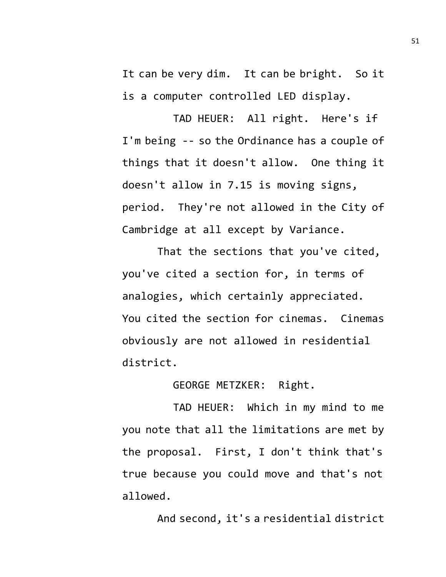It can be very dim. It can be bright. So it is a computer controlled LED display.

TAD HEUER: All right. Here's if I'm being -- so the Ordinance has a couple of things that it doesn't allow. One thing it doesn't allow in 7.15 is moving signs, period. They're not allowed in the City of Cambridge at all except by Variance.

That the sections that you've cited, you've cited a section for, in terms of analogies, which certainly appreciated. You cited the section for cinemas. Cinemas obviously are not allowed in residential district.

GEORGE METZKER: Right.

TAD HEUER: Which in my mind to me you note that all the limitations are met by the proposal. First, I don't think that's true because you could move and that's not allowed.

And second, it's a residential district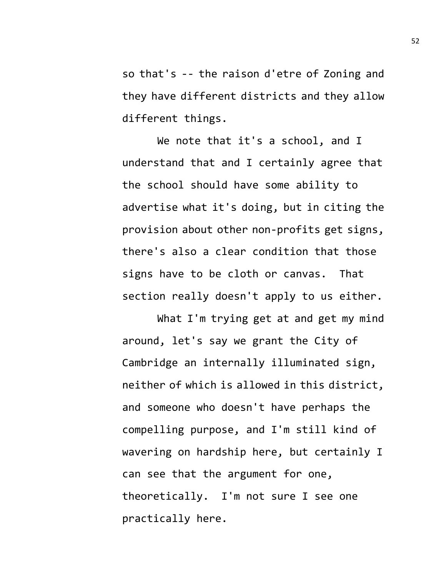so that's -- the raison d'etre of Zoning and they have different districts and they allow different things.

We note that it's a school, and I understand that and I certainly agree that the school should have some ability to advertise what it's doing, but in citing the provision about other non-profits get signs, there's also a clear condition that those signs have to be cloth or canvas. That section really doesn't apply to us either.

What I'm trying get at and get my mind around, let's say we grant the City of Cambridge an internally illuminated sign, neither of which is allowed in this district, and someone who doesn't have perhaps the compelling purpose, and I'm still kind of wavering on hardship here, but certainly I can see that the argument for one, theoretically. I'm not sure I see one practically here.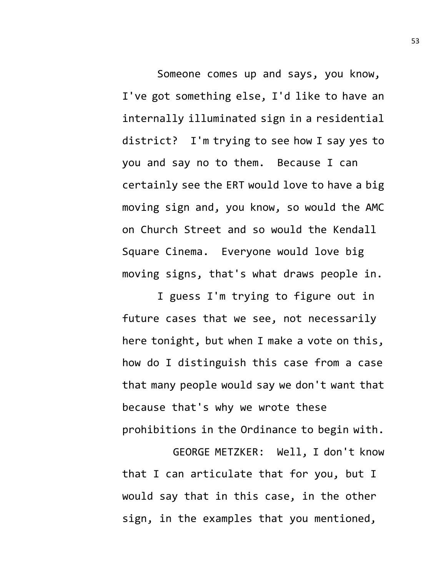Someone comes up and says, you know, I've got something else, I'd like to have an internally illuminated sign in a residential district? I'm trying to see how I say yes to you and say no to them. Because I can certainly see the ERT would love to have a big moving sign and, you know, so would the AMC on Church Street and so would the Kendall Square Cinema. Everyone would love big moving signs, that's what draws people in.

I guess I'm trying to figure out in future cases that we see, not necessarily here tonight, but when I make a vote on this, how do I distinguish this case from a case that many people would say we don't want that because that's why we wrote these prohibitions in the Ordinance to begin with.

GEORGE METZKER: Well, I don't know that I can articulate that for you, but I would say that in this case, in the other sign, in the examples that you mentioned,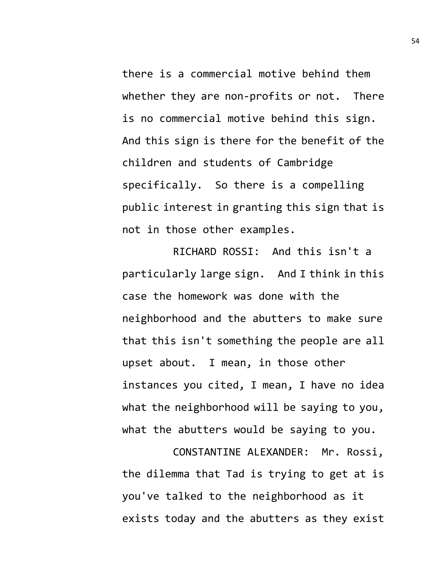there is a commercial motive behind them whether they are non-profits or not. There is no commercial motive behind this sign. And this sign is there for the benefit of the children and students of Cambridge specifically. So there is a compelling public interest in granting this sign that is not in those other examples.

RICHARD ROSSI: And this isn't a particularly large sign. And I think in this case the homework was done with the neighborhood and the abutters to make sure that this isn't something the people are all upset about. I mean, in those other instances you cited, I mean, I have no idea what the neighborhood will be saying to you, what the abutters would be saying to you.

CONSTANTINE ALEXANDER: Mr. Rossi, the dilemma that Tad is trying to get at is you've talked to the neighborhood as it exists today and the abutters as they exist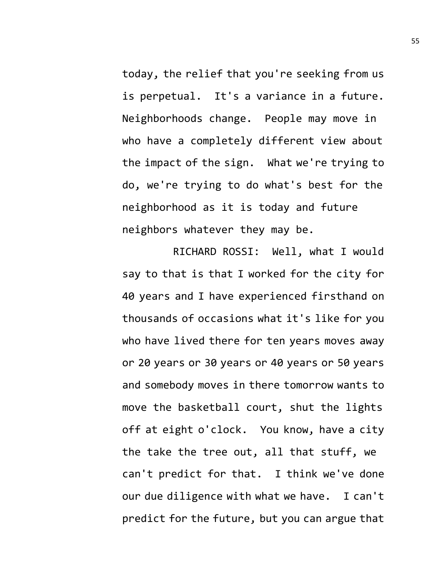today, the relief that you're seeking from us is perpetual. It's a variance in a future. Neighborhoods change. People may move in who have a completely different view about the impact of the sign. What we're trying to do, we're trying to do what's best for the neighborhood as it is today and future neighbors whatever they may be.

RICHARD ROSSI: Well, what I would say to that is that I worked for the city for 40 years and I have experienced firsthand on thousands of occasions what it's like for you who have lived there for ten years moves away or 20 years or 30 years or 40 years or 50 years and somebody moves in there tomorrow wants to move the basketball court, shut the lights off at eight o'clock. You know, have a city the take the tree out, all that stuff, we can't predict for that. I think we've done our due diligence with what we have. I can't predict for the future, but you can argue that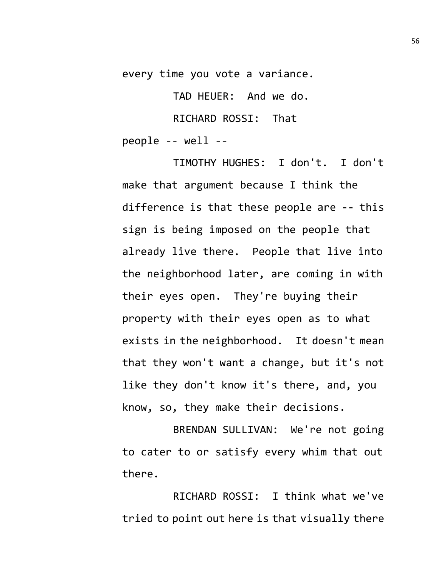every time you vote a variance.

TAD HEUER: And we do. RICHARD ROSSI: That people -- well --

TIMOTHY HUGHES: I don't. I don't make that argument because I think the difference is that these people are -- this sign is being imposed on the people that already live there. People that live into the neighborhood later, are coming in with their eyes open. They're buying their property with their eyes open as to what exists in the neighborhood. It doesn't mean that they won't want a change, but it's not like they don't know it's there, and, you know, so, they make their decisions.

BRENDAN SULLIVAN: We're not going to cater to or satisfy every whim that out there.

RICHARD ROSSI: I think what we've tried to point out here is that visually there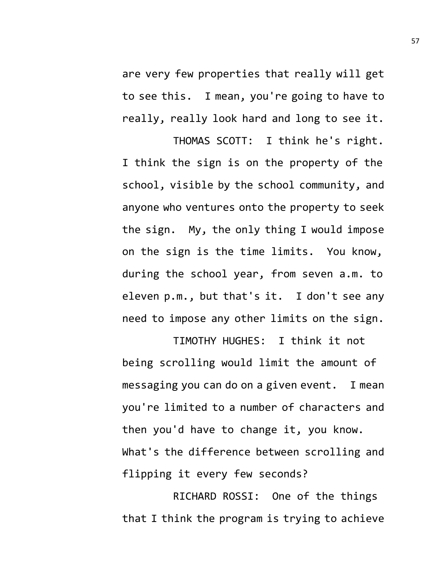are very few properties that really will get to see this. I mean, you're going to have to really, really look hard and long to see it.

THOMAS SCOTT: I think he's right. I think the sign is on the property of the school, visible by the school community, and anyone who ventures onto the property to seek the sign. My, the only thing I would impose on the sign is the time limits. You know, during the school year, from seven a.m. to eleven p.m., but that's it. I don't see any need to impose any other limits on the sign.

TIMOTHY HUGHES: I think it not being scrolling would limit the amount of messaging you can do on a given event. I mean you're limited to a number of characters and then you'd have to change it, you know. What's the difference between scrolling and flipping it every few seconds?

RICHARD ROSSI: One of the things that I think the program is trying to achieve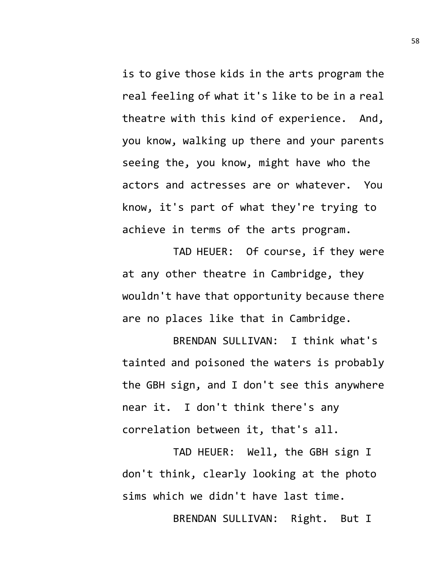is to give those kids in the arts program the real feeling of what it's like to be in a real theatre with this kind of experience. And, you know, walking up there and your parents seeing the, you know, might have who the actors and actresses are or whatever. You know, it's part of what they're trying to achieve in terms of the arts program.

TAD HEUER: Of course, if they were at any other theatre in Cambridge, they wouldn't have that opportunity because there are no places like that in Cambridge.

BRENDAN SULLIVAN: I think what's tainted and poisoned the waters is probably the GBH sign, and I don't see this anywhere near it. I don't think there's any correlation between it, that's all.

TAD HEUER: Well, the GBH sign I don't think, clearly looking at the photo sims which we didn't have last time.

BRENDAN SULLIVAN: Right. But I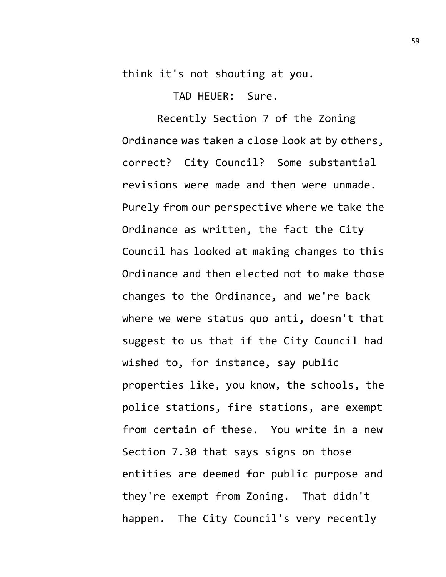think it's not shouting at you.

TAD HEUER: Sure.

Recently Section 7 of the Zoning Ordinance was taken a close look at by others, correct? City Council? Some substantial revisions were made and then were unmade. Purely from our perspective where we take the Ordinance as written, the fact the City Council has looked at making changes to this Ordinance and then elected not to make those changes to the Ordinance, and we're back where we were status quo anti, doesn't that suggest to us that if the City Council had wished to, for instance, say public properties like, you know, the schools, the police stations, fire stations, are exempt from certain of these. You write in a new Section 7.30 that says signs on those entities are deemed for public purpose and they're exempt from Zoning. That didn't happen. The City Council's very recently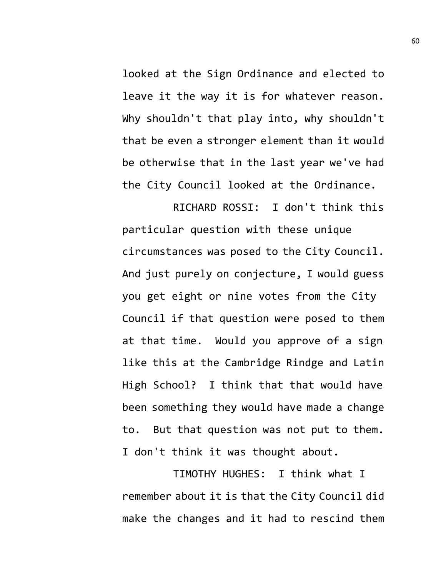looked at the Sign Ordinance and elected to leave it the way it is for whatever reason. Why shouldn't that play into, why shouldn't that be even a stronger element than it would be otherwise that in the last year we've had the City Council looked at the Ordinance.

RICHARD ROSSI: I don't think this particular question with these unique circumstances was posed to the City Council. And just purely on conjecture, I would guess you get eight or nine votes from the City Council if that question were posed to them at that time. Would you approve of a sign like this at the Cambridge Rindge and Latin High School? I think that that would have been something they would have made a change to. But that question was not put to them. I don't think it was thought about.

TIMOTHY HUGHES: I think what I remember about it is that the City Council did make the changes and it had to rescind them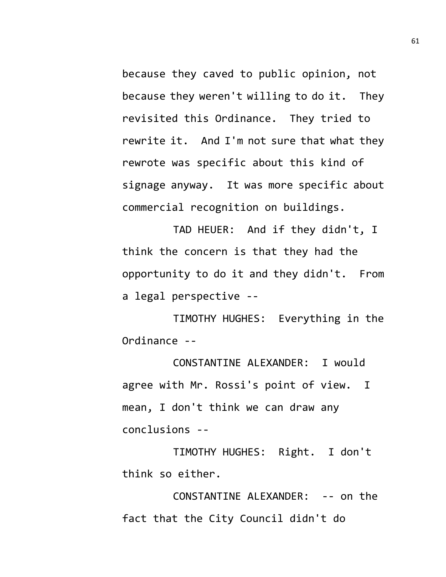because they caved to public opinion, not because they weren't willing to do it. They revisited this Ordinance. They tried to rewrite it. And I'm not sure that what they rewrote was specific about this kind of signage anyway. It was more specific about commercial recognition on buildings.

TAD HEUER: And if they didn't, I think the concern is that they had the opportunity to do it and they didn't. From a legal perspective --

TIMOTHY HUGHES: Everything in the Ordinance --

CONSTANTINE ALEXANDER: I would agree with Mr. Rossi's point of view. I mean, I don't think we can draw any conclusions --

TIMOTHY HUGHES: Right. I don't think so either.

CONSTANTINE ALEXANDER: -- on the fact that the City Council didn't do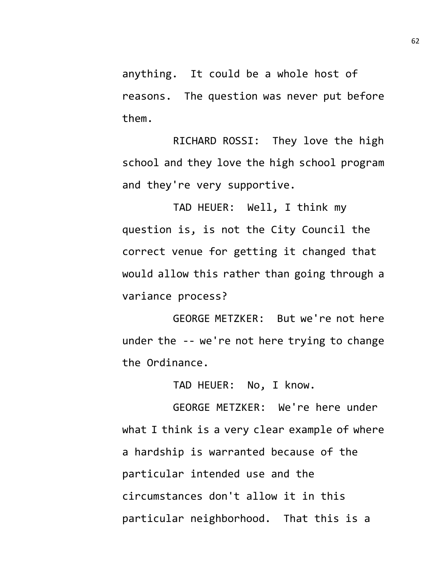anything. It could be a whole host of reasons. The question was never put before them.

RICHARD ROSSI: They love the high school and they love the high school program and they're very supportive.

TAD HEUER: Well, I think my question is, is not the City Council the correct venue for getting it changed that would allow this rather than going through a variance process?

GEORGE METZKER: But we're not here under the -- we're not here trying to change the Ordinance.

TAD HEUER: No, I know.

GEORGE METZKER: We're here under what I think is a very clear example of where a hardship is warranted because of the particular intended use and the circumstances don't allow it in this particular neighborhood. That this is a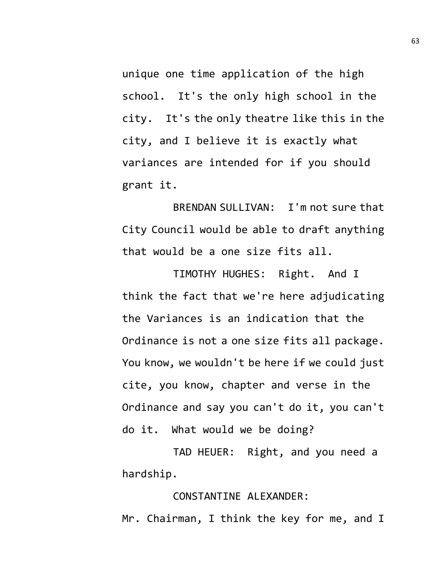unique one time application of the high school. It's the only high school in the city. It's the only theatre like this in the city, and I believe it is exactly what variances are intended for if you should grant it.

BRENDAN SULLIVAN: I'm not sure that City Council would be able to draft anything that would be a one size fits all.

TIMOTHY HUGHES: Right. And I think the fact that we're here adjudicating the Variances is an indication that the Ordinance is not a one size fits all package. You know, we wouldn't be here if we could just cite, you know, chapter and verse in the Ordinance and say you can't do it, you can't do it. What would we be doing?

TAD HEUER: Right, and you need a hardship.

## CONSTANTINE ALEXANDER:

Mr. Chairman, I think the key for me, and I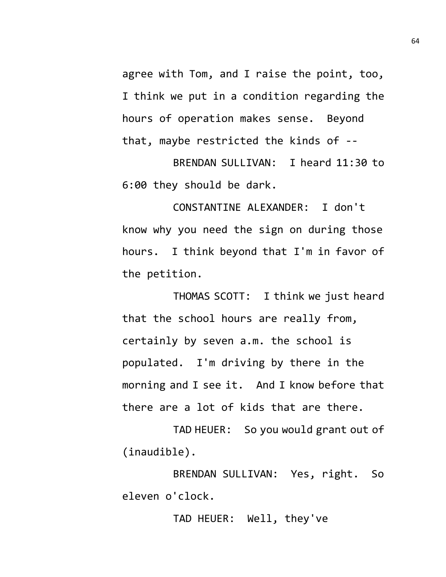agree with Tom, and I raise the point, too, I think we put in a condition regarding the hours of operation makes sense. Beyond that, maybe restricted the kinds of --

BRENDAN SULLIVAN: I heard 11:30 to 6:00 they should be dark.

CONSTANTINE ALEXANDER: I don't know why you need the sign on during those hours. I think beyond that I'm in favor of the petition.

THOMAS SCOTT: I think we just heard that the school hours are really from, certainly by seven a.m. the school is populated. I'm driving by there in the morning and I see it. And I know before that there are a lot of kids that are there.

TAD HEUER: So you would grant out of (inaudible).

BRENDAN SULLIVAN: Yes, right. So eleven o'clock.

TAD HEUER: Well, they've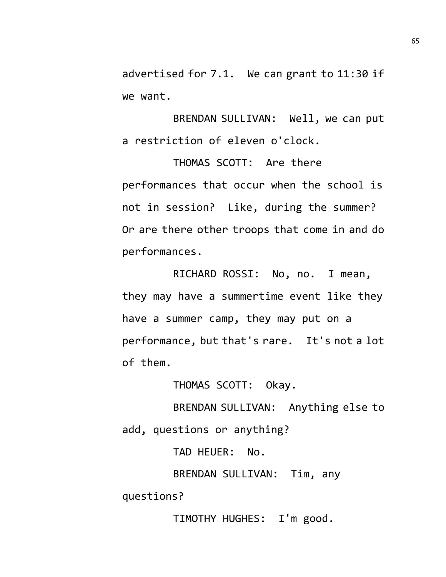advertised for 7.1. We can grant to 11:30 if we want.

BRENDAN SULLIVAN: Well, we can put a restriction of eleven o'clock.

THOMAS SCOTT: Are there performances that occur when the school is not in session? Like, during the summer? Or are there other troops that come in and do performances.

RICHARD ROSSI: No, no. I mean, they may have a summertime event like they have a summer camp, they may put on a performance, but that's rare. It's not a lot of them.

THOMAS SCOTT: Okay.

BRENDAN SULLIVAN: Anything else to add, questions or anything?

TAD HEUER: No.

BRENDAN SULLIVAN: Tim, any

questions?

TIMOTHY HUGHES: I'm good.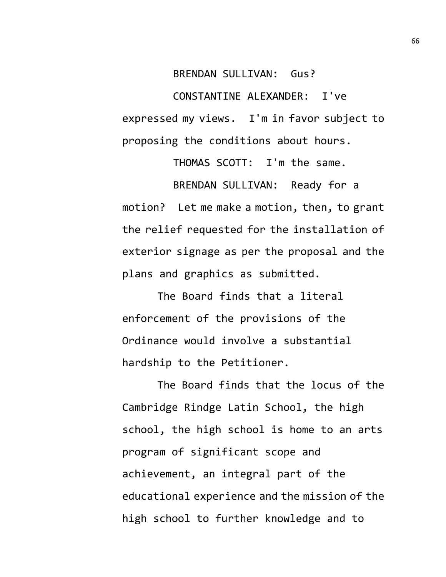BRENDAN SULLIVAN: Gus?

CONSTANTINE ALEXANDER: I've expressed my views. I'm in favor subject to proposing the conditions about hours.

THOMAS SCOTT: I'm the same. BRENDAN SULLIVAN: Ready for a motion? Let me make a motion, then, to grant the relief requested for the installation of exterior signage as per the proposal and the plans and graphics as submitted.

The Board finds that a literal enforcement of the provisions of the Ordinance would involve a substantial hardship to the Petitioner.

The Board finds that the locus of the Cambridge Rindge Latin School, the high school, the high school is home to an arts program of significant scope and achievement, an integral part of the educational experience and the mission of the high school to further knowledge and to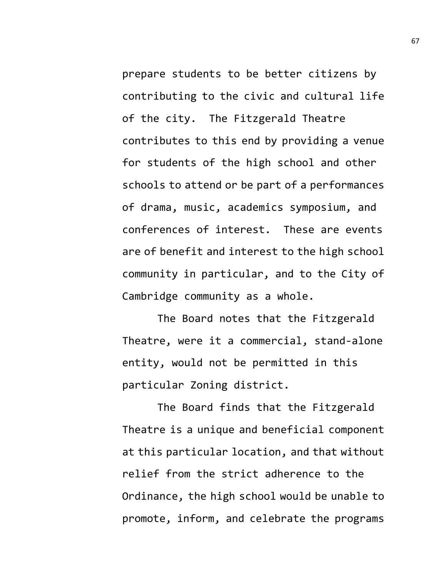prepare students to be better citizens by contributing to the civic and cultural life of the city. The Fitzgerald Theatre contributes to this end by providing a venue for students of the high school and other schools to attend or be part of a performances of drama, music, academics symposium, and conferences of interest. These are events are of benefit and interest to the high school community in particular, and to the City of Cambridge community as a whole.

The Board notes that the Fitzgerald Theatre, were it a commercial, stand-alone entity, would not be permitted in this particular Zoning district.

The Board finds that the Fitzgerald Theatre is a unique and beneficial component at this particular location, and that without relief from the strict adherence to the Ordinance, the high school would be unable to promote, inform, and celebrate the programs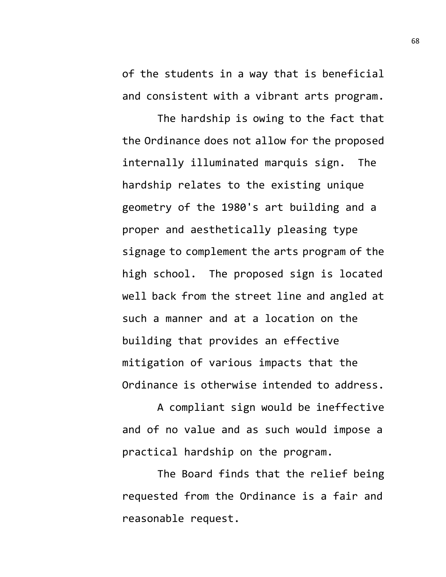of the students in a way that is beneficial and consistent with a vibrant arts program.

The hardship is owing to the fact that the Ordinance does not allow for the proposed internally illuminated marquis sign. The hardship relates to the existing unique geometry of the 1980's art building and a proper and aesthetically pleasing type signage to complement the arts program of the high school. The proposed sign is located well back from the street line and angled at such a manner and at a location on the building that provides an effective mitigation of various impacts that the Ordinance is otherwise intended to address.

A compliant sign would be ineffective and of no value and as such would impose a practical hardship on the program.

The Board finds that the relief being requested from the Ordinance is a fair and reasonable request.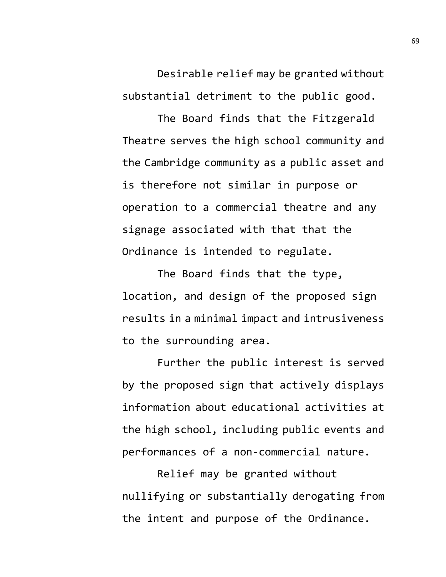Desirable relief may be granted without substantial detriment to the public good.

The Board finds that the Fitzgerald Theatre serves the high school community and the Cambridge community as a public asset and is therefore not similar in purpose or operation to a commercial theatre and any signage associated with that that the Ordinance is intended to regulate.

The Board finds that the type, location, and design of the proposed sign results in a minimal impact and intrusiveness to the surrounding area.

Further the public interest is served by the proposed sign that actively displays information about educational activities at the high school, including public events and performances of a non-commercial nature.

Relief may be granted without nullifying or substantially derogating from the intent and purpose of the Ordinance.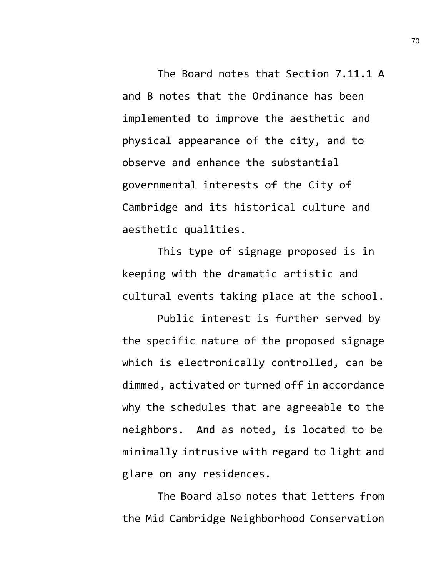The Board notes that Section 7.11.1 A and B notes that the Ordinance has been implemented to improve the aesthetic and physical appearance of the city, and to observe and enhance the substantial governmental interests of the City of Cambridge and its historical culture and aesthetic qualities.

This type of signage proposed is in keeping with the dramatic artistic and cultural events taking place at the school.

Public interest is further served by the specific nature of the proposed signage which is electronically controlled, can be dimmed, activated or turned off in accordance why the schedules that are agreeable to the neighbors. And as noted, is located to be minimally intrusive with regard to light and glare on any residences.

The Board also notes that letters from the Mid Cambridge Neighborhood Conservation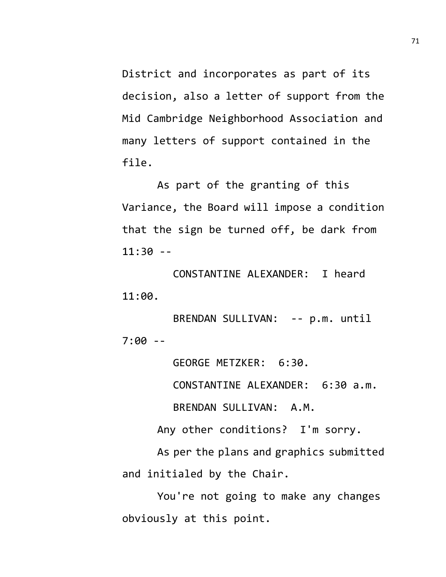District and incorporates as part of its decision, also a letter of support from the Mid Cambridge Neighborhood Association and many letters of support contained in the file.

As part of the granting of this Variance, the Board will impose a condition that the sign be turned off, be dark from  $11:30 - -$ 

CONSTANTINE ALEXANDER: I heard 11:00.

BRENDAN SULLIVAN: -- p.m. until 7:00 --

GEORGE METZKER: 6:30.

CONSTANTINE ALEXANDER: 6:30 a.m.

BRENDAN SULLIVAN: A.M.

Any other conditions? I'm sorry.

As per the plans and graphics submitted and initialed by the Chair.

You're not going to make any changes obviously at this point.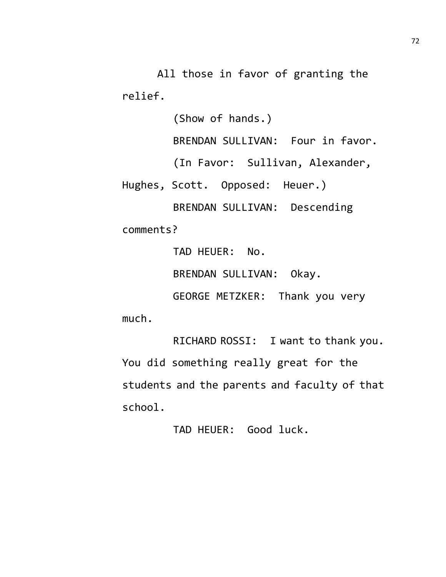All those in favor of granting the relief.

(Show of hands.)

BRENDAN SULLIVAN: Four in favor.

(In Favor: Sullivan, Alexander,

Hughes, Scott. Opposed: Heuer.)

BRENDAN SULLIVAN: Descending comments?

TAD HEUER: No.

BRENDAN SULLIVAN: Okay.

GEORGE METZKER: Thank you very

much.

RICHARD ROSSI: I want to thank you. You did something really great for the students and the parents and faculty of that school.

TAD HEUER: Good luck.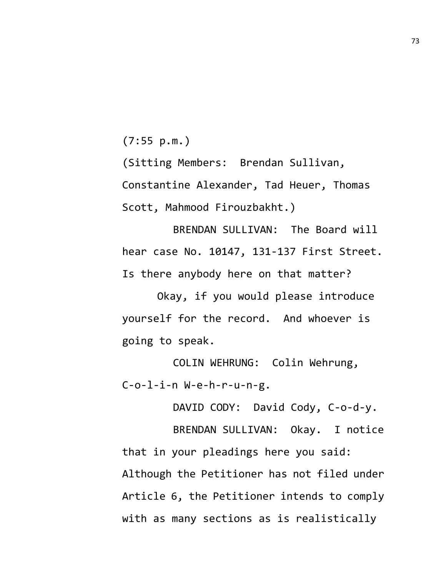(7:55 p.m.)

(Sitting Members: Brendan Sullivan, Constantine Alexander, Tad Heuer, Thomas Scott, Mahmood Firouzbakht.)

BRENDAN SULLIVAN: The Board will hear case No. 10147, 131-137 First Street. Is there anybody here on that matter?

Okay, if you would please introduce yourself for the record. And whoever is going to speak.

COLIN WEHRUNG: Colin Wehrung, C-o-l-i-n W-e-h-r-u-n-g.

DAVID CODY: David Cody, C-o-d-y.

BRENDAN SULLIVAN: Okay. I notice that in your pleadings here you said: Although the Petitioner has not filed under Article 6, the Petitioner intends to comply with as many sections as is realistically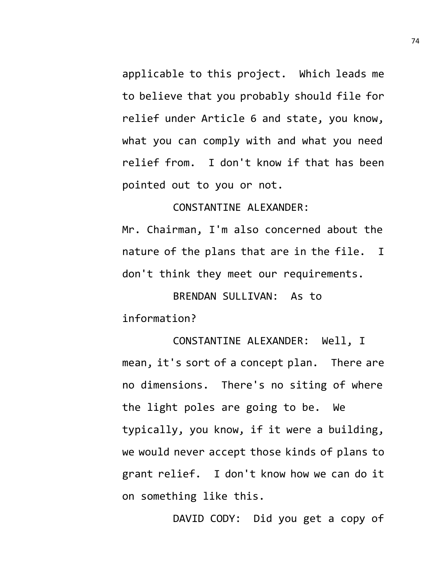applicable to this project. Which leads me to believe that you probably should file for relief under Article 6 and state, you know, what you can comply with and what you need relief from. I don't know if that has been pointed out to you or not.

## CONSTANTINE ALEXANDER:

Mr. Chairman, I'm also concerned about the nature of the plans that are in the file. I don't think they meet our requirements.

BRENDAN SULLIVAN: As to information?

CONSTANTINE ALEXANDER: Well, I mean, it's sort of a concept plan. There are no dimensions. There's no siting of where the light poles are going to be. We typically, you know, if it were a building, we would never accept those kinds of plans to grant relief. I don't know how we can do it on something like this.

DAVID CODY: Did you get a copy of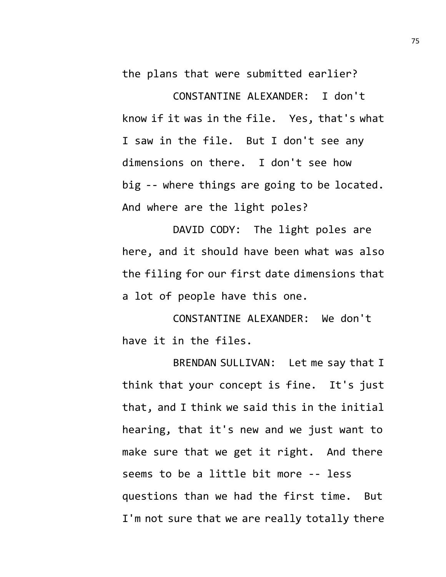the plans that were submitted earlier?

CONSTANTINE ALEXANDER: I don't know if it was in the file. Yes, that's what I saw in the file. But I don't see any dimensions on there. I don't see how big -- where things are going to be located. And where are the light poles?

DAVID CODY: The light poles are here, and it should have been what was also the filing for our first date dimensions that a lot of people have this one.

CONSTANTINE ALEXANDER: We don't have it in the files.

BRENDAN SULLIVAN: Let me say that I think that your concept is fine. It's just that, and I think we said this in the initial hearing, that it's new and we just want to make sure that we get it right. And there seems to be a little bit more -- less questions than we had the first time. But I'm not sure that we are really totally there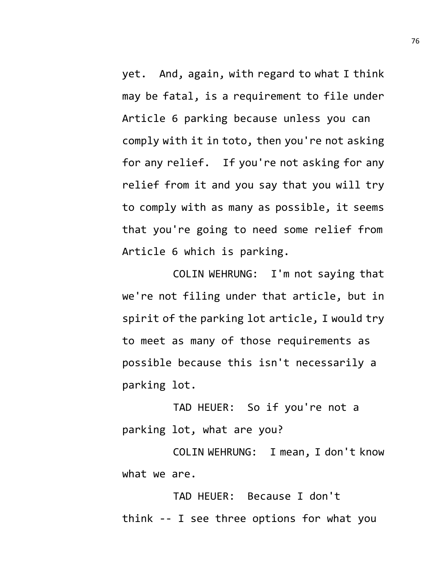yet. And, again, with regard to what I think may be fatal, is a requirement to file under Article 6 parking because unless you can comply with it in toto, then you're not asking for any relief. If you're not asking for any relief from it and you say that you will try to comply with as many as possible, it seems that you're going to need some relief from Article 6 which is parking.

COLIN WEHRUNG: I'm not saying that we're not filing under that article, but in spirit of the parking lot article, I would try to meet as many of those requirements as possible because this isn't necessarily a parking lot.

TAD HEUER: So if you're not a parking lot, what are you?

COLIN WEHRUNG: I mean, I don't know what we are.

TAD HEUER: Because I don't think -- I see three options for what you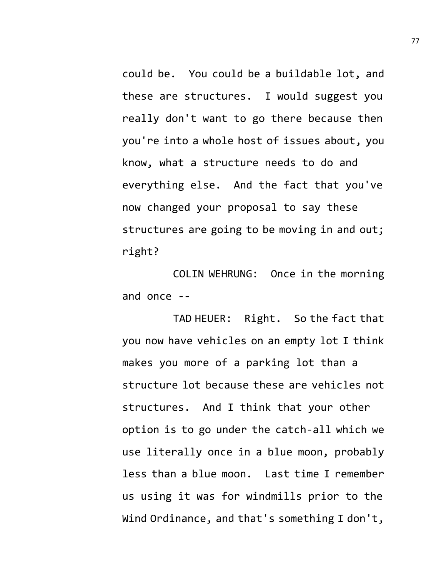could be. You could be a buildable lot, and these are structures. I would suggest you really don't want to go there because then you're into a whole host of issues about, you know, what a structure needs to do and everything else. And the fact that you've now changed your proposal to say these structures are going to be moving in and out; right?

COLIN WEHRUNG: Once in the morning and once --

TAD HEUER: Right. So the fact that you now have vehicles on an empty lot I think makes you more of a parking lot than a structure lot because these are vehicles not structures. And I think that your other option is to go under the catch-all which we use literally once in a blue moon, probably less than a blue moon. Last time I remember us using it was for windmills prior to the Wind Ordinance, and that's something I don't,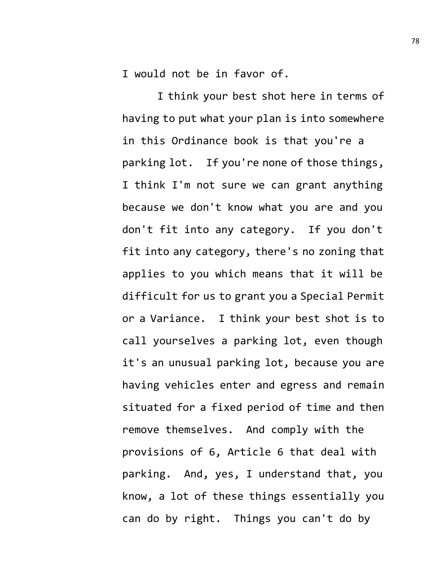I would not be in favor of.

I think your best shot here in terms of having to put what your plan is into somewhere in this Ordinance book is that you're a parking lot. If you're none of those things, I think I'm not sure we can grant anything because we don't know what you are and you don't fit into any category. If you don't fit into any category, there's no zoning that applies to you which means that it will be difficult for us to grant you a Special Permit or a Variance. I think your best shot is to call yourselves a parking lot, even though it's an unusual parking lot, because you are having vehicles enter and egress and remain situated for a fixed period of time and then remove themselves. And comply with the provisions of 6, Article 6 that deal with parking. And, yes, I understand that, you know, a lot of these things essentially you can do by right. Things you can't do by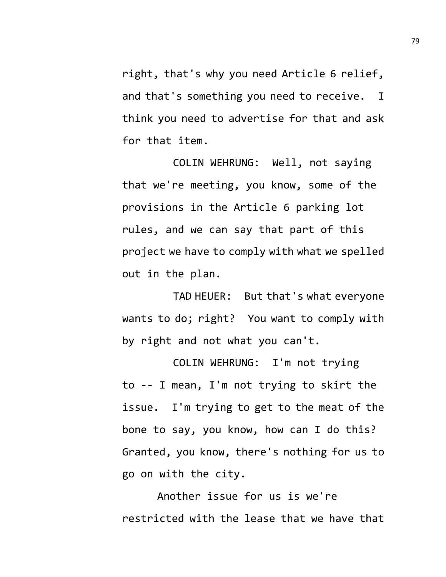right, that's why you need Article 6 relief, and that's something you need to receive. I think you need to advertise for that and ask for that item.

COLIN WEHRUNG: Well, not saying that we're meeting, you know, some of the provisions in the Article 6 parking lot rules, and we can say that part of this project we have to comply with what we spelled out in the plan.

TAD HEUER: But that's what everyone wants to do; right? You want to comply with by right and not what you can't.

COLIN WEHRUNG: I'm not trying to -- I mean, I'm not trying to skirt the issue. I'm trying to get to the meat of the bone to say, you know, how can I do this? Granted, you know, there's nothing for us to go on with the city.

Another issue for us is we're restricted with the lease that we have that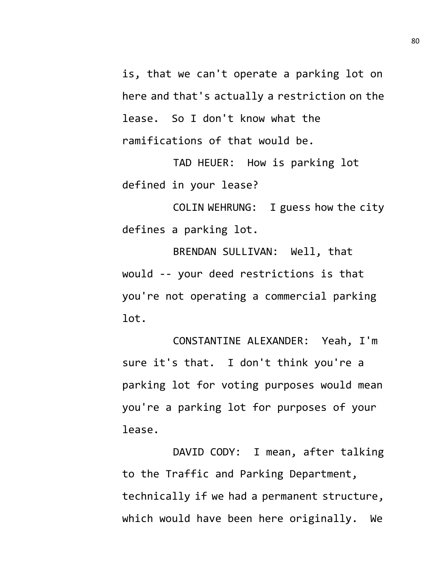is, that we can't operate a parking lot on here and that's actually a restriction on the lease. So I don't know what the ramifications of that would be.

TAD HEUER: How is parking lot defined in your lease?

COLIN WEHRUNG: I guess how the city defines a parking lot.

BRENDAN SULLIVAN: Well, that would -- your deed restrictions is that you're not operating a commercial parking lot.

CONSTANTINE ALEXANDER: Yeah, I'm sure it's that. I don't think you're a parking lot for voting purposes would mean you're a parking lot for purposes of your lease.

DAVID CODY: I mean, after talking to the Traffic and Parking Department, technically if we had a permanent structure, which would have been here originally. We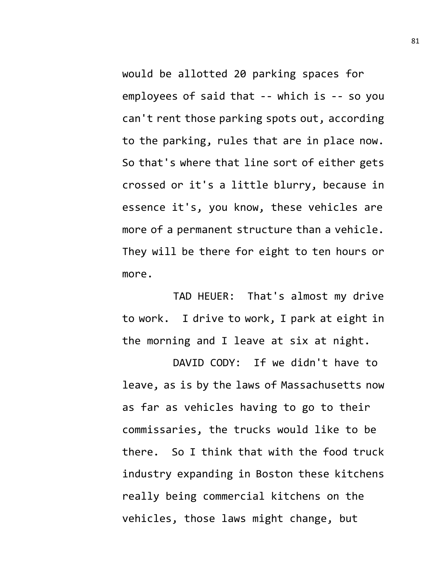would be allotted 20 parking spaces for employees of said that -- which is -- so you can't rent those parking spots out, according to the parking, rules that are in place now. So that's where that line sort of either gets crossed or it's a little blurry, because in essence it's, you know, these vehicles are more of a permanent structure than a vehicle. They will be there for eight to ten hours or more.

TAD HEUER: That's almost my drive to work. I drive to work, I park at eight in the morning and I leave at six at night.

DAVID CODY: If we didn't have to leave, as is by the laws of Massachusetts now as far as vehicles having to go to their commissaries, the trucks would like to be there. So I think that with the food truck industry expanding in Boston these kitchens really being commercial kitchens on the vehicles, those laws might change, but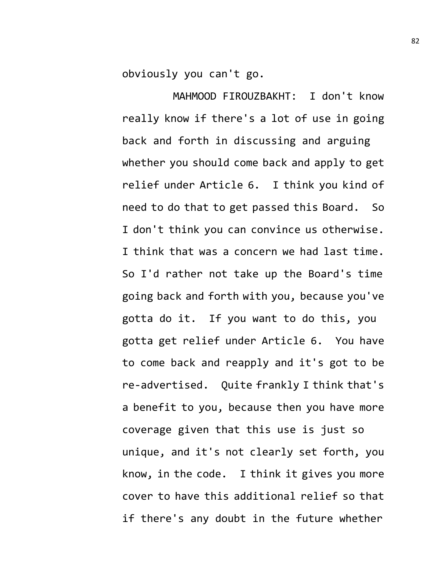obviously you can't go.

MAHMOOD FIROUZBAKHT: I don't know really know if there's a lot of use in going back and forth in discussing and arguing whether you should come back and apply to get relief under Article 6. I think you kind of need to do that to get passed this Board. So I don't think you can convince us otherwise. I think that was a concern we had last time. So I'd rather not take up the Board's time going back and forth with you, because you've gotta do it. If you want to do this, you gotta get relief under Article 6. You have to come back and reapply and it's got to be re-advertised. Quite frankly I think that's a benefit to you, because then you have more coverage given that this use is just so unique, and it's not clearly set forth, you know, in the code. I think it gives you more cover to have this additional relief so that if there's any doubt in the future whether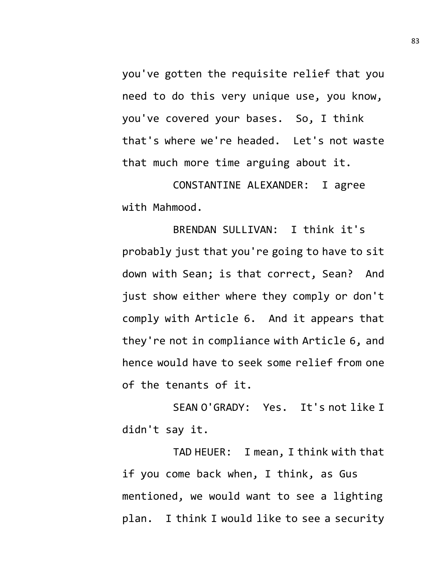you've gotten the requisite relief that you need to do this very unique use, you know, you've covered your bases. So, I think that's where we're headed. Let's not waste that much more time arguing about it.

CONSTANTINE ALEXANDER: I agree with Mahmood.

BRENDAN SULLIVAN: I think it's probably just that you're going to have to sit down with Sean; is that correct, Sean? And just show either where they comply or don't comply with Article 6. And it appears that they're not in compliance with Article 6, and hence would have to seek some relief from one of the tenants of it.

SEAN O'GRADY: Yes. It's not like I didn't say it.

TAD HEUER: I mean, I think with that if you come back when, I think, as Gus mentioned, we would want to see a lighting plan. I think I would like to see a security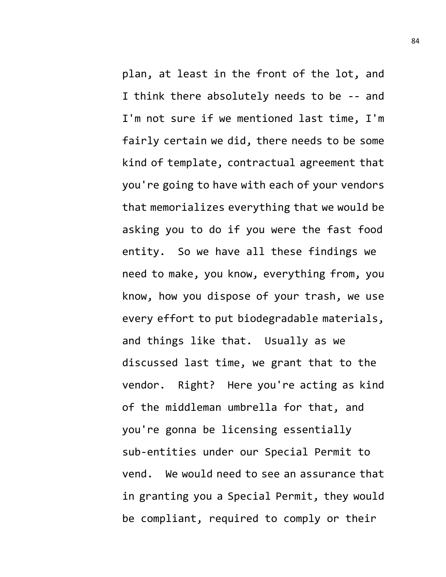plan, at least in the front of the lot, and I think there absolutely needs to be -- and I'm not sure if we mentioned last time, I'm fairly certain we did, there needs to be some kind of template, contractual agreement that you're going to have with each of your vendors that memorializes everything that we would be asking you to do if you were the fast food entity. So we have all these findings we need to make, you know, everything from, you know, how you dispose of your trash, we use every effort to put biodegradable materials, and things like that. Usually as we discussed last time, we grant that to the vendor. Right? Here you're acting as kind of the middleman umbrella for that, and you're gonna be licensing essentially sub-entities under our Special Permit to vend. We would need to see an assurance that in granting you a Special Permit, they would be compliant, required to comply or their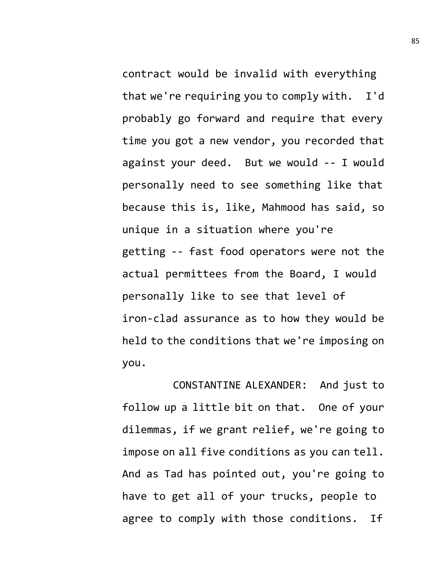contract would be invalid with everything that we're requiring you to comply with. I'd probably go forward and require that every time you got a new vendor, you recorded that against your deed. But we would -- I would personally need to see something like that because this is, like, Mahmood has said, so unique in a situation where you're getting -- fast food operators were not the actual permittees from the Board, I would personally like to see that level of iron-clad assurance as to how they would be held to the conditions that we're imposing on you.

CONSTANTINE ALEXANDER: And just to follow up a little bit on that. One of your dilemmas, if we grant relief, we're going to impose on all five conditions as you can tell. And as Tad has pointed out, you're going to have to get all of your trucks, people to agree to comply with those conditions. If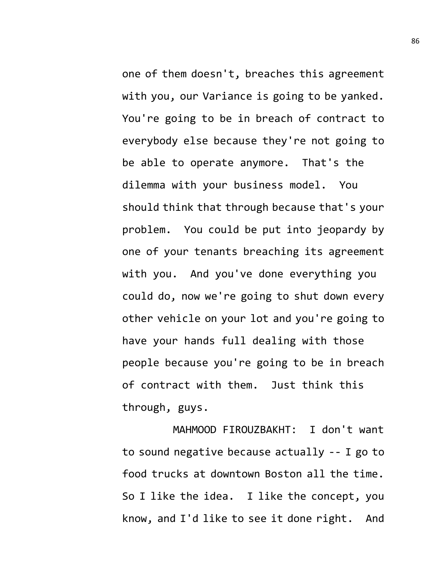one of them doesn't, breaches this agreement with you, our Variance is going to be yanked. You're going to be in breach of contract to everybody else because they're not going to be able to operate anymore. That's the dilemma with your business model. You should think that through because that's your problem. You could be put into jeopardy by one of your tenants breaching its agreement with you. And you've done everything you could do, now we're going to shut down every other vehicle on your lot and you're going to have your hands full dealing with those people because you're going to be in breach of contract with them. Just think this through, guys.

MAHMOOD FIROUZBAKHT: I don't want to sound negative because actually -- I go to food trucks at downtown Boston all the time. So I like the idea. I like the concept, you know, and I'd like to see it done right. And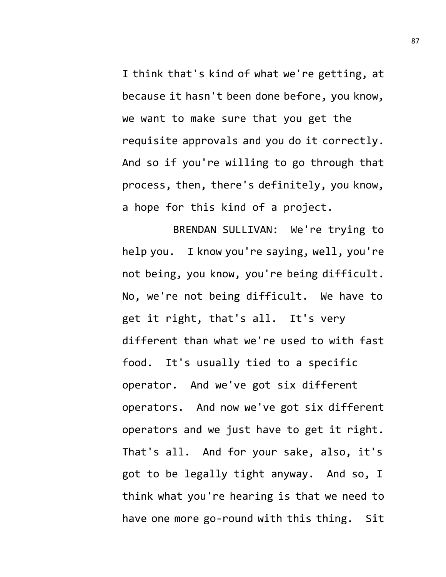I think that's kind of what we're getting, at because it hasn't been done before, you know, we want to make sure that you get the requisite approvals and you do it correctly. And so if you're willing to go through that process, then, there's definitely, you know, a hope for this kind of a project.

BRENDAN SULLIVAN: We're trying to help you. I know you're saying, well, you're not being, you know, you're being difficult. No, we're not being difficult. We have to get it right, that's all. It's very different than what we're used to with fast food. It's usually tied to a specific operator. And we've got six different operators. And now we've got six different operators and we just have to get it right. That's all. And for your sake, also, it's got to be legally tight anyway. And so, I think what you're hearing is that we need to have one more go-round with this thing. Sit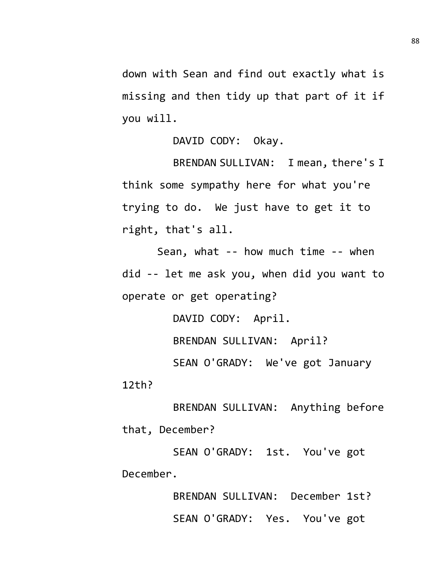down with Sean and find out exactly what is missing and then tidy up that part of it if you will.

DAVID CODY: Okay.

BRENDAN SULLIVAN: I mean, there's I think some sympathy here for what you're trying to do. We just have to get it to right, that's all.

Sean, what -- how much time -- when did -- let me ask you, when did you want to operate or get operating?

> DAVID CODY: April. BRENDAN SULLIVAN: April? SEAN O'GRADY: We've got January

12th?

BRENDAN SULLIVAN: Anything before that, December?

SEAN O'GRADY: 1st. You've got December.

> BRENDAN SULLIVAN: December 1st? SEAN O'GRADY: Yes. You've got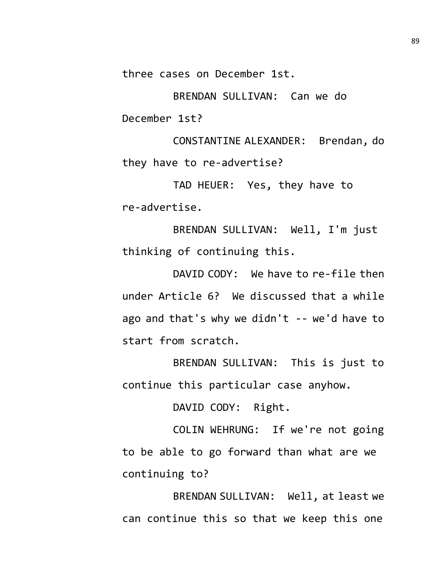three cases on December 1st.

BRENDAN SULLIVAN: Can we do December 1st?

CONSTANTINE ALEXANDER: Brendan, do they have to re-advertise?

TAD HEUER: Yes, they have to re-advertise.

BRENDAN SULLIVAN: Well, I'm just thinking of continuing this.

DAVID CODY: We have to re-file then under Article 6? We discussed that a while ago and that's why we didn't -- we'd have to start from scratch.

BRENDAN SULLIVAN: This is just to continue this particular case anyhow.

DAVID CODY: Right.

COLIN WEHRUNG: If we're not going to be able to go forward than what are we continuing to?

BRENDAN SULLIVAN: Well, at least we can continue this so that we keep this one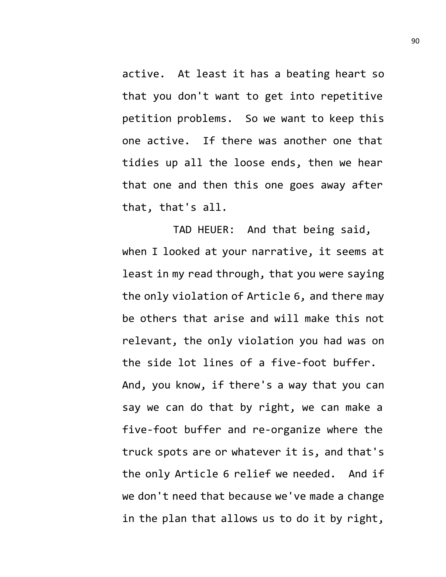active. At least it has a beating heart so that you don't want to get into repetitive petition problems. So we want to keep this one active. If there was another one that tidies up all the loose ends, then we hear that one and then this one goes away after that, that's all.

TAD HEUER: And that being said, when I looked at your narrative, it seems at least in my read through, that you were saying the only violation of Article 6, and there may be others that arise and will make this not relevant, the only violation you had was on the side lot lines of a five-foot buffer. And, you know, if there's a way that you can say we can do that by right, we can make a five-foot buffer and re-organize where the truck spots are or whatever it is, and that's the only Article 6 relief we needed. And if we don't need that because we've made a change in the plan that allows us to do it by right,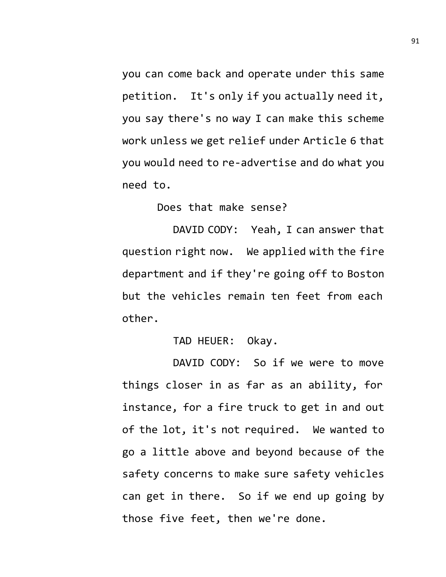you can come back and operate under this same petition. It's only if you actually need it, you say there's no way I can make this scheme work unless we get relief under Article 6 that you would need to re-advertise and do what you need to.

Does that make sense?

DAVID CODY: Yeah, I can answer that question right now. We applied with the fire department and if they're going off to Boston but the vehicles remain ten feet from each other.

TAD HEUER: Okay.

DAVID CODY: So if we were to move things closer in as far as an ability, for instance, for a fire truck to get in and out of the lot, it's not required. We wanted to go a little above and beyond because of the safety concerns to make sure safety vehicles can get in there. So if we end up going by those five feet, then we're done.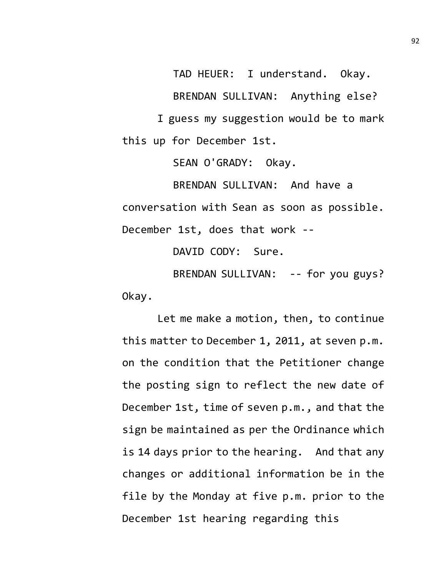TAD HEUER: I understand. Okay. BRENDAN SULLIVAN: Anything else? I guess my suggestion would be to mark this up for December 1st.

SEAN O'GRADY: Okay.

BRENDAN SULLIVAN: And have a conversation with Sean as soon as possible. December 1st, does that work --

DAVID CODY: Sure.

BRENDAN SULLIVAN: -- for you guys? Okay.

Let me make a motion, then, to continue this matter to December 1, 2011, at seven p.m. on the condition that the Petitioner change the posting sign to reflect the new date of December 1st, time of seven p.m., and that the sign be maintained as per the Ordinance which is 14 days prior to the hearing. And that any changes or additional information be in the file by the Monday at five p.m. prior to the December 1st hearing regarding this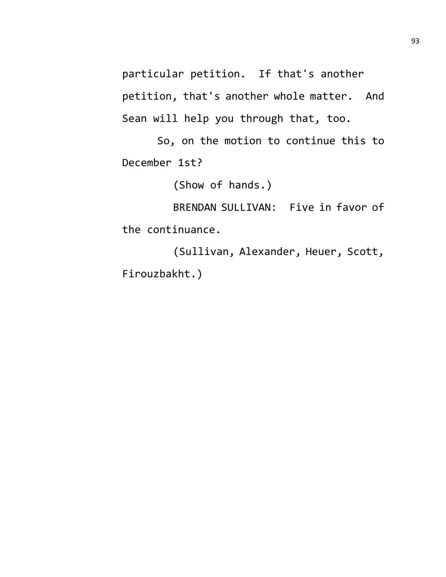particular petition. If that's another petition, that's another whole matter. And Sean will help you through that, too.

So, on the motion to continue this to December 1st?

(Show of hands.)

BRENDAN SULLIVAN: Five in favor of the continuance.

(Sullivan, Alexander, Heuer, Scott, Firouzbakht.)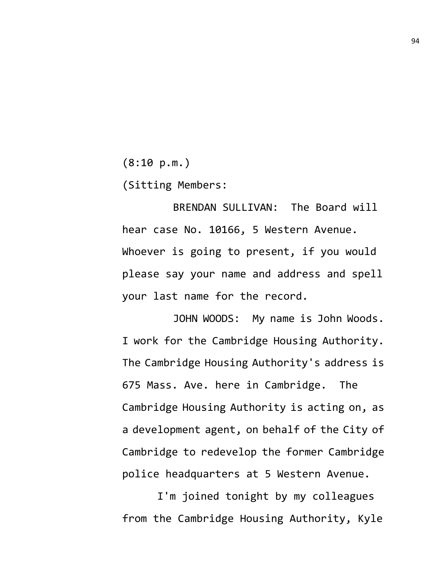(8:10 p.m.)

(Sitting Members:

BRENDAN SULLIVAN: The Board will hear case No. 10166, 5 Western Avenue. Whoever is going to present, if you would please say your name and address and spell your last name for the record.

JOHN WOODS: My name is John Woods. I work for the Cambridge Housing Authority. The Cambridge Housing Authority's address is 675 Mass. Ave. here in Cambridge. The Cambridge Housing Authority is acting on, as a development agent, on behalf of the City of Cambridge to redevelop the former Cambridge police headquarters at 5 Western Avenue.

I'm joined tonight by my colleagues from the Cambridge Housing Authority, Kyle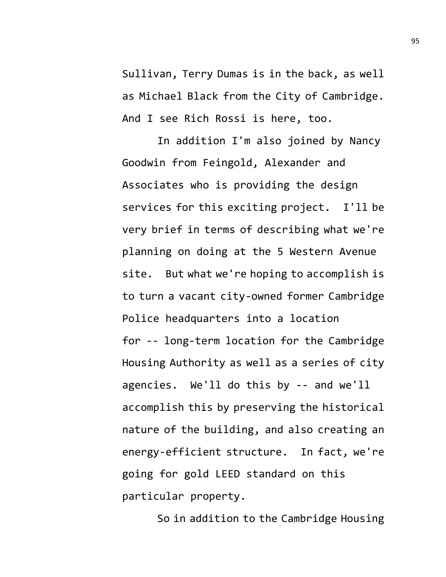Sullivan, Terry Dumas is in the back, as well as Michael Black from the City of Cambridge. And I see Rich Rossi is here, too.

In addition I'm also joined by Nancy Goodwin from Feingold, Alexander and Associates who is providing the design services for this exciting project. I'll be very brief in terms of describing what we're planning on doing at the 5 Western Avenue site. But what we're hoping to accomplish is to turn a vacant city-owned former Cambridge Police headquarters into a location for -- long-term location for the Cambridge Housing Authority as well as a series of city agencies. We'll do this by -- and we'll accomplish this by preserving the historical nature of the building, and also creating an energy-efficient structure. In fact, we're going for gold LEED standard on this particular property.

So in addition to the Cambridge Housing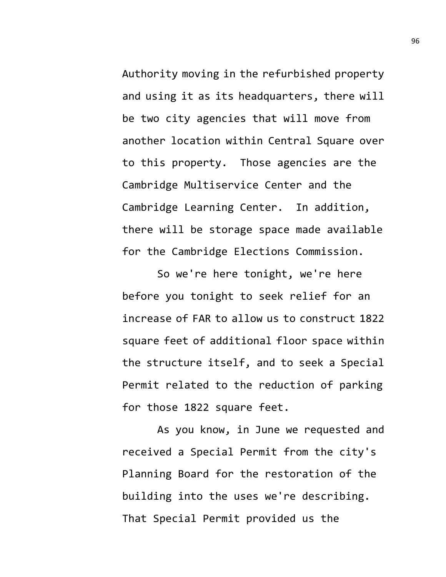Authority moving in the refurbished property and using it as its headquarters, there will be two city agencies that will move from another location within Central Square over to this property. Those agencies are the Cambridge Multiservice Center and the Cambridge Learning Center. In addition, there will be storage space made available for the Cambridge Elections Commission.

So we're here tonight, we're here before you tonight to seek relief for an increase of FAR to allow us to construct 1822 square feet of additional floor space within the structure itself, and to seek a Special Permit related to the reduction of parking for those 1822 square feet.

As you know, in June we requested and received a Special Permit from the city's Planning Board for the restoration of the building into the uses we're describing. That Special Permit provided us the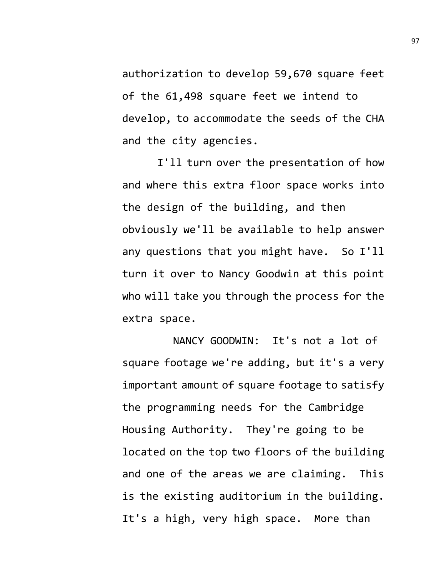authorization to develop 59,670 square feet of the 61,498 square feet we intend to develop, to accommodate the seeds of the CHA and the city agencies.

I'll turn over the presentation of how and where this extra floor space works into the design of the building, and then obviously we'll be available to help answer any questions that you might have. So I'll turn it over to Nancy Goodwin at this point who will take you through the process for the extra space.

NANCY GOODWIN: It's not a lot of square footage we're adding, but it's a very important amount of square footage to satisfy the programming needs for the Cambridge Housing Authority. They're going to be located on the top two floors of the building and one of the areas we are claiming. This is the existing auditorium in the building. It's a high, very high space. More than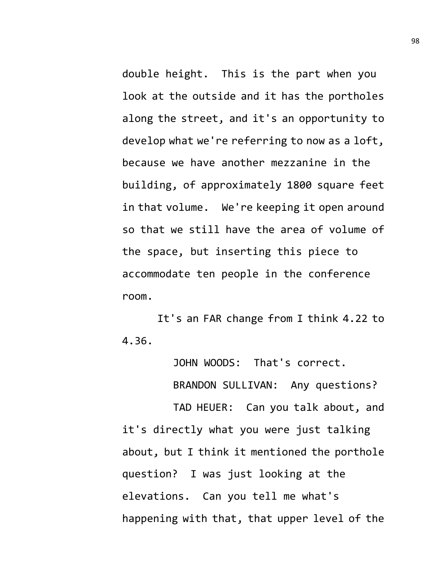double height. This is the part when you look at the outside and it has the portholes along the street, and it's an opportunity to develop what we're referring to now as a loft, because we have another mezzanine in the building, of approximately 1800 square feet in that volume. We're keeping it open around so that we still have the area of volume of the space, but inserting this piece to accommodate ten people in the conference room.

It's an FAR change from I think 4.22 to 4.36.

JOHN WOODS: That's correct.

BRANDON SULLIVAN: Any questions?

TAD HEUER: Can you talk about, and it's directly what you were just talking about, but I think it mentioned the porthole question? I was just looking at the elevations. Can you tell me what's happening with that, that upper level of the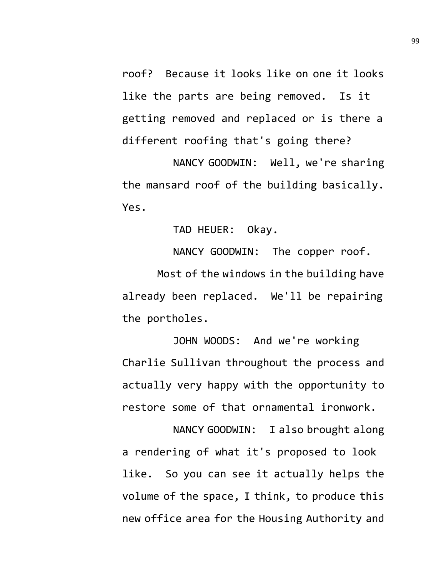roof? Because it looks like on one it looks like the parts are being removed. Is it getting removed and replaced or is there a different roofing that's going there?

NANCY GOODWIN: Well, we're sharing the mansard roof of the building basically. Yes.

TAD HEUER: Okay.

NANCY GOODWIN: The copper roof.

Most of the windows in the building have already been replaced. We'll be repairing the portholes.

JOHN WOODS: And we're working Charlie Sullivan throughout the process and actually very happy with the opportunity to restore some of that ornamental ironwork.

NANCY GOODWIN: I also brought along a rendering of what it's proposed to look like. So you can see it actually helps the volume of the space, I think, to produce this new office area for the Housing Authority and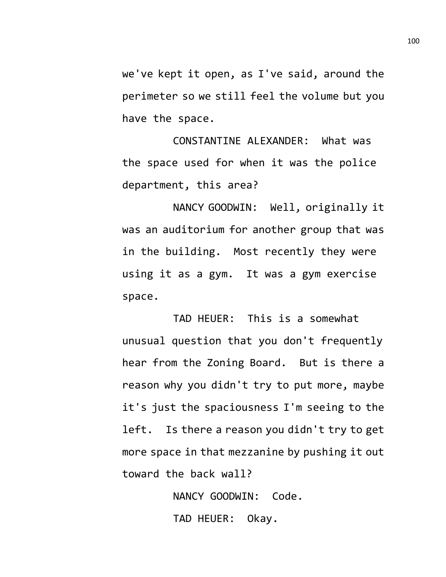we've kept it open, as I've said, around the perimeter so we still feel the volume but you have the space.

CONSTANTINE ALEXANDER: What was the space used for when it was the police department, this area?

NANCY GOODWIN: Well, originally it was an auditorium for another group that was in the building. Most recently they were using it as a gym. It was a gym exercise space.

TAD HEUER: This is a somewhat unusual question that you don't frequently hear from the Zoning Board. But is there a reason why you didn't try to put more, maybe it's just the spaciousness I'm seeing to the left. Is there a reason you didn't try to get more space in that mezzanine by pushing it out toward the back wall?

> NANCY GOODWIN: Code. TAD HEUER: Okay.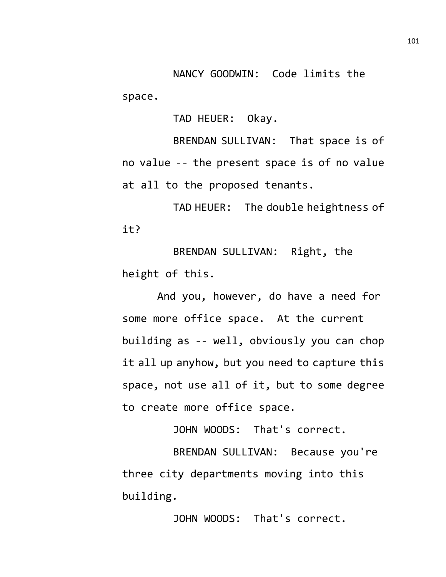NANCY GOODWIN: Code limits the space.

TAD HEUER: Okay.

BRENDAN SULLIVAN: That space is of no value -- the present space is of no value at all to the proposed tenants.

TAD HEUER: The double heightness of it?

BRENDAN SULLIVAN: Right, the height of this.

And you, however, do have a need for some more office space. At the current building as -- well, obviously you can chop it all up anyhow, but you need to capture this space, not use all of it, but to some degree to create more office space.

JOHN WOODS: That's correct.

BRENDAN SULLIVAN: Because you're three city departments moving into this building.

JOHN WOODS: That's correct.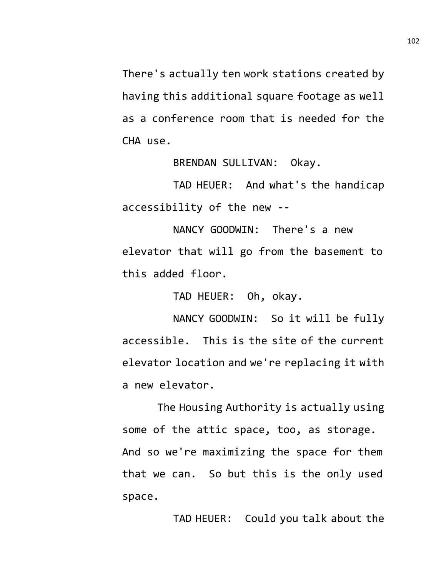There's actually ten work stations created by having this additional square footage as well as a conference room that is needed for the CHA use.

BRENDAN SULLIVAN: Okay.

TAD HEUER: And what's the handicap accessibility of the new --

NANCY GOODWIN: There's a new elevator that will go from the basement to this added floor.

TAD HEUER: Oh, okay.

NANCY GOODWIN: So it will be fully accessible. This is the site of the current elevator location and we're replacing it with a new elevator.

The Housing Authority is actually using some of the attic space, too, as storage. And so we're maximizing the space for them that we can. So but this is the only used space.

TAD HEUER: Could you talk about the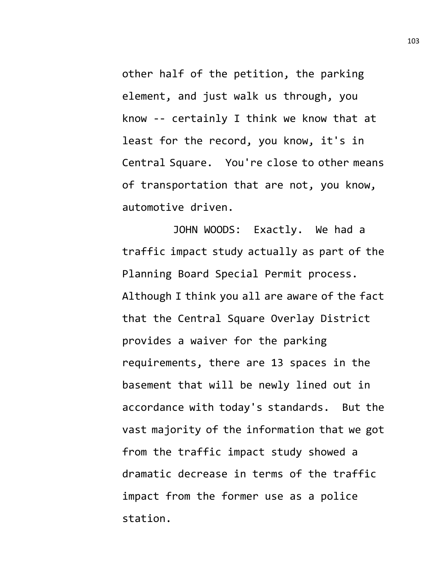other half of the petition, the parking element, and just walk us through, you know -- certainly I think we know that at least for the record, you know, it's in Central Square. You're close to other means of transportation that are not, you know, automotive driven.

JOHN WOODS: Exactly. We had a traffic impact study actually as part of the Planning Board Special Permit process. Although I think you all are aware of the fact that the Central Square Overlay District provides a waiver for the parking requirements, there are 13 spaces in the basement that will be newly lined out in accordance with today's standards. But the vast majority of the information that we got from the traffic impact study showed a dramatic decrease in terms of the traffic impact from the former use as a police station.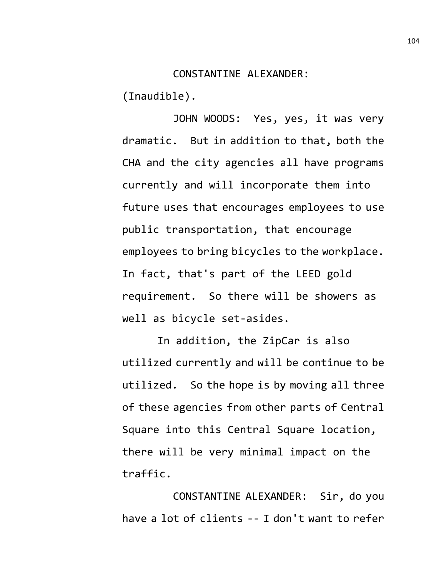## CONSTANTINE ALEXANDER:

(Inaudible).

JOHN WOODS: Yes, yes, it was very dramatic. But in addition to that, both the CHA and the city agencies all have programs currently and will incorporate them into future uses that encourages employees to use public transportation, that encourage employees to bring bicycles to the workplace. In fact, that's part of the LEED gold requirement. So there will be showers as well as bicycle set-asides.

In addition, the ZipCar is also utilized currently and will be continue to be utilized. So the hope is by moving all three of these agencies from other parts of Central Square into this Central Square location, there will be very minimal impact on the traffic.

CONSTANTINE ALEXANDER: Sir, do you have a lot of clients -- I don't want to refer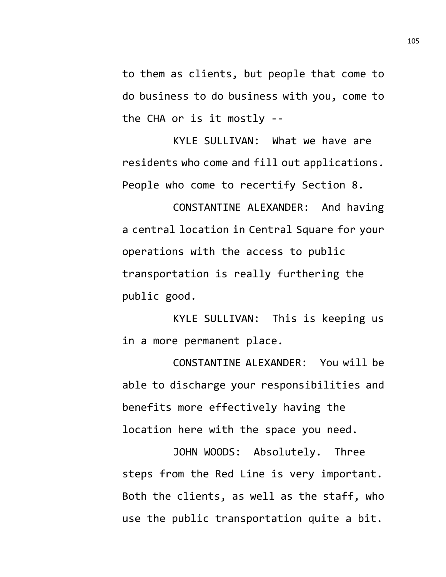to them as clients, but people that come to do business to do business with you, come to the CHA or is it mostly --

KYLE SULLIVAN: What we have are residents who come and fill out applications. People who come to recertify Section 8.

CONSTANTINE ALEXANDER: And having a central location in Central Square for your operations with the access to public transportation is really furthering the public good.

KYLE SULLIVAN: This is keeping us in a more permanent place.

CONSTANTINE ALEXANDER: You will be able to discharge your responsibilities and benefits more effectively having the location here with the space you need.

JOHN WOODS: Absolutely. Three steps from the Red Line is very important. Both the clients, as well as the staff, who use the public transportation quite a bit.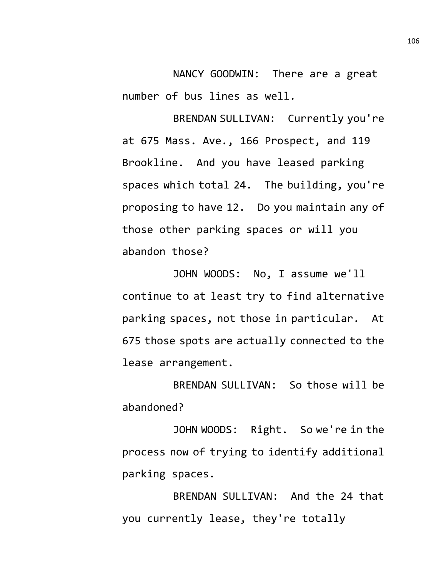NANCY GOODWIN: There are a great number of bus lines as well.

BRENDAN SULLIVAN: Currently you're at 675 Mass. Ave., 166 Prospect, and 119 Brookline. And you have leased parking spaces which total 24. The building, you're proposing to have 12. Do you maintain any of those other parking spaces or will you abandon those?

JOHN WOODS: No, I assume we'll continue to at least try to find alternative parking spaces, not those in particular. At 675 those spots are actually connected to the lease arrangement.

BRENDAN SULLIVAN: So those will be abandoned?

JOHN WOODS: Right. So we're in the process now of trying to identify additional parking spaces.

BRENDAN SULLIVAN: And the 24 that you currently lease, they're totally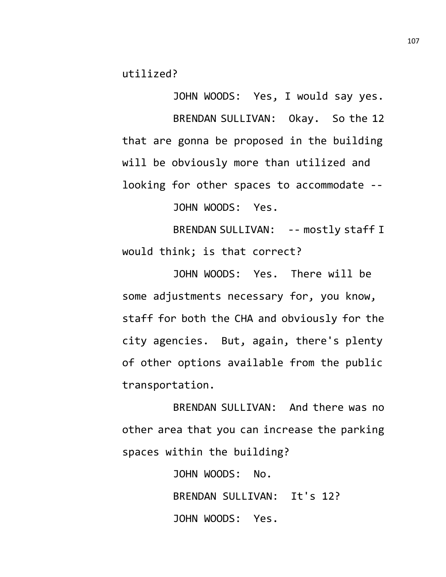utilized?

JOHN WOODS: Yes, I would say yes. BRENDAN SULLIVAN: Okay. So the 12 that are gonna be proposed in the building will be obviously more than utilized and looking for other spaces to accommodate --

JOHN WOODS: Yes.

BRENDAN SULLIVAN: -- mostly staff I would think; is that correct?

JOHN WOODS: Yes. There will be some adjustments necessary for, you know, staff for both the CHA and obviously for the city agencies. But, again, there's plenty of other options available from the public transportation.

BRENDAN SULLIVAN: And there was no other area that you can increase the parking spaces within the building?

> JOHN WOODS: No. BRENDAN SULLIVAN: It's 12? JOHN WOODS: Yes.

107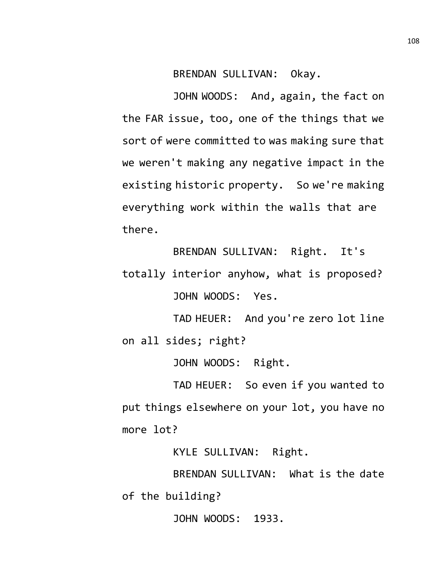BRENDAN SULLIVAN: Okay.

JOHN WOODS: And, again, the fact on the FAR issue, too, one of the things that we sort of were committed to was making sure that we weren't making any negative impact in the existing historic property. So we're making everything work within the walls that are there.

BRENDAN SULLIVAN: Right. It's totally interior anyhow, what is proposed? JOHN WOODS: Yes.

TAD HEUER: And you're zero lot line on all sides; right?

JOHN WOODS: Right.

TAD HEUER: So even if you wanted to put things elsewhere on your lot, you have no more lot?

KYLE SULLIVAN: Right.

BRENDAN SULLIVAN: What is the date of the building?

JOHN WOODS: 1933.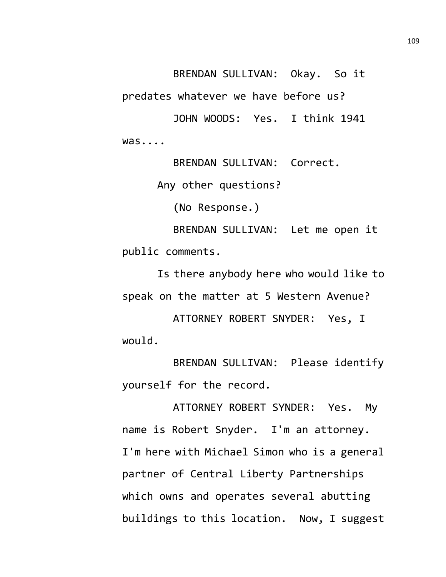BRENDAN SULLIVAN: Okay. So it

predates whatever we have before us?

JOHN WOODS: Yes. I think 1941 was....

BRENDAN SULLIVAN: Correct.

Any other questions?

(No Response.)

BRENDAN SULLIVAN: Let me open it public comments.

Is there anybody here who would like to speak on the matter at 5 Western Avenue?

ATTORNEY ROBERT SNYDER: Yes, I would.

BRENDAN SULLIVAN: Please identify yourself for the record.

ATTORNEY ROBERT SYNDER: Yes. My name is Robert Snyder. I'm an attorney. I'm here with Michael Simon who is a general partner of Central Liberty Partnerships which owns and operates several abutting buildings to this location. Now, I suggest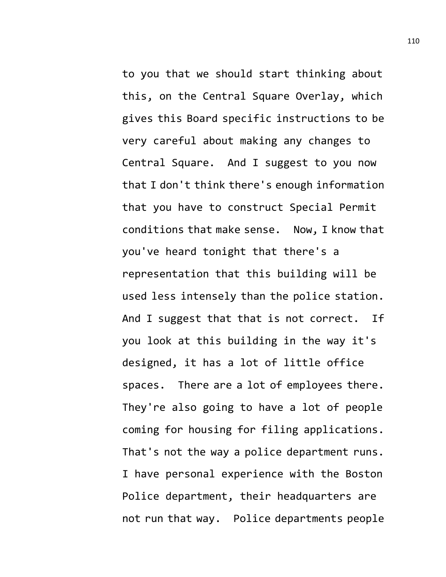to you that we should start thinking about this, on the Central Square Overlay, which gives this Board specific instructions to be very careful about making any changes to Central Square. And I suggest to you now that I don't think there's enough information that you have to construct Special Permit conditions that make sense. Now, I know that you've heard tonight that there's a representation that this building will be used less intensely than the police station. And I suggest that that is not correct. If you look at this building in the way it's designed, it has a lot of little office spaces. There are a lot of employees there. They're also going to have a lot of people coming for housing for filing applications. That's not the way a police department runs. I have personal experience with the Boston Police department, their headquarters are not run that way. Police departments people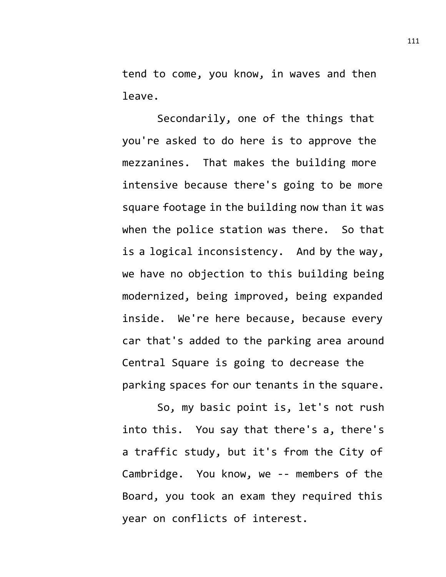tend to come, you know, in waves and then leave.

Secondarily, one of the things that you're asked to do here is to approve the mezzanines. That makes the building more intensive because there's going to be more square footage in the building now than it was when the police station was there. So that is a logical inconsistency. And by the way, we have no objection to this building being modernized, being improved, being expanded inside. We're here because, because every car that's added to the parking area around Central Square is going to decrease the parking spaces for our tenants in the square.

So, my basic point is, let's not rush into this. You say that there's a, there's a traffic study, but it's from the City of Cambridge. You know, we -- members of the Board, you took an exam they required this year on conflicts of interest.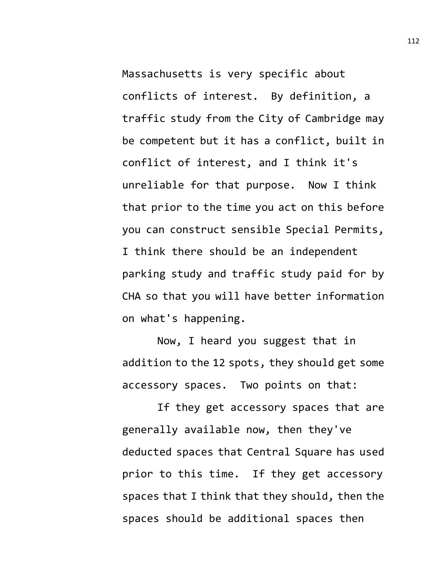Massachusetts is very specific about conflicts of interest. By definition, a traffic study from the City of Cambridge may be competent but it has a conflict, built in conflict of interest, and I think it's unreliable for that purpose. Now I think that prior to the time you act on this before you can construct sensible Special Permits, I think there should be an independent parking study and traffic study paid for by CHA so that you will have better information on what's happening.

Now, I heard you suggest that in addition to the 12 spots, they should get some accessory spaces. Two points on that:

If they get accessory spaces that are generally available now, then they've deducted spaces that Central Square has used prior to this time. If they get accessory spaces that I think that they should, then the spaces should be additional spaces then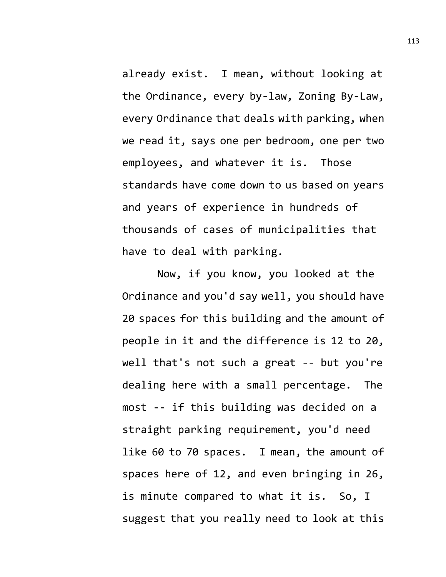already exist. I mean, without looking at the Ordinance, every by-law, Zoning By-Law, every Ordinance that deals with parking, when we read it, says one per bedroom, one per two employees, and whatever it is. Those standards have come down to us based on years and years of experience in hundreds of thousands of cases of municipalities that have to deal with parking.

Now, if you know, you looked at the Ordinance and you'd say well, you should have 20 spaces for this building and the amount of people in it and the difference is 12 to 20, well that's not such a great -- but you're dealing here with a small percentage. The most -- if this building was decided on a straight parking requirement, you'd need like 60 to 70 spaces. I mean, the amount of spaces here of 12, and even bringing in 26, is minute compared to what it is. So, I suggest that you really need to look at this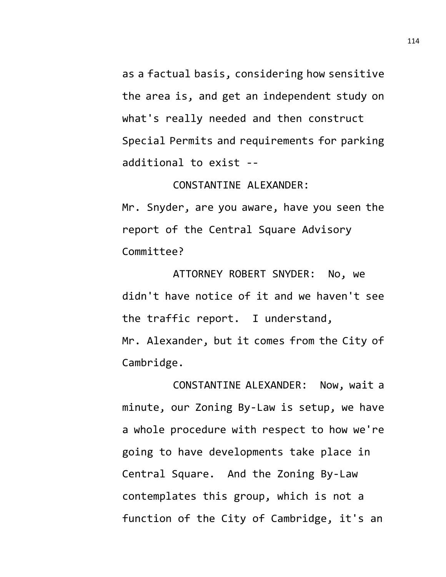as a factual basis, considering how sensitive the area is, and get an independent study on what's really needed and then construct Special Permits and requirements for parking additional to exist --

CONSTANTINE ALEXANDER:

Mr. Snyder, are you aware, have you seen the report of the Central Square Advisory Committee?

ATTORNEY ROBERT SNYDER: No, we didn't have notice of it and we haven't see the traffic report. I understand, Mr. Alexander, but it comes from the City of Cambridge.

CONSTANTINE ALEXANDER: Now, wait a minute, our Zoning By-Law is setup, we have a whole procedure with respect to how we're going to have developments take place in Central Square. And the Zoning By-Law contemplates this group, which is not a function of the City of Cambridge, it's an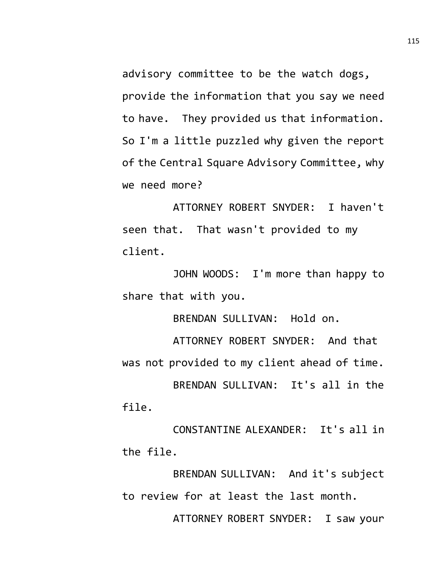advisory committee to be the watch dogs, provide the information that you say we need to have. They provided us that information. So I'm a little puzzled why given the report of the Central Square Advisory Committee, why we need more?

ATTORNEY ROBERT SNYDER: I haven't seen that. That wasn't provided to my client.

JOHN WOODS: I'm more than happy to share that with you.

BRENDAN SULLIVAN: Hold on.

ATTORNEY ROBERT SNYDER: And that was not provided to my client ahead of time. BRENDAN SULLIVAN: It's all in the file.

CONSTANTINE ALEXANDER: It's all in the file.

BRENDAN SULLIVAN: And it's subject to review for at least the last month.

ATTORNEY ROBERT SNYDER: I saw your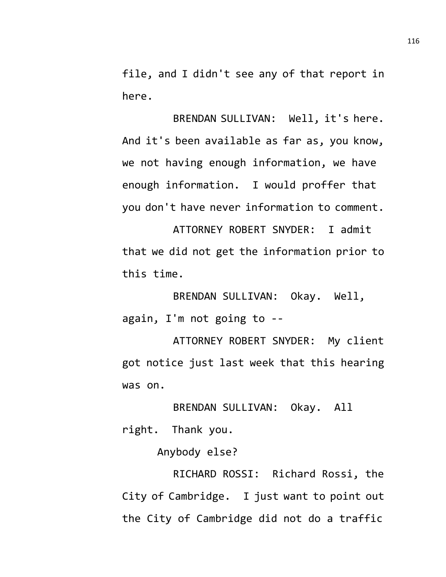file, and I didn't see any of that report in here.

BRENDAN SULLIVAN: Well, it's here. And it's been available as far as, you know, we not having enough information, we have enough information. I would proffer that you don't have never information to comment.

ATTORNEY ROBERT SNYDER: I admit that we did not get the information prior to this time.

BRENDAN SULLIVAN: Okay. Well, again, I'm not going to --

ATTORNEY ROBERT SNYDER: My client got notice just last week that this hearing was on.

BRENDAN SULLIVAN: Okay. All right. Thank you.

Anybody else?

RICHARD ROSSI: Richard Rossi, the City of Cambridge. I just want to point out the City of Cambridge did not do a traffic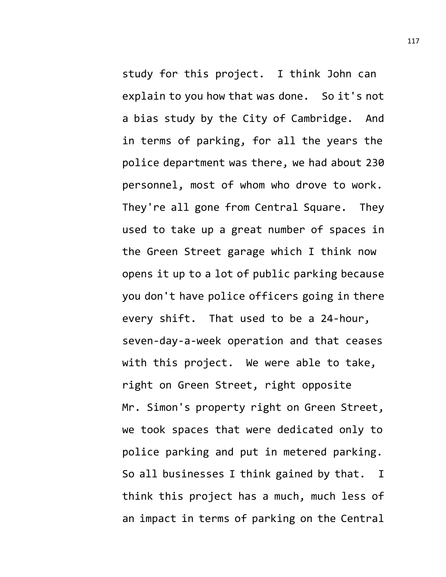study for this project. I think John can explain to you how that was done. So it's not a bias study by the City of Cambridge. And in terms of parking, for all the years the police department was there, we had about 230 personnel, most of whom who drove to work. They're all gone from Central Square. They used to take up a great number of spaces in the Green Street garage which I think now opens it up to a lot of public parking because you don't have police officers going in there every shift. That used to be a 24-hour, seven-day-a-week operation and that ceases with this project. We were able to take, right on Green Street, right opposite Mr. Simon's property right on Green Street, we took spaces that were dedicated only to police parking and put in metered parking. So all businesses I think gained by that. I think this project has a much, much less of an impact in terms of parking on the Central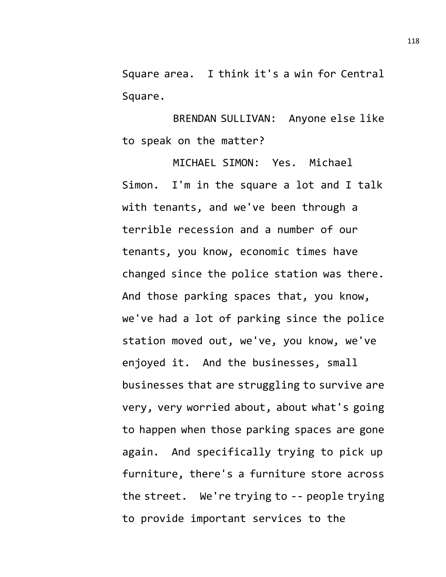Square area. I think it's a win for Central Square.

BRENDAN SULLIVAN: Anyone else like to speak on the matter?

MICHAEL SIMON: Yes. Michael Simon. I'm in the square a lot and I talk with tenants, and we've been through a terrible recession and a number of our tenants, you know, economic times have changed since the police station was there. And those parking spaces that, you know, we've had a lot of parking since the police station moved out, we've, you know, we've enjoyed it. And the businesses, small businesses that are struggling to survive are very, very worried about, about what's going to happen when those parking spaces are gone again. And specifically trying to pick up furniture, there's a furniture store across the street. We're trying to -- people trying to provide important services to the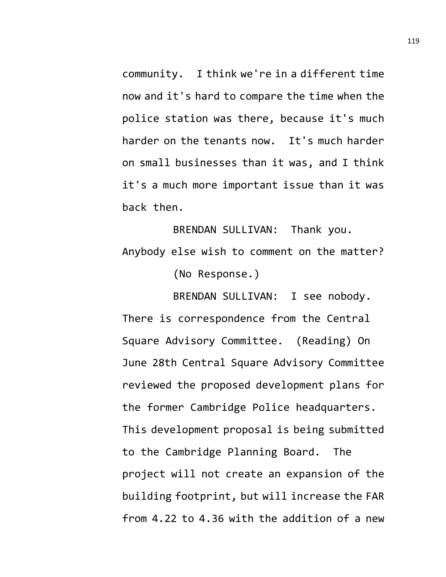community. I think we're in a different time now and it's hard to compare the time when the police station was there, because it's much harder on the tenants now. It's much harder on small businesses than it was, and I think it's a much more important issue than it was back then.

BRENDAN SULLIVAN: Thank you. Anybody else wish to comment on the matter? (No Response.)

BRENDAN SULLIVAN: I see nobody. There is correspondence from the Central Square Advisory Committee. (Reading) On June 28th Central Square Advisory Committee reviewed the proposed development plans for the former Cambridge Police headquarters. This development proposal is being submitted to the Cambridge Planning Board. The project will not create an expansion of the building footprint, but will increase the FAR from 4.22 to 4.36 with the addition of a new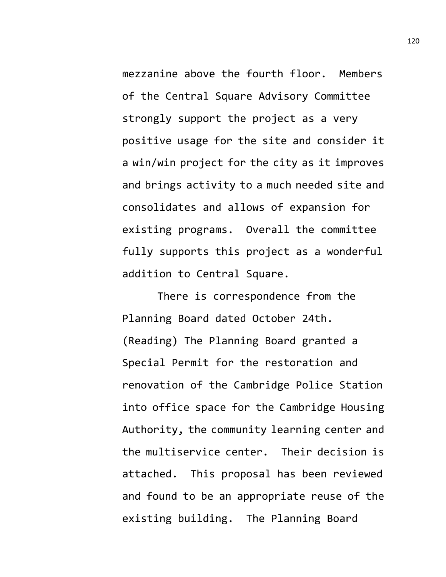mezzanine above the fourth floor. Members of the Central Square Advisory Committee strongly support the project as a very positive usage for the site and consider it a win/win project for the city as it improves and brings activity to a much needed site and consolidates and allows of expansion for existing programs. Overall the committee fully supports this project as a wonderful addition to Central Square.

There is correspondence from the Planning Board dated October 24th. (Reading) The Planning Board granted a Special Permit for the restoration and renovation of the Cambridge Police Station into office space for the Cambridge Housing Authority, the community learning center and the multiservice center. Their decision is attached. This proposal has been reviewed and found to be an appropriate reuse of the existing building. The Planning Board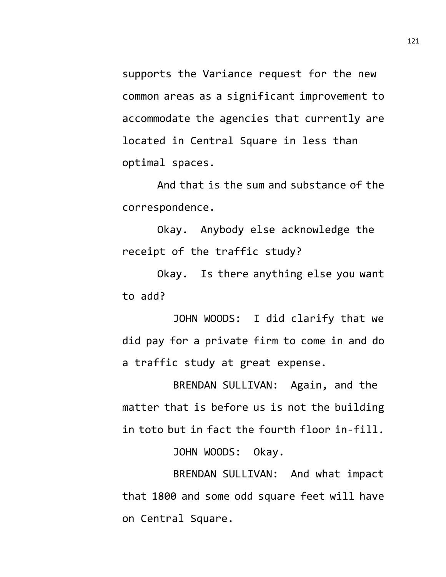supports the Variance request for the new common areas as a significant improvement to accommodate the agencies that currently are located in Central Square in less than optimal spaces.

And that is the sum and substance of the correspondence.

Okay. Anybody else acknowledge the receipt of the traffic study?

Okay. Is there anything else you want to add?

JOHN WOODS: I did clarify that we did pay for a private firm to come in and do a traffic study at great expense.

BRENDAN SULLIVAN: Again, and the matter that is before us is not the building in toto but in fact the fourth floor in-fill.

JOHN WOODS: Okay.

BRENDAN SULLIVAN: And what impact that 1800 and some odd square feet will have on Central Square.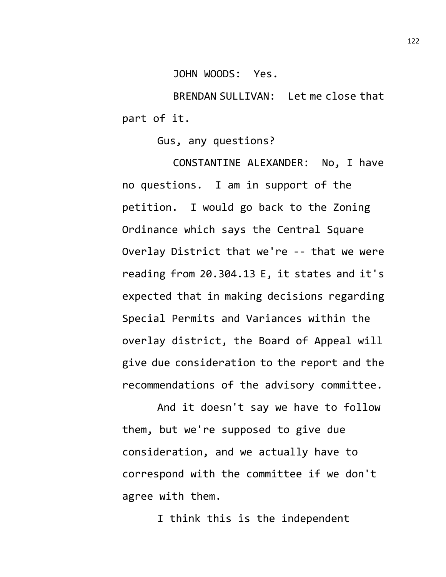JOHN WOODS: Yes.

BRENDAN SULLIVAN: Let me close that part of it.

Gus, any questions?

CONSTANTINE ALEXANDER: No, I have no questions. I am in support of the petition. I would go back to the Zoning Ordinance which says the Central Square Overlay District that we're -- that we were reading from 20.304.13 E, it states and it's expected that in making decisions regarding Special Permits and Variances within the overlay district, the Board of Appeal will give due consideration to the report and the recommendations of the advisory committee.

And it doesn't say we have to follow them, but we're supposed to give due consideration, and we actually have to correspond with the committee if we don't agree with them.

I think this is the independent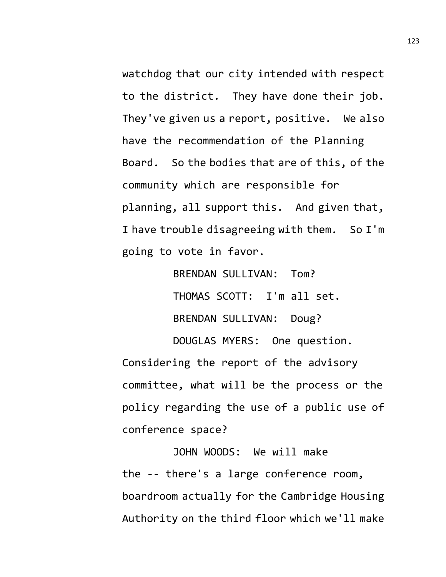watchdog that our city intended with respect to the district. They have done their job. They've given us a report, positive. We also have the recommendation of the Planning Board. So the bodies that are of this, of the community which are responsible for planning, all support this. And given that, I have trouble disagreeing with them. So I'm going to vote in favor.

> BRENDAN SULLIVAN: Tom? THOMAS SCOTT: I'm all set. BRENDAN SULLIVAN: Doug?

DOUGLAS MYERS: One question.

Considering the report of the advisory committee, what will be the process or the policy regarding the use of a public use of conference space?

JOHN WOODS: We will make the -- there's a large conference room, boardroom actually for the Cambridge Housing Authority on the third floor which we'll make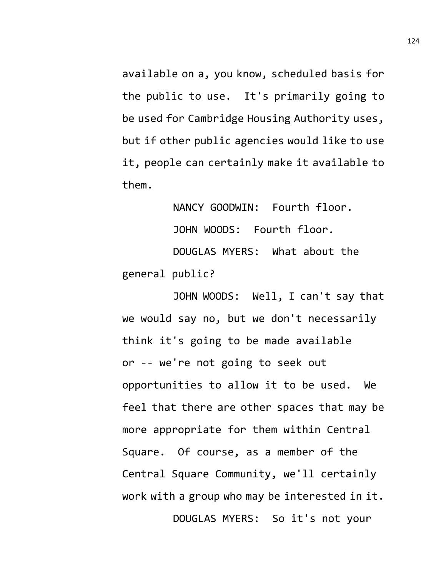available on a, you know, scheduled basis for the public to use. It's primarily going to be used for Cambridge Housing Authority uses, but if other public agencies would like to use it, people can certainly make it available to them.

NANCY GOODWIN: Fourth floor. JOHN WOODS: Fourth floor. DOUGLAS MYERS: What about the general public?

JOHN WOODS: Well, I can't say that we would say no, but we don't necessarily think it's going to be made available or -- we're not going to seek out opportunities to allow it to be used. We feel that there are other spaces that may be more appropriate for them within Central Square. Of course, as a member of the Central Square Community, we'll certainly work with a group who may be interested in it. DOUGLAS MYERS: So it's not your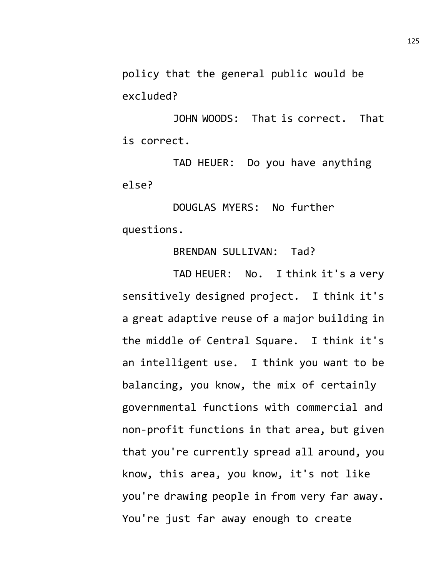policy that the general public would be excluded?

JOHN WOODS: That is correct. That is correct.

TAD HEUER: Do you have anything else?

DOUGLAS MYERS: No further questions.

## BRENDAN SULLIVAN: Tad?

TAD HEUER: No. I think it's a very sensitively designed project. I think it's a great adaptive reuse of a major building in the middle of Central Square. I think it's an intelligent use. I think you want to be balancing, you know, the mix of certainly governmental functions with commercial and non-profit functions in that area, but given that you're currently spread all around, you know, this area, you know, it's not like you're drawing people in from very far away. You're just far away enough to create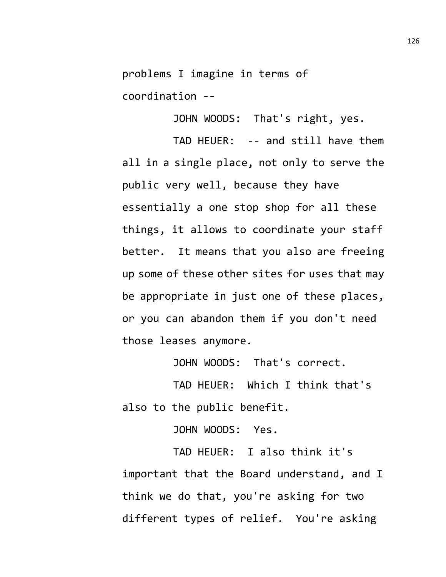problems I imagine in terms of coordination --

JOHN WOODS: That's right, yes.

TAD HEUER: -- and still have them all in a single place, not only to serve the public very well, because they have essentially a one stop shop for all these things, it allows to coordinate your staff better. It means that you also are freeing up some of these other sites for uses that may be appropriate in just one of these places, or you can abandon them if you don't need those leases anymore.

JOHN WOODS: That's correct.

TAD HEUER: Which I think that's also to the public benefit.

JOHN WOODS: Yes.

TAD HEUER: I also think it's important that the Board understand, and I think we do that, you're asking for two different types of relief. You're asking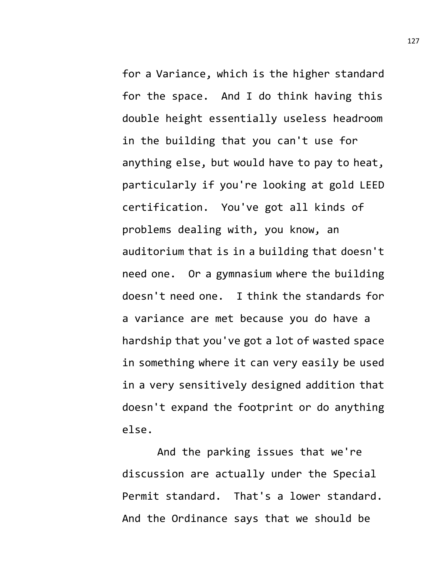for a Variance, which is the higher standard for the space. And I do think having this double height essentially useless headroom in the building that you can't use for anything else, but would have to pay to heat, particularly if you're looking at gold LEED certification. You've got all kinds of problems dealing with, you know, an auditorium that is in a building that doesn't need one. Or a gymnasium where the building doesn't need one. I think the standards for a variance are met because you do have a hardship that you've got a lot of wasted space in something where it can very easily be used in a very sensitively designed addition that doesn't expand the footprint or do anything else.

And the parking issues that we're discussion are actually under the Special Permit standard. That's a lower standard. And the Ordinance says that we should be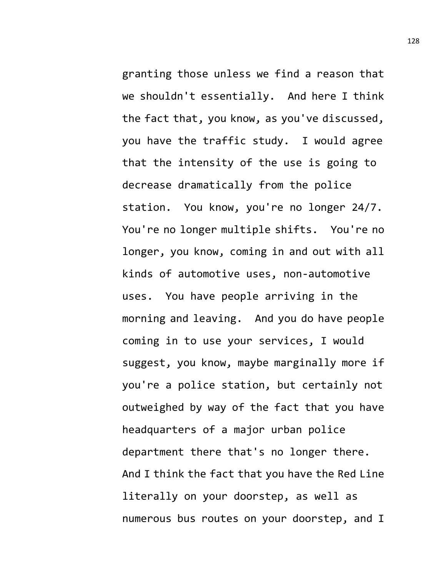granting those unless we find a reason that we shouldn't essentially. And here I think the fact that, you know, as you've discussed, you have the traffic study. I would agree that the intensity of the use is going to decrease dramatically from the police station. You know, you're no longer 24/7. You're no longer multiple shifts. You're no longer, you know, coming in and out with all kinds of automotive uses, non-automotive uses. You have people arriving in the morning and leaving. And you do have people coming in to use your services, I would suggest, you know, maybe marginally more if you're a police station, but certainly not outweighed by way of the fact that you have headquarters of a major urban police department there that's no longer there. And I think the fact that you have the Red Line literally on your doorstep, as well as numerous bus routes on your doorstep, and I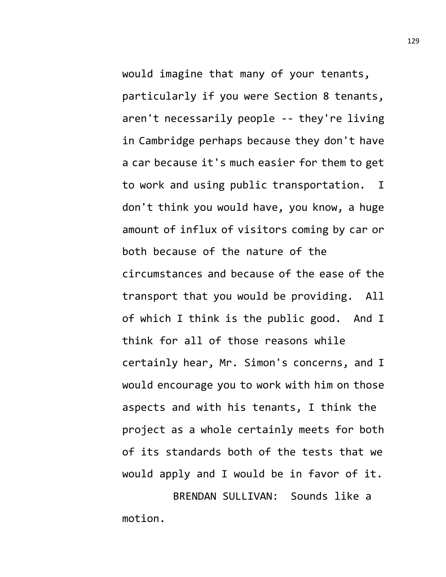would imagine that many of your tenants, particularly if you were Section 8 tenants, aren't necessarily people -- they're living in Cambridge perhaps because they don't have a car because it's much easier for them to get to work and using public transportation. I don't think you would have, you know, a huge amount of influx of visitors coming by car or both because of the nature of the circumstances and because of the ease of the transport that you would be providing. All of which I think is the public good. And I think for all of those reasons while certainly hear, Mr. Simon's concerns, and I would encourage you to work with him on those aspects and with his tenants, I think the project as a whole certainly meets for both of its standards both of the tests that we would apply and I would be in favor of it. BRENDAN SULLIVAN: Sounds like a

motion.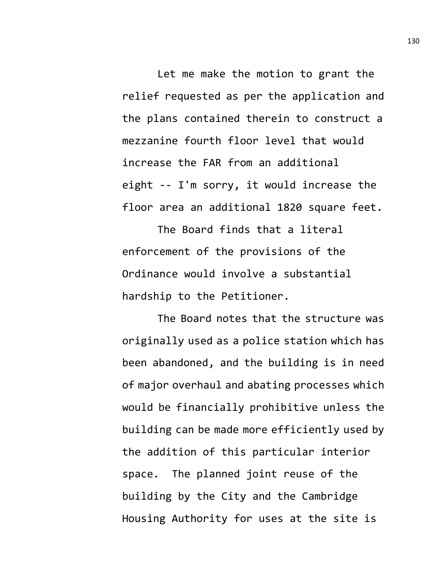Let me make the motion to grant the relief requested as per the application and the plans contained therein to construct a mezzanine fourth floor level that would increase the FAR from an additional eight -- I'm sorry, it would increase the floor area an additional 1820 square feet.

The Board finds that a literal enforcement of the provisions of the Ordinance would involve a substantial hardship to the Petitioner.

The Board notes that the structure was originally used as a police station which has been abandoned, and the building is in need of major overhaul and abating processes which would be financially prohibitive unless the building can be made more efficiently used by the addition of this particular interior space. The planned joint reuse of the building by the City and the Cambridge Housing Authority for uses at the site is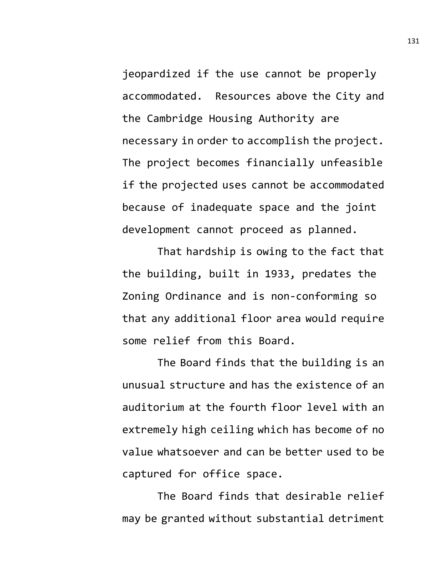jeopardized if the use cannot be properly accommodated. Resources above the City and the Cambridge Housing Authority are necessary in order to accomplish the project. The project becomes financially unfeasible if the projected uses cannot be accommodated because of inadequate space and the joint development cannot proceed as planned.

That hardship is owing to the fact that the building, built in 1933, predates the Zoning Ordinance and is non-conforming so that any additional floor area would require some relief from this Board.

The Board finds that the building is an unusual structure and has the existence of an auditorium at the fourth floor level with an extremely high ceiling which has become of no value whatsoever and can be better used to be captured for office space.

The Board finds that desirable relief may be granted without substantial detriment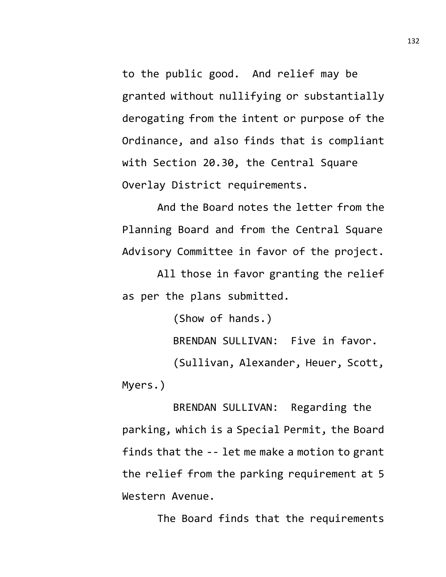to the public good. And relief may be granted without nullifying or substantially derogating from the intent or purpose of the Ordinance, and also finds that is compliant with Section 20.30, the Central Square Overlay District requirements.

And the Board notes the letter from the Planning Board and from the Central Square Advisory Committee in favor of the project.

All those in favor granting the relief as per the plans submitted.

(Show of hands.) BRENDAN SULLIVAN: Five in favor. (Sullivan, Alexander, Heuer, Scott, Myers.)

BRENDAN SULLIVAN: Regarding the parking, which is a Special Permit, the Board finds that the -- let me make a motion to grant the relief from the parking requirement at 5 Western Avenue.

The Board finds that the requirements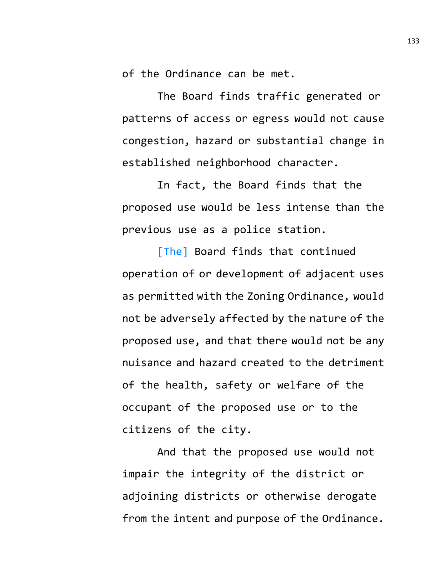of the Ordinance can be met.

The Board finds traffic generated or patterns of access or egress would not cause congestion, hazard or substantial change in established neighborhood character.

In fact, the Board finds that the proposed use would be less intense than the previous use as a police station.

[The] Board finds that continued operation of or development of adjacent uses as permitted with the Zoning Ordinance, would not be adversely affected by the nature of the proposed use, and that there would not be any nuisance and hazard created to the detriment of the health, safety or welfare of the occupant of the proposed use or to the citizens of the city.

And that the proposed use would not impair the integrity of the district or adjoining districts or otherwise derogate from the intent and purpose of the Ordinance.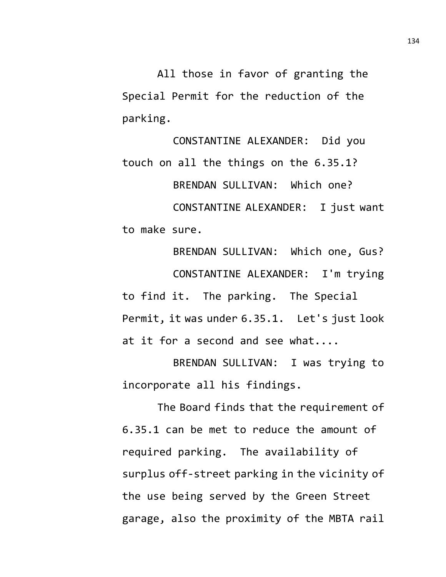All those in favor of granting the Special Permit for the reduction of the parking.

CONSTANTINE ALEXANDER: Did you touch on all the things on the 6.35.1? BRENDAN SULLIVAN: Which one? CONSTANTINE ALEXANDER: I just want to make sure.

BRENDAN SULLIVAN: Which one, Gus? CONSTANTINE ALEXANDER: I'm trying to find it. The parking. The Special Permit, it was under 6.35.1. Let's just look at it for a second and see what....

BRENDAN SULLIVAN: I was trying to incorporate all his findings.

The Board finds that the requirement of 6.35.1 can be met to reduce the amount of required parking. The availability of surplus off-street parking in the vicinity of the use being served by the Green Street garage, also the proximity of the MBTA rail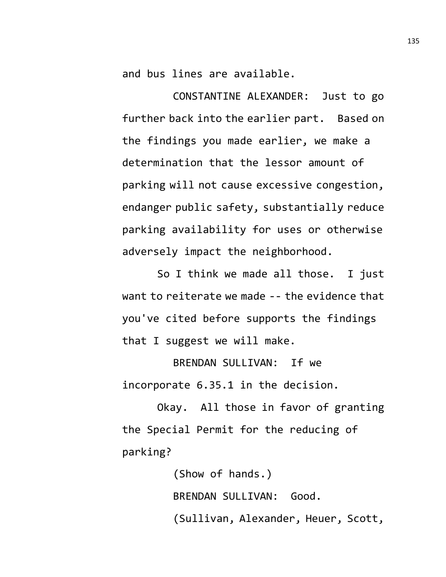and bus lines are available.

CONSTANTINE ALEXANDER: Just to go further back into the earlier part. Based on the findings you made earlier, we make a determination that the lessor amount of parking will not cause excessive congestion, endanger public safety, substantially reduce parking availability for uses or otherwise adversely impact the neighborhood.

So I think we made all those. I just want to reiterate we made -- the evidence that you've cited before supports the findings that I suggest we will make.

BRENDAN SULLIVAN: If we incorporate 6.35.1 in the decision.

Okay. All those in favor of granting the Special Permit for the reducing of parking?

> (Show of hands.) BRENDAN SULLIVAN: Good. (Sullivan, Alexander, Heuer, Scott,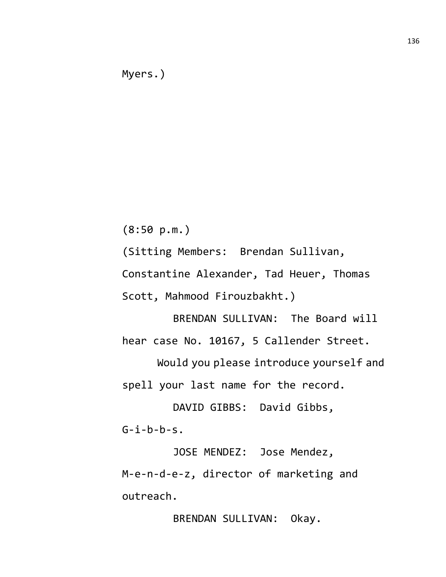(8:50 p.m.)

(Sitting Members: Brendan Sullivan,

Constantine Alexander, Tad Heuer, Thomas

Scott, Mahmood Firouzbakht.)

BRENDAN SULLIVAN: The Board will hear case No. 10167, 5 Callender Street.

Would you please introduce yourself and spell your last name for the record.

DAVID GIBBS: David Gibbs,  $G-i-b-b-s.$ 

JOSE MENDEZ: Jose Mendez, M-e-n-d-e-z, director of marketing and outreach.

BRENDAN SULLIVAN: Okay.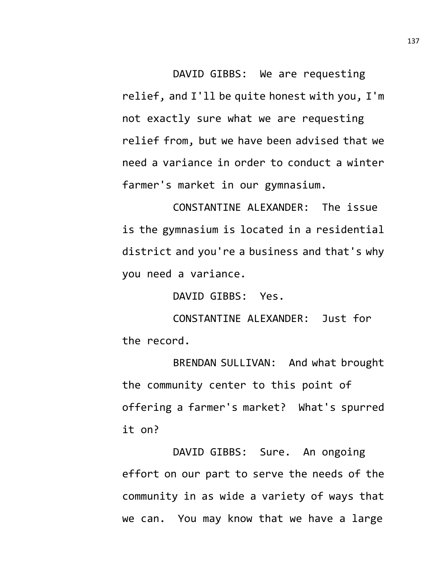DAVID GIBBS: We are requesting relief, and I'll be quite honest with you, I'm not exactly sure what we are requesting relief from, but we have been advised that we need a variance in order to conduct a winter farmer's market in our gymnasium.

CONSTANTINE ALEXANDER: The issue is the gymnasium is located in a residential district and you're a business and that's why you need a variance.

DAVID GIBBS: Yes.

CONSTANTINE ALEXANDER: Just for the record.

BRENDAN SULLIVAN: And what brought the community center to this point of offering a farmer's market? What's spurred it on?

DAVID GIBBS: Sure. An ongoing effort on our part to serve the needs of the community in as wide a variety of ways that we can. You may know that we have a large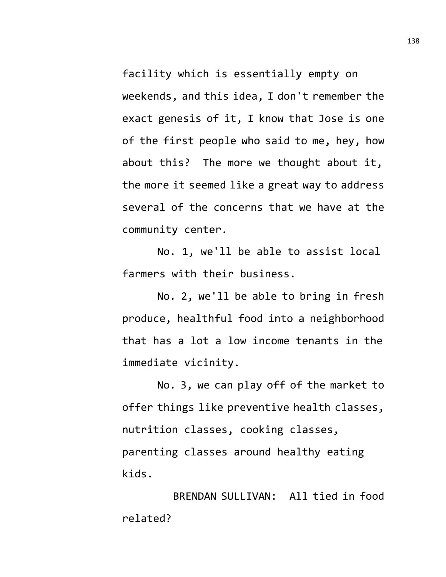facility which is essentially empty on weekends, and this idea, I don't remember the exact genesis of it, I know that Jose is one of the first people who said to me, hey, how about this? The more we thought about it, the more it seemed like a great way to address several of the concerns that we have at the community center.

No. 1, we'll be able to assist local farmers with their business.

No. 2, we'll be able to bring in fresh produce, healthful food into a neighborhood that has a lot a low income tenants in the immediate vicinity.

No. 3, we can play off of the market to offer things like preventive health classes, nutrition classes, cooking classes, parenting classes around healthy eating kids.

BRENDAN SULLIVAN: All tied in food related?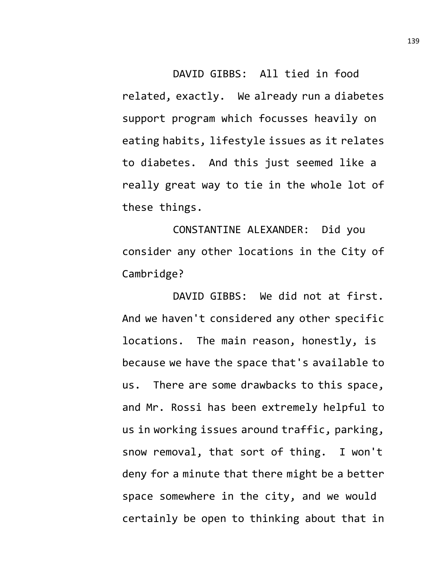DAVID GIBBS: All tied in food related, exactly. We already run a diabetes support program which focusses heavily on eating habits, lifestyle issues as it relates to diabetes. And this just seemed like a really great way to tie in the whole lot of these things.

CONSTANTINE ALEXANDER: Did you consider any other locations in the City of Cambridge?

DAVID GIBBS: We did not at first. And we haven't considered any other specific locations. The main reason, honestly, is because we have the space that's available to us. There are some drawbacks to this space, and Mr. Rossi has been extremely helpful to us in working issues around traffic, parking, snow removal, that sort of thing. I won't deny for a minute that there might be a better space somewhere in the city, and we would certainly be open to thinking about that in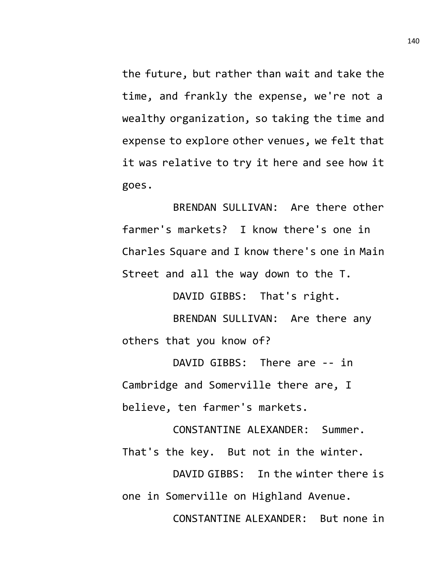the future, but rather than wait and take the time, and frankly the expense, we're not a wealthy organization, so taking the time and expense to explore other venues, we felt that it was relative to try it here and see how it goes.

BRENDAN SULLIVAN: Are there other farmer's markets? I know there's one in Charles Square and I know there's one in Main Street and all the way down to the T.

DAVID GIBBS: That's right.

BRENDAN SULLIVAN: Are there any others that you know of?

DAVID GIBBS: There are -- in Cambridge and Somerville there are, I believe, ten farmer's markets.

CONSTANTINE ALEXANDER: Summer. That's the key. But not in the winter.

DAVID GIBBS: In the winter there is one in Somerville on Highland Avenue.

CONSTANTINE ALEXANDER: But none in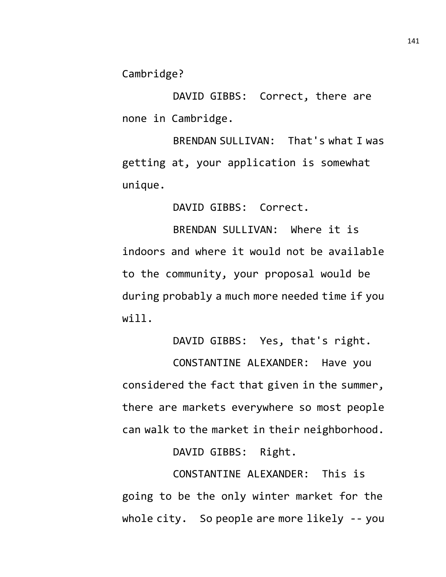Cambridge?

DAVID GIBBS: Correct, there are none in Cambridge.

BRENDAN SULLIVAN: That's what I was getting at, your application is somewhat unique.

DAVID GIBBS: Correct.

BRENDAN SULLIVAN: Where it is indoors and where it would not be available to the community, your proposal would be during probably a much more needed time if you will.

DAVID GIBBS: Yes, that's right.

CONSTANTINE ALEXANDER: Have you considered the fact that given in the summer, there are markets everywhere so most people can walk to the market in their neighborhood.

DAVID GIBBS: Right.

CONSTANTINE ALEXANDER: This is going to be the only winter market for the whole city. So people are more likely -- you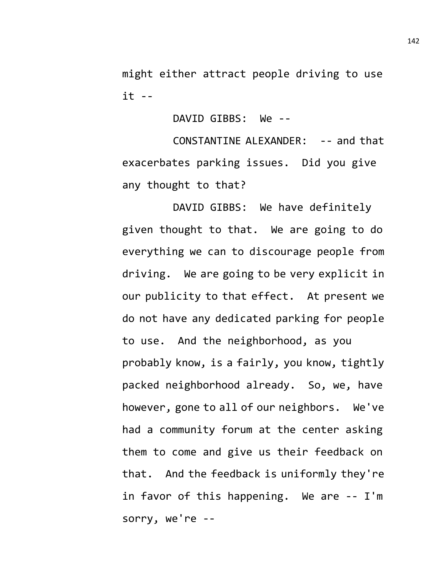might either attract people driving to use it --

DAVID GIBBS: We --

CONSTANTINE ALEXANDER: -- and that exacerbates parking issues. Did you give any thought to that?

DAVID GIBBS: We have definitely given thought to that. We are going to do everything we can to discourage people from driving. We are going to be very explicit in our publicity to that effect. At present we do not have any dedicated parking for people to use. And the neighborhood, as you probably know, is a fairly, you know, tightly packed neighborhood already. So, we, have however, gone to all of our neighbors. We've had a community forum at the center asking them to come and give us their feedback on that. And the feedback is uniformly they're in favor of this happening. We are -- I'm sorry, we're --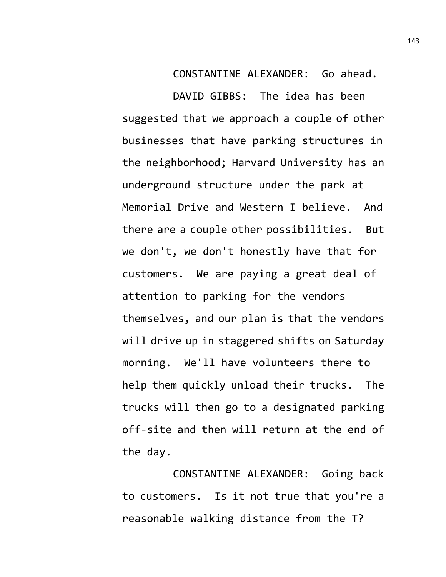CONSTANTINE ALEXANDER: Go ahead.

DAVID GIBBS: The idea has been suggested that we approach a couple of other businesses that have parking structures in the neighborhood; Harvard University has an underground structure under the park at Memorial Drive and Western I believe. And there are a couple other possibilities. But we don't, we don't honestly have that for customers. We are paying a great deal of attention to parking for the vendors themselves, and our plan is that the vendors will drive up in staggered shifts on Saturday morning. We'll have volunteers there to help them quickly unload their trucks. The trucks will then go to a designated parking off-site and then will return at the end of the day.

CONSTANTINE ALEXANDER: Going back to customers. Is it not true that you're a reasonable walking distance from the T?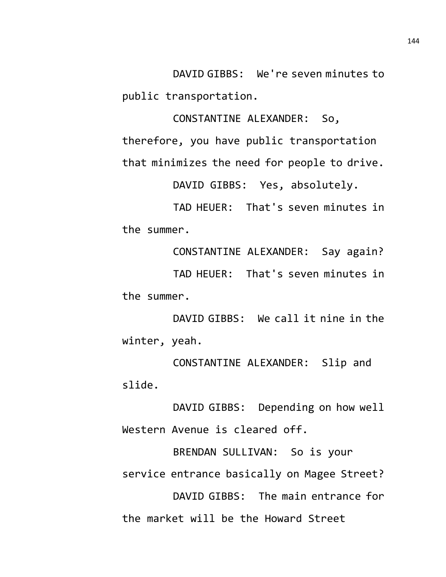DAVID GIBBS: We're seven minutes to public transportation.

CONSTANTINE ALEXANDER: So, therefore, you have public transportation that minimizes the need for people to drive.

DAVID GIBBS: Yes, absolutely.

TAD HEUER: That's seven minutes in the summer.

CONSTANTINE ALEXANDER: Say again? TAD HEUER: That's seven minutes in the summer.

DAVID GIBBS: We call it nine in the winter, yeah.

CONSTANTINE ALEXANDER: Slip and slide.

DAVID GIBBS: Depending on how well Western Avenue is cleared off.

BRENDAN SULLIVAN: So is your service entrance basically on Magee Street? DAVID GIBBS: The main entrance for the market will be the Howard Street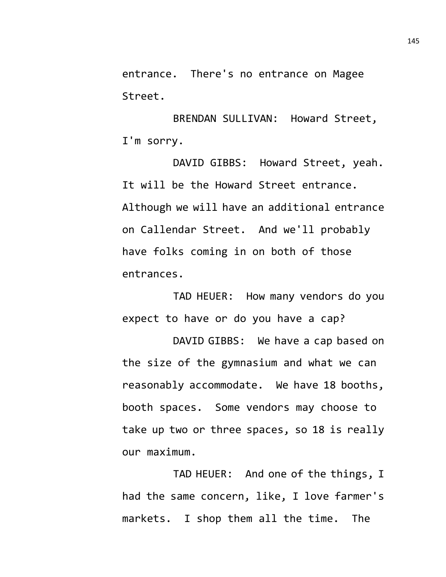entrance. There's no entrance on Magee Street.

BRENDAN SULLIVAN: Howard Street, I'm sorry.

DAVID GIBBS: Howard Street, yeah. It will be the Howard Street entrance. Although we will have an additional entrance on Callendar Street. And we'll probably have folks coming in on both of those entrances.

TAD HEUER: How many vendors do you expect to have or do you have a cap?

DAVID GIBBS: We have a cap based on the size of the gymnasium and what we can reasonably accommodate. We have 18 booths, booth spaces. Some vendors may choose to take up two or three spaces, so 18 is really our maximum.

TAD HEUER: And one of the things, I had the same concern, like, I love farmer's markets. I shop them all the time. The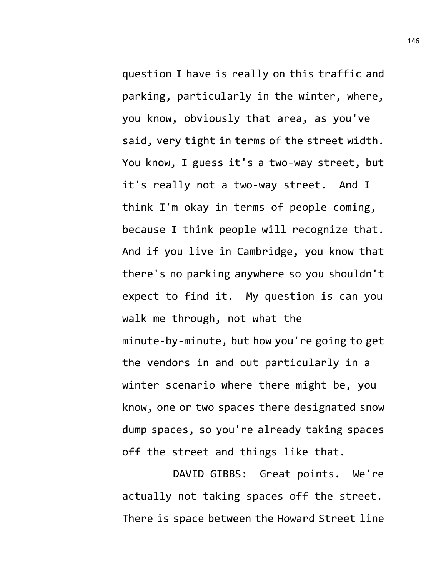question I have is really on this traffic and parking, particularly in the winter, where, you know, obviously that area, as you've said, very tight in terms of the street width. You know, I guess it's a two-way street, but it's really not a two-way street. And I think I'm okay in terms of people coming, because I think people will recognize that. And if you live in Cambridge, you know that there's no parking anywhere so you shouldn't expect to find it. My question is can you walk me through, not what the minute-by-minute, but how you're going to get the vendors in and out particularly in a winter scenario where there might be, you know, one or two spaces there designated snow dump spaces, so you're already taking spaces off the street and things like that.

DAVID GIBBS: Great points. We're actually not taking spaces off the street. There is space between the Howard Street line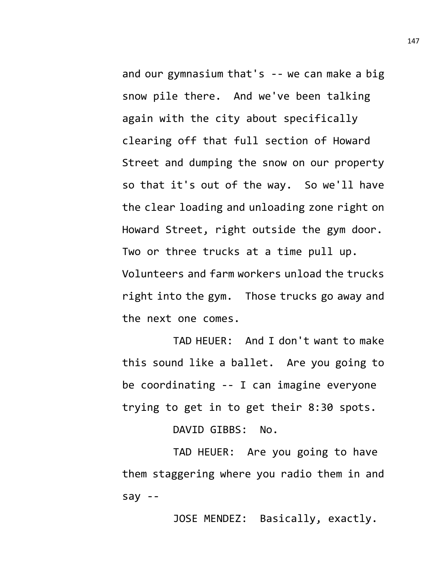and our gymnasium that's -- we can make a big snow pile there. And we've been talking again with the city about specifically clearing off that full section of Howard Street and dumping the snow on our property so that it's out of the way. So we'll have the clear loading and unloading zone right on Howard Street, right outside the gym door. Two or three trucks at a time pull up. Volunteers and farm workers unload the trucks right into the gym. Those trucks go away and the next one comes.

TAD HEUER: And I don't want to make this sound like a ballet. Are you going to be coordinating -- I can imagine everyone trying to get in to get their 8:30 spots.

DAVID GIBBS: No.

TAD HEUER: Are you going to have them staggering where you radio them in and say --

JOSE MENDEZ: Basically, exactly.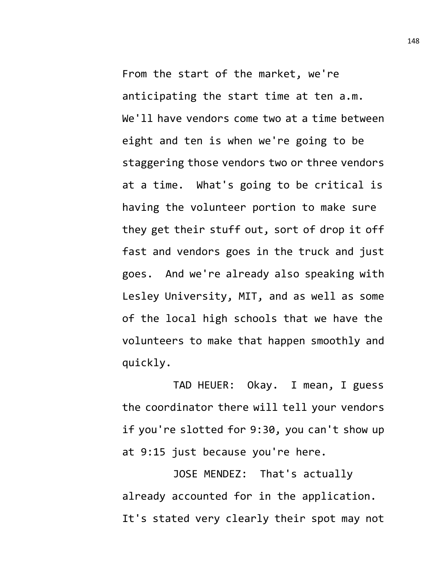From the start of the market, we're anticipating the start time at ten a.m. We'll have vendors come two at a time between eight and ten is when we're going to be staggering those vendors two or three vendors at a time. What's going to be critical is having the volunteer portion to make sure they get their stuff out, sort of drop it off fast and vendors goes in the truck and just goes. And we're already also speaking with Lesley University, MIT, and as well as some of the local high schools that we have the volunteers to make that happen smoothly and quickly.

TAD HEUER: Okay. I mean, I guess the coordinator there will tell your vendors if you're slotted for 9:30, you can't show up at 9:15 just because you're here.

JOSE MENDEZ: That's actually already accounted for in the application. It's stated very clearly their spot may not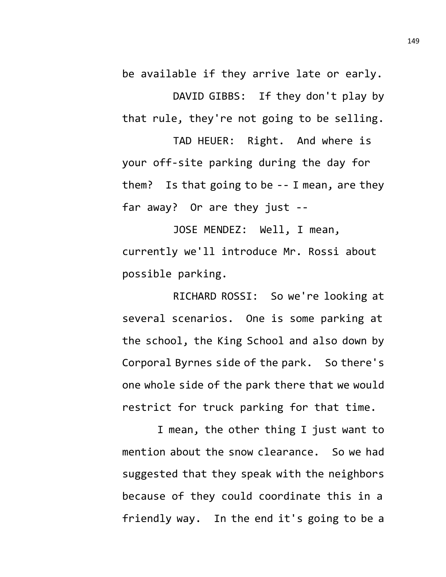be available if they arrive late or early.

DAVID GIBBS: If they don't play by that rule, they're not going to be selling.

TAD HEUER: Right. And where is your off-site parking during the day for them? Is that going to be -- I mean, are they far away? Or are they just --

JOSE MENDEZ: Well, I mean, currently we'll introduce Mr. Rossi about possible parking.

RICHARD ROSSI: So we're looking at several scenarios. One is some parking at the school, the King School and also down by Corporal Byrnes side of the park. So there's one whole side of the park there that we would restrict for truck parking for that time.

I mean, the other thing I just want to mention about the snow clearance. So we had suggested that they speak with the neighbors because of they could coordinate this in a friendly way. In the end it's going to be a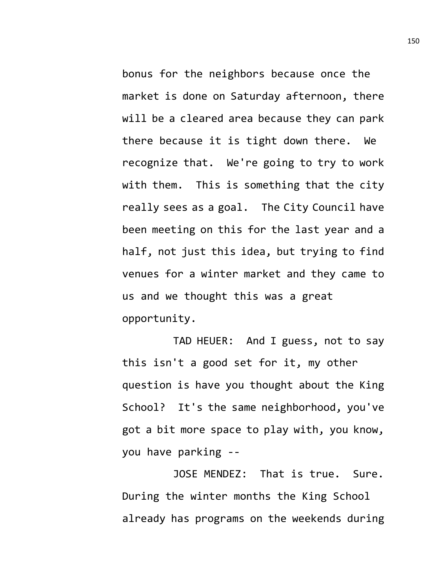bonus for the neighbors because once the market is done on Saturday afternoon, there will be a cleared area because they can park there because it is tight down there. We recognize that. We're going to try to work with them. This is something that the city really sees as a goal. The City Council have been meeting on this for the last year and a half, not just this idea, but trying to find venues for a winter market and they came to us and we thought this was a great opportunity.

TAD HEUER: And I guess, not to say this isn't a good set for it, my other question is have you thought about the King School? It's the same neighborhood, you've got a bit more space to play with, you know, you have parking --

JOSE MENDEZ: That is true. Sure. During the winter months the King School already has programs on the weekends during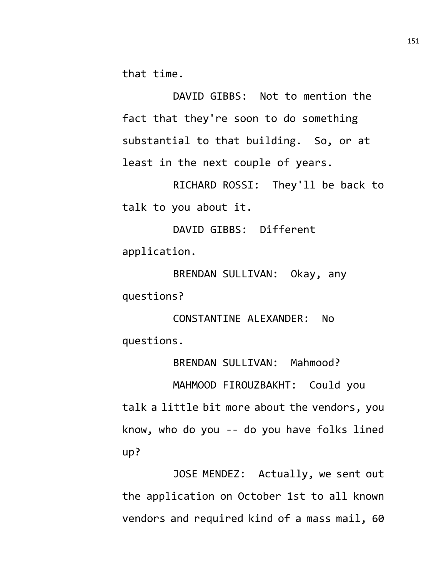that time.

DAVID GIBBS: Not to mention the fact that they're soon to do something substantial to that building. So, or at least in the next couple of years.

RICHARD ROSSI: They'll be back to talk to you about it.

DAVID GIBBS: Different application.

BRENDAN SULLIVAN: Okay, any questions?

CONSTANTINE ALEXANDER: No questions.

BRENDAN SULLIVAN: Mahmood?

MAHMOOD FIROUZBAKHT: Could you talk a little bit more about the vendors, you know, who do you -- do you have folks lined up?

JOSE MENDEZ: Actually, we sent out the application on October 1st to all known vendors and required kind of a mass mail, 60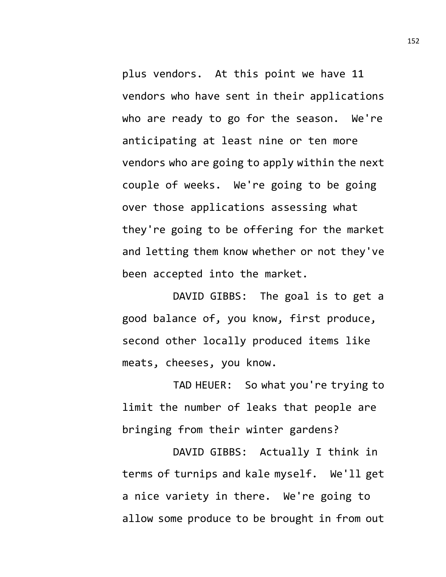plus vendors. At this point we have 11 vendors who have sent in their applications who are ready to go for the season. We're anticipating at least nine or ten more vendors who are going to apply within the next couple of weeks. We're going to be going over those applications assessing what they're going to be offering for the market and letting them know whether or not they've been accepted into the market.

DAVID GIBBS: The goal is to get a good balance of, you know, first produce, second other locally produced items like meats, cheeses, you know.

TAD HEUER: So what you're trying to limit the number of leaks that people are bringing from their winter gardens?

DAVID GIBBS: Actually I think in terms of turnips and kale myself. We'll get a nice variety in there. We're going to allow some produce to be brought in from out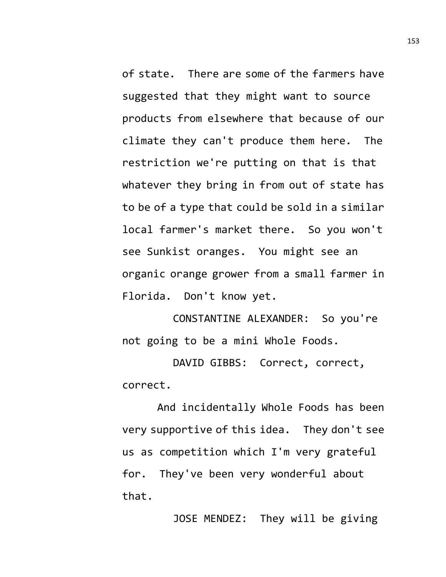of state. There are some of the farmers have suggested that they might want to source products from elsewhere that because of our climate they can't produce them here. The restriction we're putting on that is that whatever they bring in from out of state has to be of a type that could be sold in a similar local farmer's market there. So you won't see Sunkist oranges. You might see an organic orange grower from a small farmer in Florida. Don't know yet.

CONSTANTINE ALEXANDER: So you're not going to be a mini Whole Foods.

DAVID GIBBS: Correct, correct, correct.

And incidentally Whole Foods has been very supportive of this idea. They don't see us as competition which I'm very grateful for. They've been very wonderful about that.

JOSE MENDEZ: They will be giving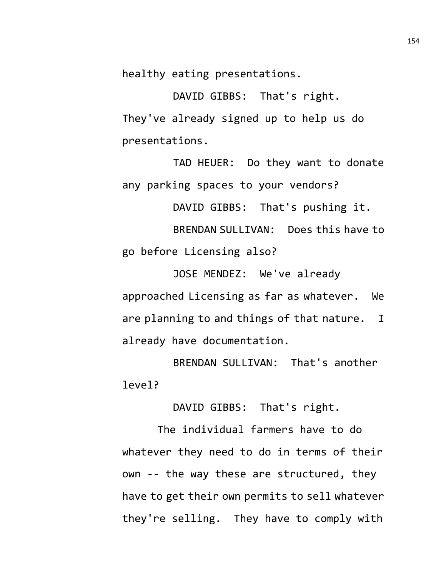healthy eating presentations.

DAVID GIBBS: That's right. They've already signed up to help us do presentations.

TAD HEUER: Do they want to donate any parking spaces to your vendors?

DAVID GIBBS: That's pushing it.

BRENDAN SULLIVAN: Does this have to go before Licensing also?

JOSE MENDEZ: We've already approached Licensing as far as whatever. We are planning to and things of that nature. I already have documentation.

BRENDAN SULLIVAN: That's another level?

DAVID GIBBS: That's right.

The individual farmers have to do whatever they need to do in terms of their own -- the way these are structured, they have to get their own permits to sell whatever they're selling. They have to comply with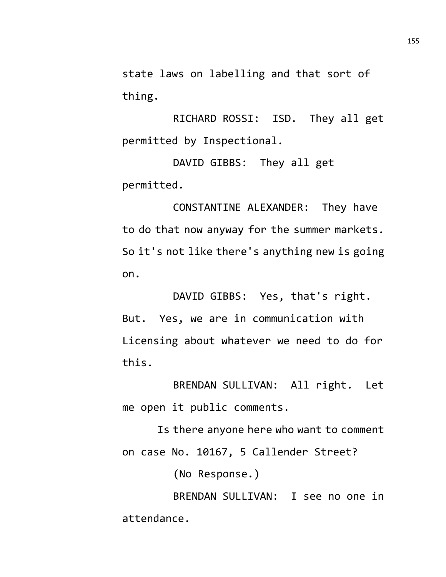state laws on labelling and that sort of thing.

RICHARD ROSSI: ISD. They all get permitted by Inspectional.

DAVID GIBBS: They all get permitted.

CONSTANTINE ALEXANDER: They have to do that now anyway for the summer markets. So it's not like there's anything new is going on.

DAVID GIBBS: Yes, that's right. But. Yes, we are in communication with Licensing about whatever we need to do for this.

BRENDAN SULLIVAN: All right. Let me open it public comments.

Is there anyone here who want to comment on case No. 10167, 5 Callender Street?

(No Response.)

BRENDAN SULLIVAN: I see no one in attendance.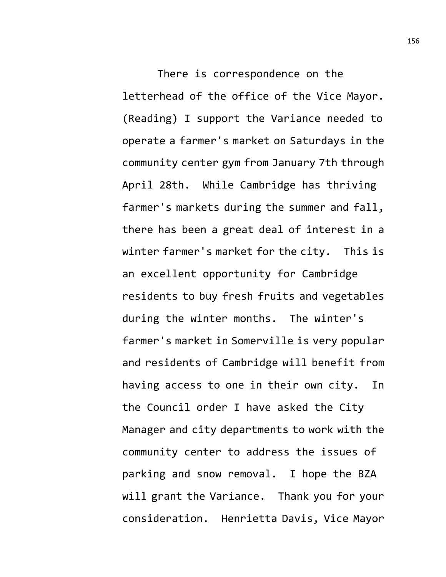There is correspondence on the letterhead of the office of the Vice Mayor. (Reading) I support the Variance needed to operate a farmer's market on Saturdays in the community center gym from January 7th through April 28th. While Cambridge has thriving farmer's markets during the summer and fall, there has been a great deal of interest in a winter farmer's market for the city. This is an excellent opportunity for Cambridge residents to buy fresh fruits and vegetables during the winter months. The winter's farmer's market in Somerville is very popular and residents of Cambridge will benefit from having access to one in their own city. In the Council order I have asked the City Manager and city departments to work with the community center to address the issues of parking and snow removal. I hope the BZA will grant the Variance. Thank you for your consideration. Henrietta Davis, Vice Mayor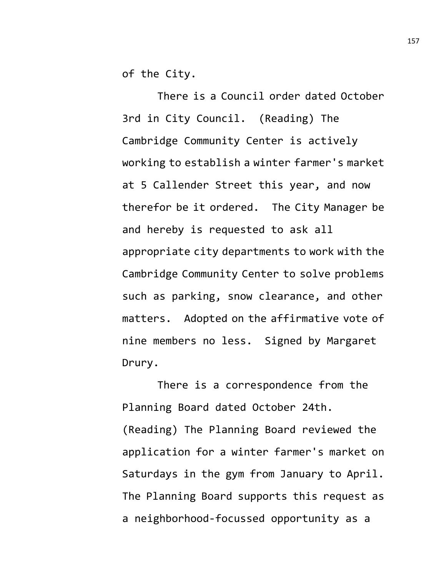of the City.

There is a Council order dated October 3rd in City Council. (Reading) The Cambridge Community Center is actively working to establish a winter farmer's market at 5 Callender Street this year, and now therefor be it ordered. The City Manager be and hereby is requested to ask all appropriate city departments to work with the Cambridge Community Center to solve problems such as parking, snow clearance, and other matters. Adopted on the affirmative vote of nine members no less. Signed by Margaret Drury.

There is a correspondence from the Planning Board dated October 24th. (Reading) The Planning Board reviewed the application for a winter farmer's market on Saturdays in the gym from January to April. The Planning Board supports this request as a neighborhood-focussed opportunity as a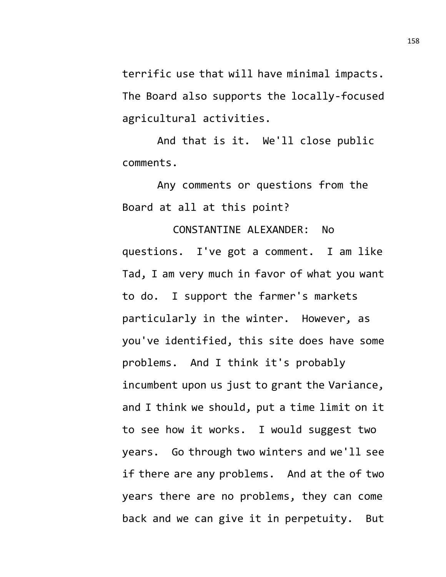terrific use that will have minimal impacts. The Board also supports the locally-focused agricultural activities.

And that is it. We'll close public comments.

Any comments or questions from the Board at all at this point?

CONSTANTINE ALEXANDER: No questions. I've got a comment. I am like Tad, I am very much in favor of what you want to do. I support the farmer's markets particularly in the winter. However, as you've identified, this site does have some problems. And I think it's probably incumbent upon us just to grant the Variance, and I think we should, put a time limit on it to see how it works. I would suggest two years. Go through two winters and we'll see if there are any problems. And at the of two years there are no problems, they can come back and we can give it in perpetuity. But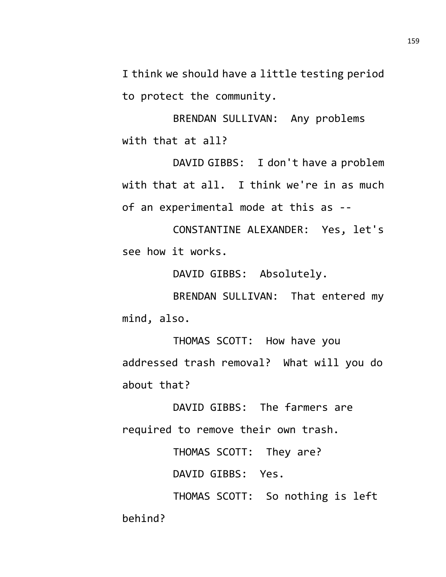I think we should have a little testing period to protect the community.

BRENDAN SULLIVAN: Any problems with that at all?

DAVID GIBBS: I don't have a problem with that at all. I think we're in as much of an experimental mode at this as --

CONSTANTINE ALEXANDER: Yes, let's see how it works.

DAVID GIBBS: Absolutely.

BRENDAN SULLIVAN: That entered my mind, also.

THOMAS SCOTT: How have you addressed trash removal? What will you do about that?

DAVID GIBBS: The farmers are required to remove their own trash.

THOMAS SCOTT: They are?

DAVID GIBBS: Yes.

THOMAS SCOTT: So nothing is left behind?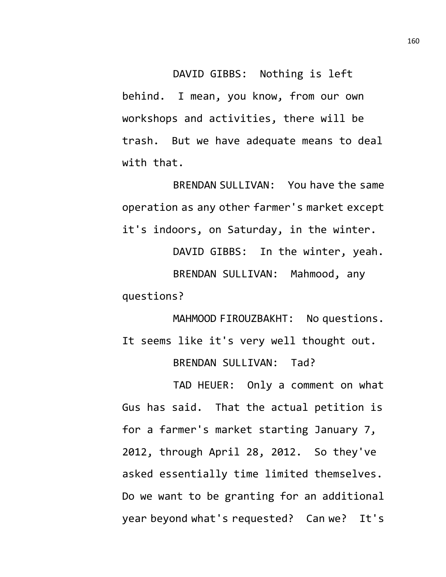DAVID GIBBS: Nothing is left behind. I mean, you know, from our own workshops and activities, there will be trash. But we have adequate means to deal with that.

BRENDAN SULLIVAN: You have the same operation as any other farmer's market except it's indoors, on Saturday, in the winter.

DAVID GIBBS: In the winter, yeah. BRENDAN SULLIVAN: Mahmood, any questions?

MAHMOOD FIROUZBAKHT: No questions. It seems like it's very well thought out. BRENDAN SULLIVAN: Tad?

TAD HEUER: Only a comment on what Gus has said. That the actual petition is for a farmer's market starting January 7, 2012, through April 28, 2012. So they've asked essentially time limited themselves. Do we want to be granting for an additional year beyond what's requested? Can we? It's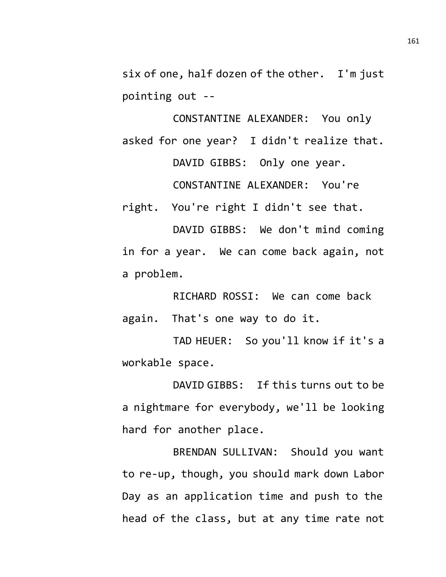six of one, half dozen of the other. I'm just pointing out --

CONSTANTINE ALEXANDER: You only asked for one year? I didn't realize that. DAVID GIBBS: Only one year. CONSTANTINE ALEXANDER: You're right. You're right I didn't see that.

DAVID GIBBS: We don't mind coming in for a year. We can come back again, not a problem.

RICHARD ROSSI: We can come back again. That's one way to do it.

TAD HEUER: So you'll know if it's a workable space.

DAVID GIBBS: If this turns out to be a nightmare for everybody, we'll be looking hard for another place.

BRENDAN SULLIVAN: Should you want to re-up, though, you should mark down Labor Day as an application time and push to the head of the class, but at any time rate not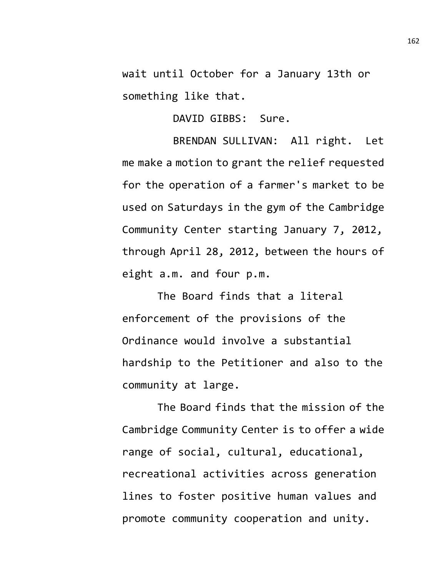wait until October for a January 13th or something like that.

DAVID GIBBS: Sure.

BRENDAN SULLIVAN: All right. Let me make a motion to grant the relief requested for the operation of a farmer's market to be used on Saturdays in the gym of the Cambridge Community Center starting January 7, 2012, through April 28, 2012, between the hours of eight a.m. and four p.m.

The Board finds that a literal enforcement of the provisions of the Ordinance would involve a substantial hardship to the Petitioner and also to the community at large.

The Board finds that the mission of the Cambridge Community Center is to offer a wide range of social, cultural, educational, recreational activities across generation lines to foster positive human values and promote community cooperation and unity.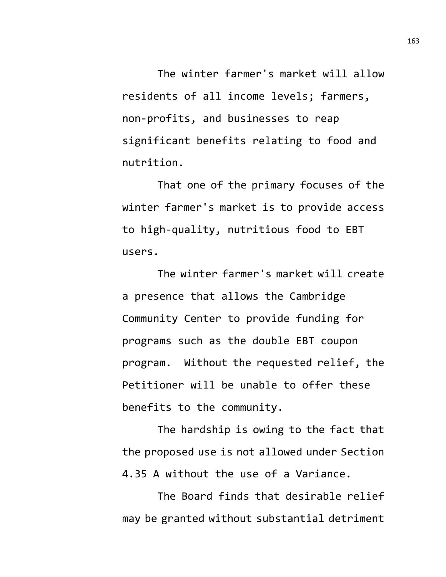The winter farmer's market will allow residents of all income levels; farmers, non-profits, and businesses to reap significant benefits relating to food and nutrition.

That one of the primary focuses of the winter farmer's market is to provide access to high-quality, nutritious food to EBT users.

The winter farmer's market will create a presence that allows the Cambridge Community Center to provide funding for programs such as the double EBT coupon program. Without the requested relief, the Petitioner will be unable to offer these benefits to the community.

The hardship is owing to the fact that the proposed use is not allowed under Section 4.35 A without the use of a Variance.

The Board finds that desirable relief may be granted without substantial detriment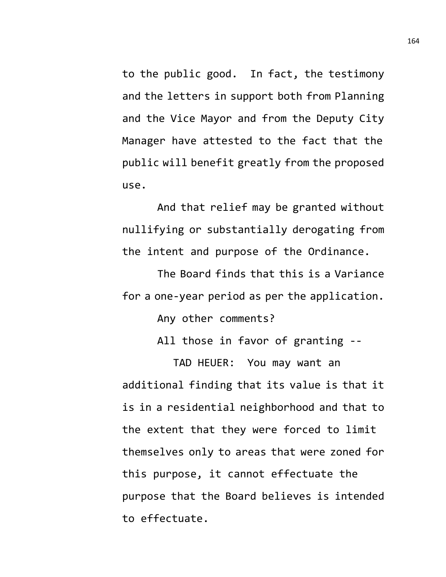to the public good. In fact, the testimony and the letters in support both from Planning and the Vice Mayor and from the Deputy City Manager have attested to the fact that the public will benefit greatly from the proposed use.

And that relief may be granted without nullifying or substantially derogating from the intent and purpose of the Ordinance.

The Board finds that this is a Variance for a one-year period as per the application.

Any other comments?

All those in favor of granting --

TAD HEUER: You may want an additional finding that its value is that it is in a residential neighborhood and that to the extent that they were forced to limit themselves only to areas that were zoned for this purpose, it cannot effectuate the purpose that the Board believes is intended to effectuate.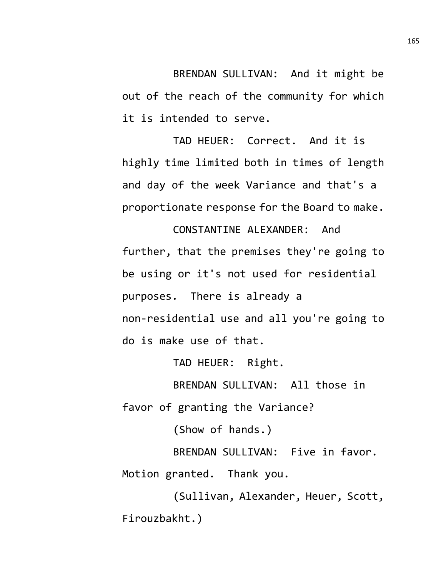BRENDAN SULLIVAN: And it might be out of the reach of the community for which it is intended to serve.

TAD HEUER: Correct. And it is highly time limited both in times of length and day of the week Variance and that's a proportionate response for the Board to make.

CONSTANTINE ALEXANDER: And further, that the premises they're going to be using or it's not used for residential purposes. There is already a non-residential use and all you're going to do is make use of that.

TAD HEUER: Right.

BRENDAN SULLIVAN: All those in favor of granting the Variance?

(Show of hands.)

BRENDAN SULLIVAN: Five in favor. Motion granted. Thank you.

(Sullivan, Alexander, Heuer, Scott, Firouzbakht.)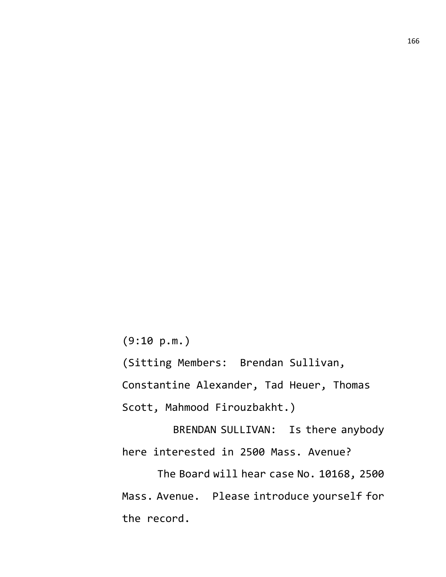(9:10 p.m.)

(Sitting Members: Brendan Sullivan,

Constantine Alexander, Tad Heuer, Thomas

Scott, Mahmood Firouzbakht.)

BRENDAN SULLIVAN: Is there anybody here interested in 2500 Mass. Avenue?

The Board will hear case No. 10168, 2500 Mass. Avenue. Please introduce yourself for the record.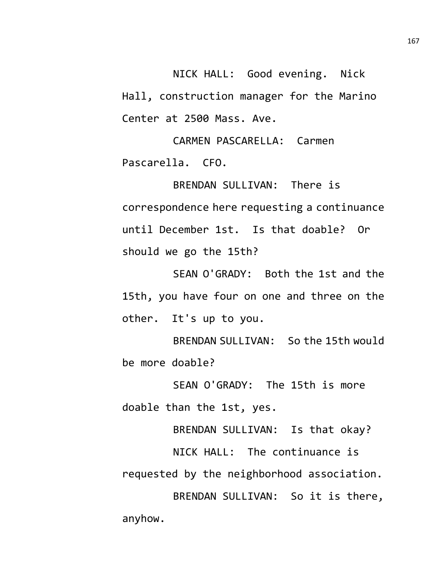NICK HALL: Good evening. Nick Hall, construction manager for the Marino Center at 2500 Mass. Ave.

CARMEN PASCARELLA: Carmen Pascarella. CFO.

BRENDAN SULLIVAN: There is correspondence here requesting a continuance until December 1st. Is that doable? Or should we go the 15th?

SEAN O'GRADY: Both the 1st and the 15th, you have four on one and three on the other. It's up to you.

BRENDAN SULLIVAN: So the 15th would be more doable?

SEAN O'GRADY: The 15th is more doable than the 1st, yes.

BRENDAN SULLIVAN: Is that okay?

NICK HALL: The continuance is requested by the neighborhood association.

BRENDAN SULLIVAN: So it is there, anyhow.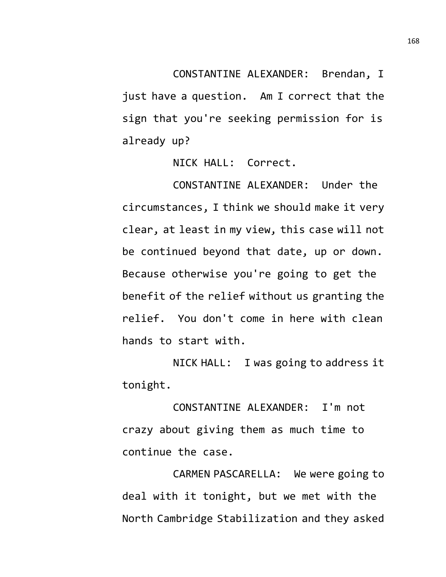CONSTANTINE ALEXANDER: Brendan, I just have a question. Am I correct that the sign that you're seeking permission for is already up?

NICK HALL: Correct.

CONSTANTINE ALEXANDER: Under the circumstances, I think we should make it very clear, at least in my view, this case will not be continued beyond that date, up or down. Because otherwise you're going to get the benefit of the relief without us granting the relief. You don't come in here with clean hands to start with.

NICK HALL: I was going to address it tonight.

CONSTANTINE ALEXANDER: I'm not crazy about giving them as much time to continue the case.

CARMEN PASCARELLA: We were going to deal with it tonight, but we met with the North Cambridge Stabilization and they asked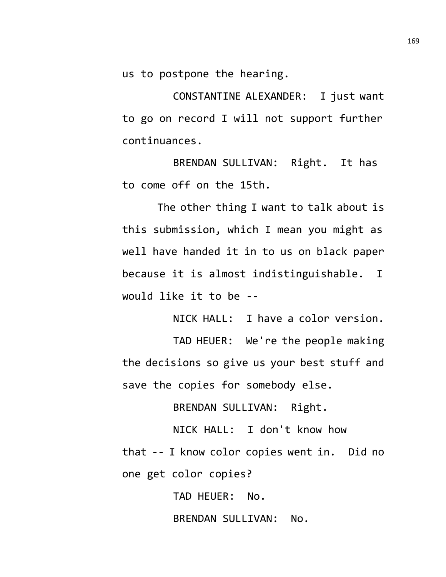us to postpone the hearing.

CONSTANTINE ALEXANDER: I just want to go on record I will not support further continuances.

BRENDAN SULLIVAN: Right. It has to come off on the 15th.

The other thing I want to talk about is this submission, which I mean you might as well have handed it in to us on black paper because it is almost indistinguishable. I would like it to be --

NICK HALL: I have a color version.

TAD HEUER: We're the people making the decisions so give us your best stuff and save the copies for somebody else.

BRENDAN SULLIVAN: Right.

NICK HALL: I don't know how that -- I know color copies went in. Did no one get color copies?

> TAD HEUER: No. BRENDAN SULLIVAN: No.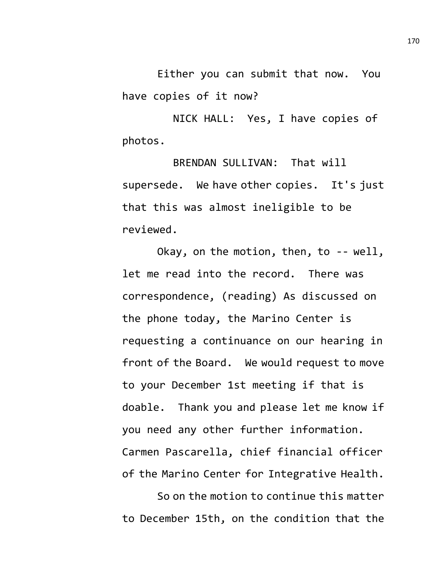Either you can submit that now. You have copies of it now?

NICK HALL: Yes, I have copies of photos.

BRENDAN SULLIVAN: That will supersede. We have other copies. It's just that this was almost ineligible to be reviewed.

Okay, on the motion, then, to -- well, let me read into the record. There was correspondence, (reading) As discussed on the phone today, the Marino Center is requesting a continuance on our hearing in front of the Board. We would request to move to your December 1st meeting if that is doable. Thank you and please let me know if you need any other further information. Carmen Pascarella, chief financial officer of the Marino Center for Integrative Health.

So on the motion to continue this matter to December 15th, on the condition that the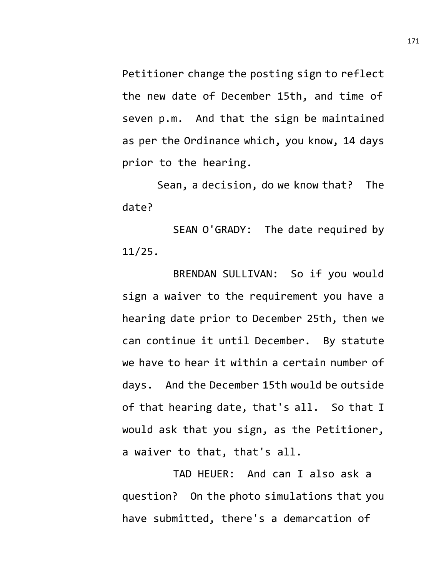Petitioner change the posting sign to reflect the new date of December 15th, and time of seven p.m. And that the sign be maintained as per the Ordinance which, you know, 14 days prior to the hearing.

Sean, a decision, do we know that? The date?

SEAN O'GRADY: The date required by 11/25.

BRENDAN SULLIVAN: So if you would sign a waiver to the requirement you have a hearing date prior to December 25th, then we can continue it until December. By statute we have to hear it within a certain number of days. And the December 15th would be outside of that hearing date, that's all. So that I would ask that you sign, as the Petitioner, a waiver to that, that's all.

TAD HEUER: And can I also ask a question? On the photo simulations that you have submitted, there's a demarcation of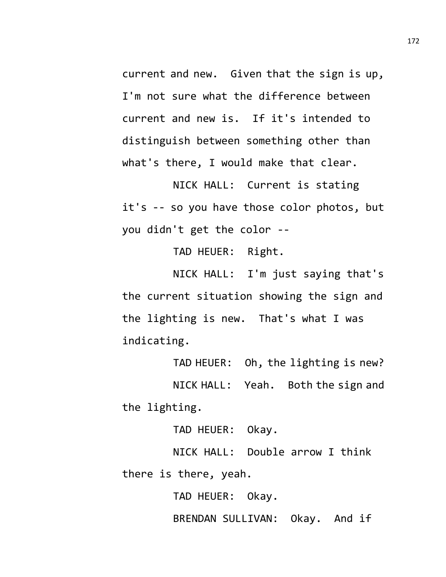current and new. Given that the sign is up, I'm not sure what the difference between current and new is. If it's intended to distinguish between something other than what's there, I would make that clear.

NICK HALL: Current is stating it's -- so you have those color photos, but you didn't get the color --

TAD HEUER: Right.

NICK HALL: I'm just saying that's the current situation showing the sign and the lighting is new. That's what I was indicating.

TAD HEUER: Oh, the lighting is new? NICK HALL: Yeah. Both the sign and the lighting.

TAD HEUER: Okay.

NICK HALL: Double arrow I think there is there, yeah.

TAD HEUER: Okay.

BRENDAN SULLIVAN: Okay. And if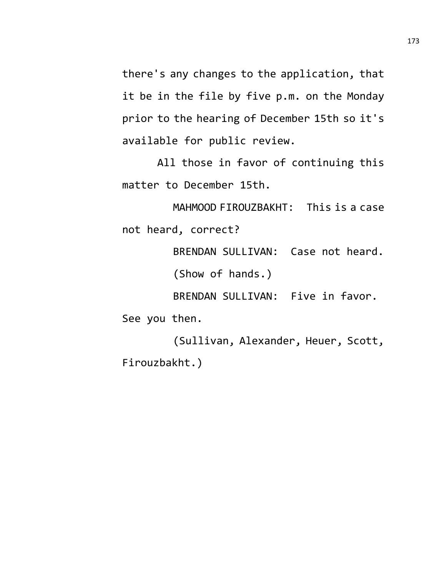there's any changes to the application, that it be in the file by five p.m. on the Monday prior to the hearing of December 15th so it's available for public review.

All those in favor of continuing this matter to December 15th.

MAHMOOD FIROUZBAKHT: This is a case not heard, correct?

BRENDAN SULLIVAN: Case not heard.

(Show of hands.)

BRENDAN SULLIVAN: Five in favor.

See you then.

(Sullivan, Alexander, Heuer, Scott, Firouzbakht.)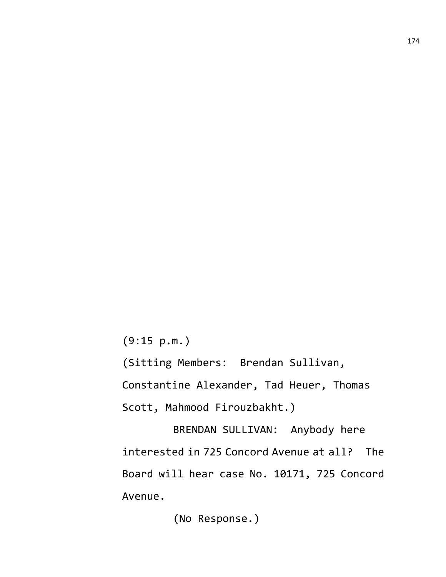(9:15 p.m.)

(Sitting Members: Brendan Sullivan, Constantine Alexander, Tad Heuer, Thomas Scott, Mahmood Firouzbakht.)

BRENDAN SULLIVAN: Anybody here interested in 725 Concord Avenue at all? The Board will hear case No. 10171, 725 Concord Avenue.

(No Response.)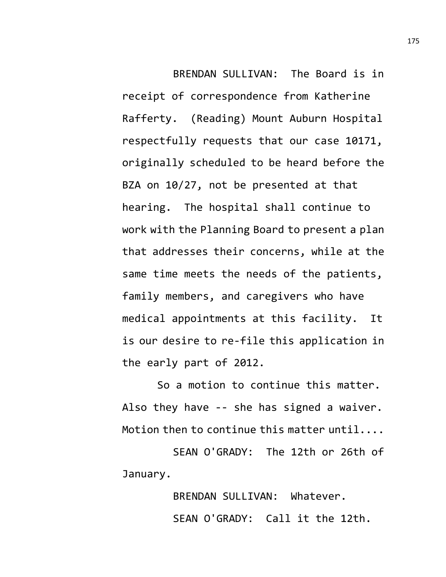BRENDAN SULLIVAN: The Board is in receipt of correspondence from Katherine Rafferty. (Reading) Mount Auburn Hospital respectfully requests that our case 10171, originally scheduled to be heard before the BZA on 10/27, not be presented at that hearing. The hospital shall continue to work with the Planning Board to present a plan that addresses their concerns, while at the same time meets the needs of the patients, family members, and caregivers who have medical appointments at this facility. It is our desire to re-file this application in the early part of 2012.

So a motion to continue this matter. Also they have -- she has signed a waiver. Motion then to continue this matter until....

SEAN O'GRADY: The 12th or 26th of January.

> BRENDAN SULLIVAN: Whatever. SEAN O'GRADY: Call it the 12th.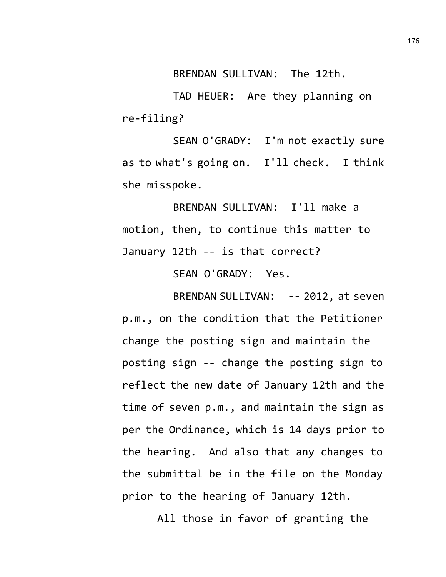BRENDAN SULLIVAN: The 12th.

TAD HEUER: Are they planning on re-filing?

SEAN O'GRADY: I'm not exactly sure as to what's going on. I'll check. I think she misspoke.

BRENDAN SULLIVAN: I'll make a motion, then, to continue this matter to January 12th -- is that correct?

SEAN O'GRADY: Yes.

BRENDAN SULLIVAN: -- 2012, at seven p.m., on the condition that the Petitioner change the posting sign and maintain the posting sign -- change the posting sign to reflect the new date of January 12th and the time of seven p.m., and maintain the sign as per the Ordinance, which is 14 days prior to the hearing. And also that any changes to the submittal be in the file on the Monday prior to the hearing of January 12th.

All those in favor of granting the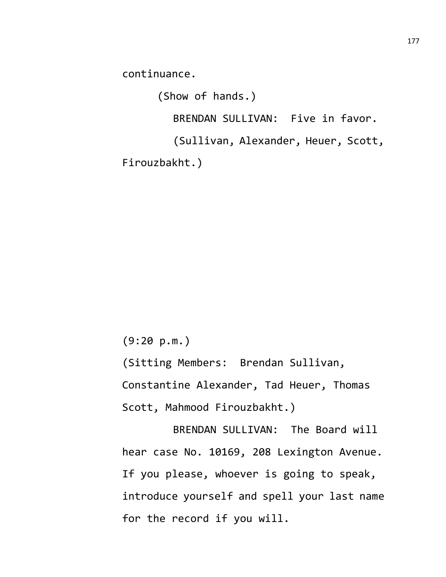continuance.

(Show of hands.) BRENDAN SULLIVAN: Five in favor. (Sullivan, Alexander, Heuer, Scott, Firouzbakht.)

(9:20 p.m.)

(Sitting Members: Brendan Sullivan, Constantine Alexander, Tad Heuer, Thomas Scott, Mahmood Firouzbakht.)

BRENDAN SULLIVAN: The Board will hear case No. 10169, 208 Lexington Avenue. If you please, whoever is going to speak, introduce yourself and spell your last name for the record if you will.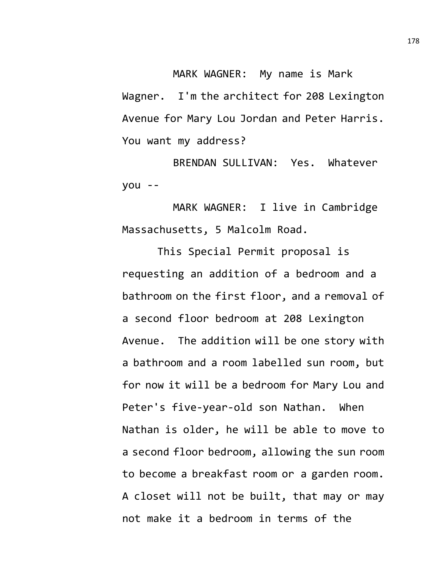MARK WAGNER: My name is Mark Wagner. I'm the architect for 208 Lexington Avenue for Mary Lou Jordan and Peter Harris. You want my address?

BRENDAN SULLIVAN: Yes. Whatever you --

MARK WAGNER: I live in Cambridge Massachusetts, 5 Malcolm Road.

This Special Permit proposal is requesting an addition of a bedroom and a bathroom on the first floor, and a removal of a second floor bedroom at 208 Lexington Avenue. The addition will be one story with a bathroom and a room labelled sun room, but for now it will be a bedroom for Mary Lou and Peter's five-year-old son Nathan. When Nathan is older, he will be able to move to a second floor bedroom, allowing the sun room to become a breakfast room or a garden room. A closet will not be built, that may or may not make it a bedroom in terms of the

178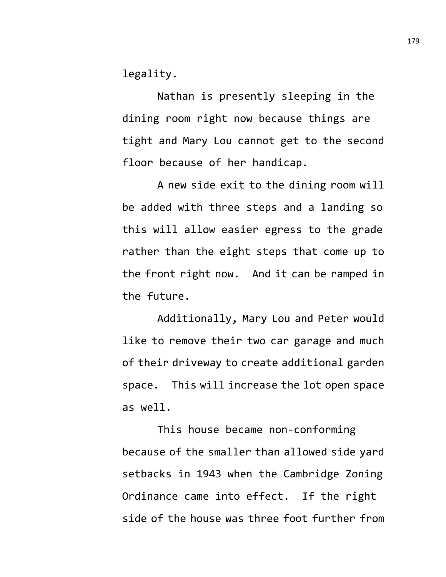legality.

Nathan is presently sleeping in the dining room right now because things are tight and Mary Lou cannot get to the second floor because of her handicap.

A new side exit to the dining room will be added with three steps and a landing so this will allow easier egress to the grade rather than the eight steps that come up to the front right now. And it can be ramped in the future.

Additionally, Mary Lou and Peter would like to remove their two car garage and much of their driveway to create additional garden space. This will increase the lot open space as well.

This house became non-conforming because of the smaller than allowed side yard setbacks in 1943 when the Cambridge Zoning Ordinance came into effect. If the right side of the house was three foot further from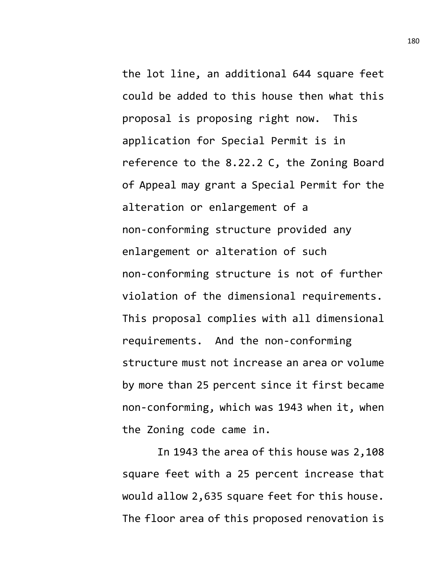the lot line, an additional 644 square feet could be added to this house then what this proposal is proposing right now. This application for Special Permit is in reference to the 8.22.2 C, the Zoning Board of Appeal may grant a Special Permit for the alteration or enlargement of a non-conforming structure provided any enlargement or alteration of such non-conforming structure is not of further violation of the dimensional requirements. This proposal complies with all dimensional requirements. And the non-conforming structure must not increase an area or volume by more than 25 percent since it first became non-conforming, which was 1943 when it, when the Zoning code came in.

In 1943 the area of this house was 2,108 square feet with a 25 percent increase that would allow 2,635 square feet for this house. The floor area of this proposed renovation is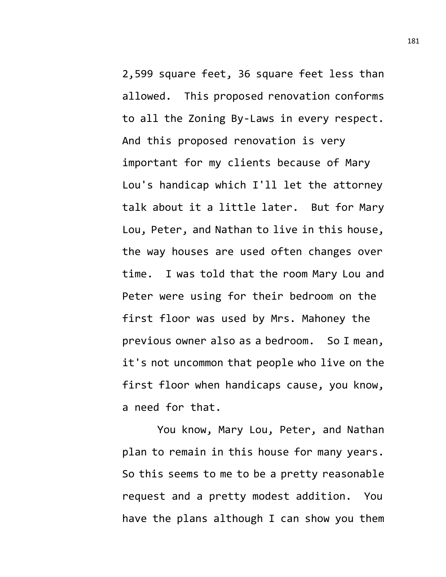2,599 square feet, 36 square feet less than allowed. This proposed renovation conforms to all the Zoning By-Laws in every respect. And this proposed renovation is very important for my clients because of Mary Lou's handicap which I'll let the attorney talk about it a little later. But for Mary Lou, Peter, and Nathan to live in this house, the way houses are used often changes over time. I was told that the room Mary Lou and Peter were using for their bedroom on the first floor was used by Mrs. Mahoney the previous owner also as a bedroom. So I mean, it's not uncommon that people who live on the first floor when handicaps cause, you know, a need for that.

You know, Mary Lou, Peter, and Nathan plan to remain in this house for many years. So this seems to me to be a pretty reasonable request and a pretty modest addition. You have the plans although I can show you them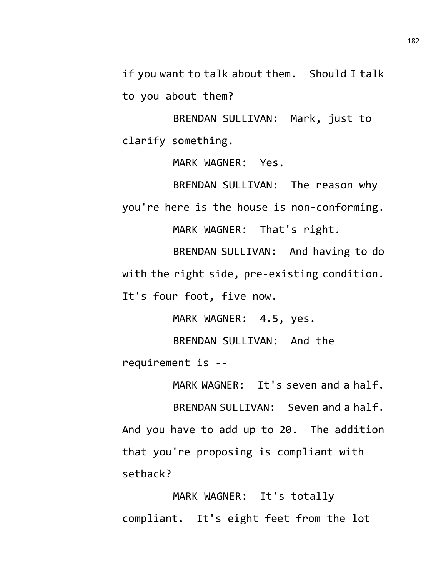if you want to talk about them. Should I talk to you about them?

BRENDAN SULLIVAN: Mark, just to clarify something.

MARK WAGNER: Yes.

BRENDAN SULLIVAN: The reason why you're here is the house is non-conforming.

MARK WAGNER: That's right.

BRENDAN SULLIVAN: And having to do with the right side, pre-existing condition. It's four foot, five now.

MARK WAGNER: 4.5, yes.

BRENDAN SULLIVAN: And the requirement is --

MARK WAGNER: It's seven and a half.

BRENDAN SULLIVAN: Seven and a half. And you have to add up to 20. The addition that you're proposing is compliant with setback?

MARK WAGNER: It's totally compliant. It's eight feet from the lot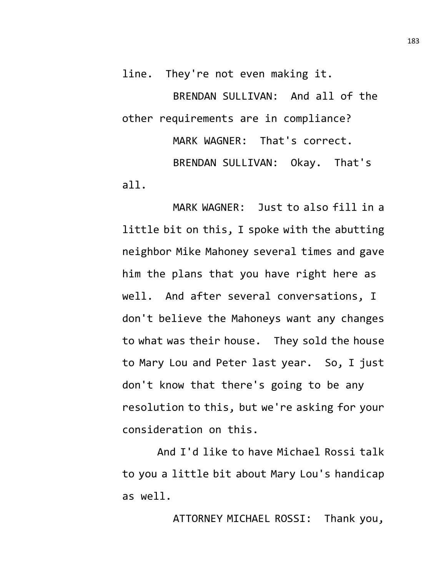line. They're not even making it.

BRENDAN SULLIVAN: And all of the other requirements are in compliance?

MARK WAGNER: That's correct. BRENDAN SULLIVAN: Okay. That's all.

MARK WAGNER: Just to also fill in a little bit on this, I spoke with the abutting neighbor Mike Mahoney several times and gave him the plans that you have right here as well. And after several conversations, I don't believe the Mahoneys want any changes to what was their house. They sold the house to Mary Lou and Peter last year. So, I just don't know that there's going to be any resolution to this, but we're asking for your consideration on this.

And I'd like to have Michael Rossi talk to you a little bit about Mary Lou's handicap as well.

ATTORNEY MICHAEL ROSSI: Thank you,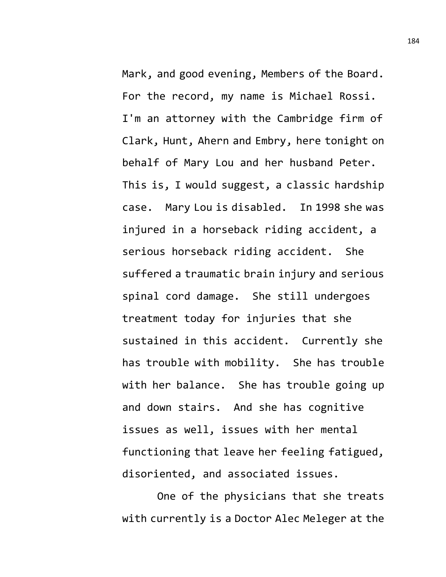Mark, and good evening, Members of the Board. For the record, my name is Michael Rossi. I'm an attorney with the Cambridge firm of Clark, Hunt, Ahern and Embry, here tonight on behalf of Mary Lou and her husband Peter. This is, I would suggest, a classic hardship case. Mary Lou is disabled. In 1998 she was injured in a horseback riding accident, a serious horseback riding accident. She suffered a traumatic brain injury and serious spinal cord damage. She still undergoes treatment today for injuries that she sustained in this accident. Currently she has trouble with mobility. She has trouble with her balance. She has trouble going up and down stairs. And she has cognitive issues as well, issues with her mental functioning that leave her feeling fatigued, disoriented, and associated issues.

One of the physicians that she treats with currently is a Doctor Alec Meleger at the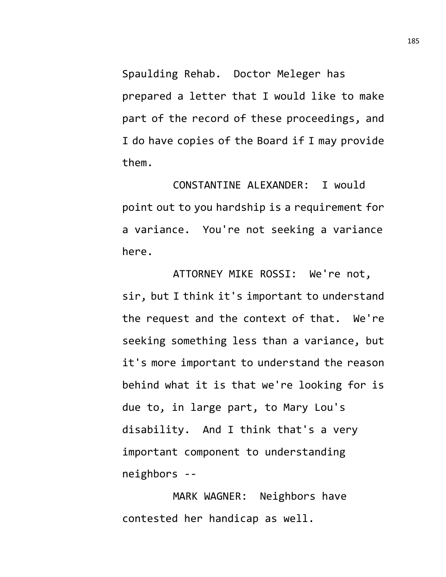Spaulding Rehab. Doctor Meleger has prepared a letter that I would like to make part of the record of these proceedings, and I do have copies of the Board if I may provide them.

CONSTANTINE ALEXANDER: I would point out to you hardship is a requirement for a variance. You're not seeking a variance here.

ATTORNEY MIKE ROSSI: We're not, sir, but I think it's important to understand the request and the context of that. We're seeking something less than a variance, but it's more important to understand the reason behind what it is that we're looking for is due to, in large part, to Mary Lou's disability. And I think that's a very important component to understanding neighbors --

MARK WAGNER: Neighbors have contested her handicap as well.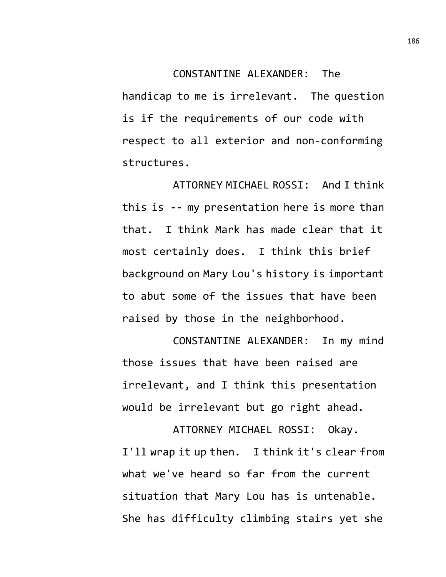## CONSTANTINE ALEXANDER: The handicap to me is irrelevant. The question is if the requirements of our code with respect to all exterior and non-conforming structures.

ATTORNEY MICHAEL ROSSI: And I think this is -- my presentation here is more than that. I think Mark has made clear that it most certainly does. I think this brief background on Mary Lou's history is important to abut some of the issues that have been raised by those in the neighborhood.

CONSTANTINE ALEXANDER: In my mind those issues that have been raised are irrelevant, and I think this presentation would be irrelevant but go right ahead.

ATTORNEY MICHAEL ROSSI: Okay. I'll wrap it up then. I think it's clear from what we've heard so far from the current situation that Mary Lou has is untenable. She has difficulty climbing stairs yet she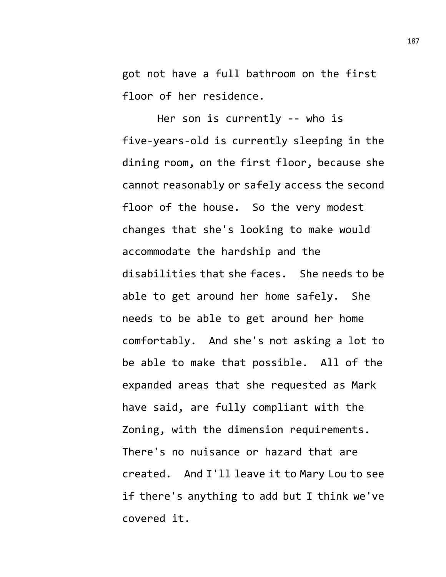got not have a full bathroom on the first floor of her residence.

Her son is currently -- who is five-years-old is currently sleeping in the dining room, on the first floor, because she cannot reasonably or safely access the second floor of the house. So the very modest changes that she's looking to make would accommodate the hardship and the disabilities that she faces. She needs to be able to get around her home safely. She needs to be able to get around her home comfortably. And she's not asking a lot to be able to make that possible. All of the expanded areas that she requested as Mark have said, are fully compliant with the Zoning, with the dimension requirements. There's no nuisance or hazard that are created. And I'll leave it to Mary Lou to see if there's anything to add but I think we've covered it.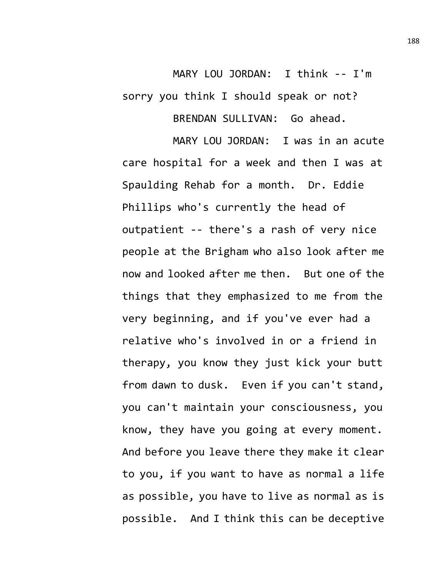MARY LOU JORDAN: I think -- I'm sorry you think I should speak or not? BRENDAN SULLIVAN: Go ahead.

MARY LOU JORDAN: I was in an acute care hospital for a week and then I was at Spaulding Rehab for a month. Dr. Eddie Phillips who's currently the head of outpatient -- there's a rash of very nice people at the Brigham who also look after me now and looked after me then. But one of the things that they emphasized to me from the very beginning, and if you've ever had a relative who's involved in or a friend in therapy, you know they just kick your butt from dawn to dusk. Even if you can't stand, you can't maintain your consciousness, you know, they have you going at every moment. And before you leave there they make it clear to you, if you want to have as normal a life as possible, you have to live as normal as is possible. And I think this can be deceptive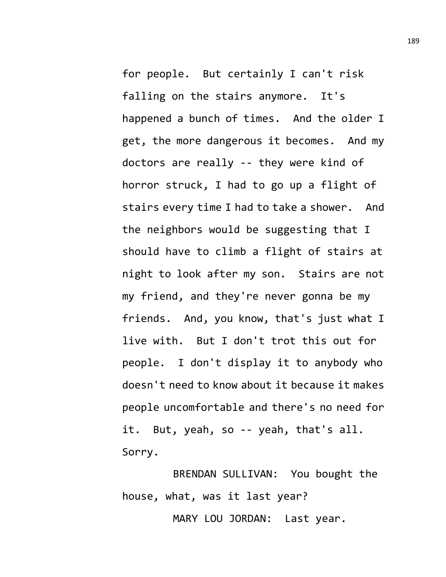for people. But certainly I can't risk falling on the stairs anymore. It's happened a bunch of times. And the older I get, the more dangerous it becomes. And my doctors are really -- they were kind of horror struck, I had to go up a flight of stairs every time I had to take a shower. And the neighbors would be suggesting that I should have to climb a flight of stairs at night to look after my son. Stairs are not my friend, and they're never gonna be my friends. And, you know, that's just what I live with. But I don't trot this out for people. I don't display it to anybody who doesn't need to know about it because it makes people uncomfortable and there's no need for it. But, yeah, so -- yeah, that's all. Sorry.

BRENDAN SULLIVAN: You bought the house, what, was it last year?

MARY LOU JORDAN: Last year.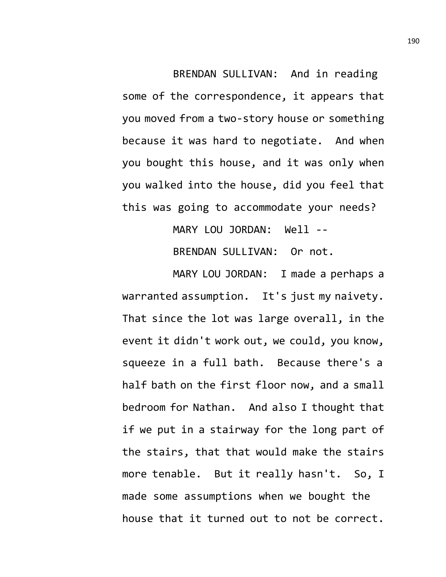BRENDAN SULLIVAN: And in reading some of the correspondence, it appears that you moved from a two-story house or something because it was hard to negotiate. And when you bought this house, and it was only when you walked into the house, did you feel that this was going to accommodate your needs?

MARY LOU JORDAN: Well --

BRENDAN SULLIVAN: Or not.

MARY LOU JORDAN: I made a perhaps a warranted assumption. It's just my naivety. That since the lot was large overall, in the event it didn't work out, we could, you know, squeeze in a full bath. Because there's a half bath on the first floor now, and a small bedroom for Nathan. And also I thought that if we put in a stairway for the long part of the stairs, that that would make the stairs more tenable. But it really hasn't. So, I made some assumptions when we bought the house that it turned out to not be correct.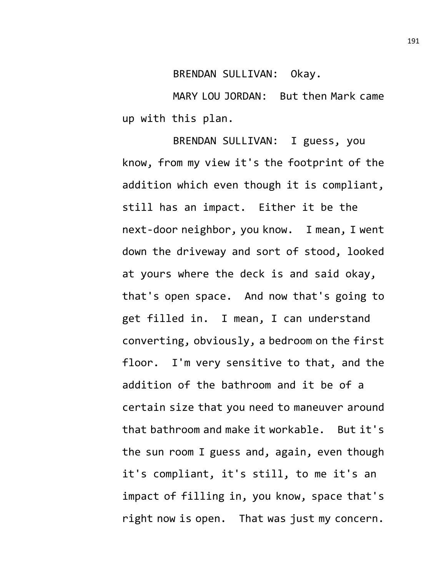BRENDAN SULLIVAN: Okay.

MARY LOU JORDAN: But then Mark came up with this plan.

BRENDAN SULLIVAN: I guess, you know, from my view it's the footprint of the addition which even though it is compliant, still has an impact. Either it be the next-door neighbor, you know. I mean, I went down the driveway and sort of stood, looked at yours where the deck is and said okay, that's open space. And now that's going to get filled in. I mean, I can understand converting, obviously, a bedroom on the first floor. I'm very sensitive to that, and the addition of the bathroom and it be of a certain size that you need to maneuver around that bathroom and make it workable. But it's the sun room I guess and, again, even though it's compliant, it's still, to me it's an impact of filling in, you know, space that's right now is open. That was just my concern.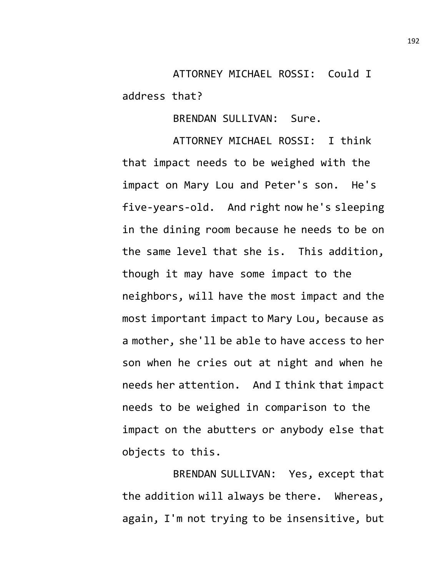ATTORNEY MICHAEL ROSSI: Could I address that?

BRENDAN SULLIVAN: Sure.

ATTORNEY MICHAEL ROSSI: I think that impact needs to be weighed with the impact on Mary Lou and Peter's son. He's five-years-old. And right now he's sleeping in the dining room because he needs to be on the same level that she is. This addition, though it may have some impact to the neighbors, will have the most impact and the most important impact to Mary Lou, because as a mother, she'll be able to have access to her son when he cries out at night and when he needs her attention. And I think that impact needs to be weighed in comparison to the impact on the abutters or anybody else that objects to this.

BRENDAN SULLIVAN: Yes, except that the addition will always be there. Whereas, again, I'm not trying to be insensitive, but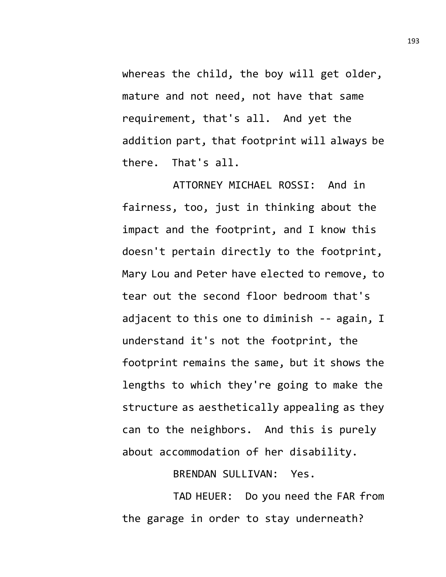whereas the child, the boy will get older, mature and not need, not have that same requirement, that's all. And yet the addition part, that footprint will always be there. That's all.

ATTORNEY MICHAEL ROSSI: And in fairness, too, just in thinking about the impact and the footprint, and I know this doesn't pertain directly to the footprint, Mary Lou and Peter have elected to remove, to tear out the second floor bedroom that's adjacent to this one to diminish -- again, I understand it's not the footprint, the footprint remains the same, but it shows the lengths to which they're going to make the structure as aesthetically appealing as they can to the neighbors. And this is purely about accommodation of her disability.

BRENDAN SULLIVAN: Yes.

TAD HEUER: Do you need the FAR from the garage in order to stay underneath?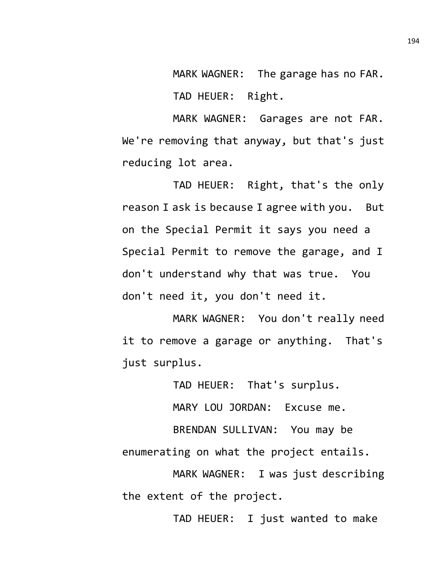MARK WAGNER: The garage has no FAR.

TAD HEUER: Right.

MARK WAGNER: Garages are not FAR. We're removing that anyway, but that's just reducing lot area.

TAD HEUER: Right, that's the only reason I ask is because I agree with you. But on the Special Permit it says you need a Special Permit to remove the garage, and I don't understand why that was true. You don't need it, you don't need it.

MARK WAGNER: You don't really need it to remove a garage or anything. That's just surplus.

TAD HEUER: That's surplus.

MARY LOU JORDAN: Excuse me.

BRENDAN SULLIVAN: You may be enumerating on what the project entails.

MARK WAGNER: I was just describing the extent of the project.

TAD HEUER: I just wanted to make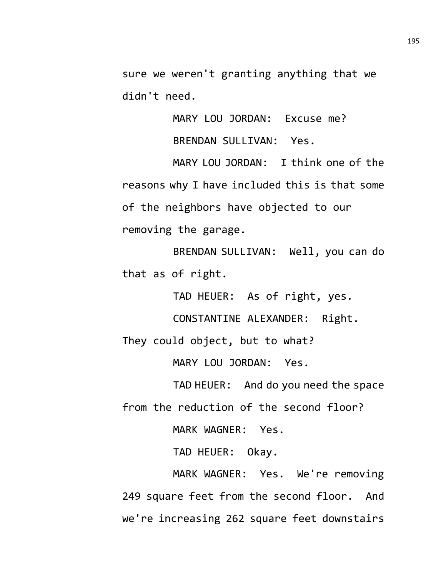sure we weren't granting anything that we didn't need.

MARY LOU JORDAN: Excuse me?

BRENDAN SULLIVAN: Yes.

MARY LOU JORDAN: I think one of the reasons why I have included this is that some of the neighbors have objected to our removing the garage.

BRENDAN SULLIVAN: Well, you can do that as of right.

TAD HEUER: As of right, yes.

CONSTANTINE ALEXANDER: Right.

They could object, but to what?

MARY LOU JORDAN: Yes.

TAD HEUER: And do you need the space from the reduction of the second floor?

MARK WAGNER: Yes.

TAD HEUER: Okay.

MARK WAGNER: Yes. We're removing 249 square feet from the second floor. And we're increasing 262 square feet downstairs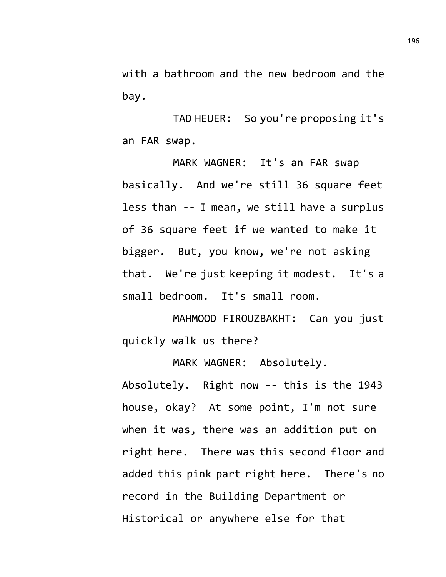with a bathroom and the new bedroom and the bay.

TAD HEUER: So you're proposing it's an FAR swap.

MARK WAGNER: It's an FAR swap basically. And we're still 36 square feet less than -- I mean, we still have a surplus of 36 square feet if we wanted to make it bigger. But, you know, we're not asking that. We're just keeping it modest. It's a small bedroom. It's small room.

MAHMOOD FIROUZBAKHT: Can you just quickly walk us there?

MARK WAGNER: Absolutely. Absolutely. Right now -- this is the 1943 house, okay? At some point, I'm not sure when it was, there was an addition put on right here. There was this second floor and added this pink part right here. There's no record in the Building Department or Historical or anywhere else for that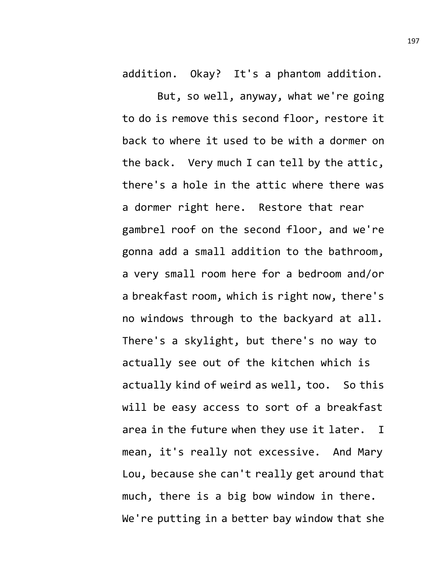addition. Okay? It's a phantom addition.

But, so well, anyway, what we're going to do is remove this second floor, restore it back to where it used to be with a dormer on the back. Very much I can tell by the attic, there's a hole in the attic where there was a dormer right here. Restore that rear gambrel roof on the second floor, and we're gonna add a small addition to the bathroom, a very small room here for a bedroom and/or a breakfast room, which is right now, there's no windows through to the backyard at all. There's a skylight, but there's no way to actually see out of the kitchen which is actually kind of weird as well, too. So this will be easy access to sort of a breakfast area in the future when they use it later. I mean, it's really not excessive. And Mary Lou, because she can't really get around that much, there is a big bow window in there. We're putting in a better bay window that she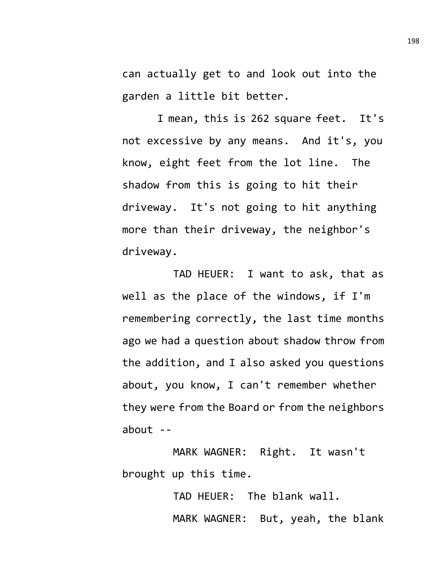can actually get to and look out into the garden a little bit better.

I mean, this is 262 square feet. It's not excessive by any means. And it's, you know, eight feet from the lot line. The shadow from this is going to hit their driveway. It's not going to hit anything more than their driveway, the neighbor's driveway.

TAD HEUER: I want to ask, that as well as the place of the windows, if I'm remembering correctly, the last time months ago we had a question about shadow throw from the addition, and I also asked you questions about, you know, I can't remember whether they were from the Board or from the neighbors about  $-$ 

MARK WAGNER: Right. It wasn't brought up this time.

> TAD HEUER: The blank wall. MARK WAGNER: But, yeah, the blank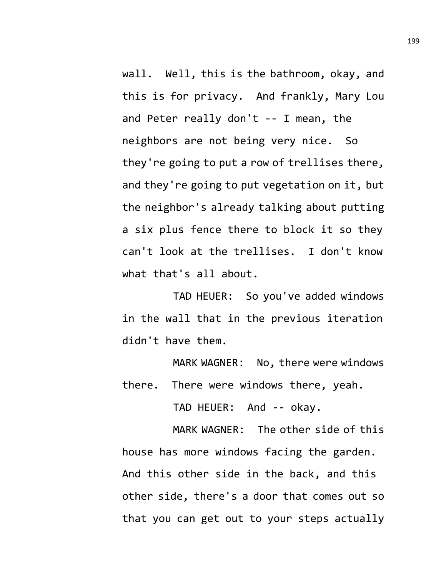wall. Well, this is the bathroom, okay, and this is for privacy. And frankly, Mary Lou and Peter really don't -- I mean, the neighbors are not being very nice. So they're going to put a row of trellises there, and they're going to put vegetation on it, but the neighbor's already talking about putting a six plus fence there to block it so they can't look at the trellises. I don't know what that's all about.

TAD HEUER: So you've added windows in the wall that in the previous iteration didn't have them.

MARK WAGNER: No, there were windows there. There were windows there, yeah.

TAD HEUER: And -- okay.

MARK WAGNER: The other side of this house has more windows facing the garden. And this other side in the back, and this other side, there's a door that comes out so that you can get out to your steps actually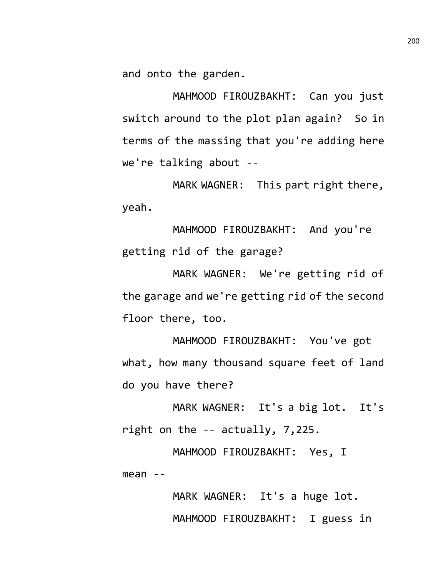and onto the garden.

MAHMOOD FIROUZBAKHT: Can you just switch around to the plot plan again? So in terms of the massing that you're adding here we're talking about --

MARK WAGNER: This part right there, yeah.

MAHMOOD FIROUZBAKHT: And you're getting rid of the garage?

MARK WAGNER: We're getting rid of the garage and we're getting rid of the second floor there, too.

MAHMOOD FIROUZBAKHT: You've got what, how many thousand square feet of land do you have there?

MARK WAGNER: It's a big lot. It's right on the -- actually, 7,225.

MAHMOOD FIROUZBAKHT: Yes, I  $mean$  --

> MARK WAGNER: It's a huge lot. MAHMOOD FIROUZBAKHT: I guess in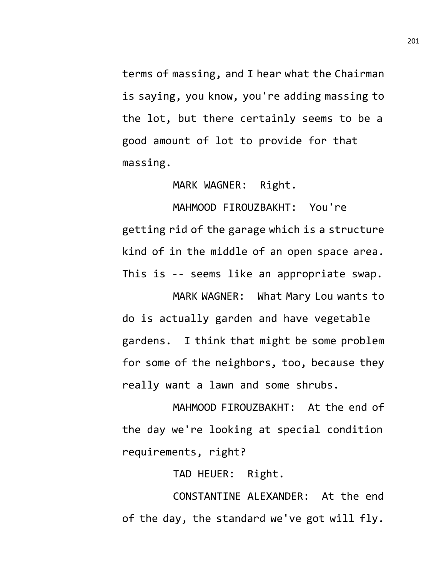terms of massing, and I hear what the Chairman is saying, you know, you're adding massing to the lot, but there certainly seems to be a good amount of lot to provide for that massing.

MARK WAGNER: Right.

MAHMOOD FIROUZBAKHT: You're getting rid of the garage which is a structure kind of in the middle of an open space area. This is -- seems like an appropriate swap.

MARK WAGNER: What Mary Lou wants to do is actually garden and have vegetable gardens. I think that might be some problem for some of the neighbors, too, because they really want a lawn and some shrubs.

MAHMOOD FIROUZBAKHT: At the end of the day we're looking at special condition requirements, right?

TAD HEUER: Right.

CONSTANTINE ALEXANDER: At the end of the day, the standard we've got will fly.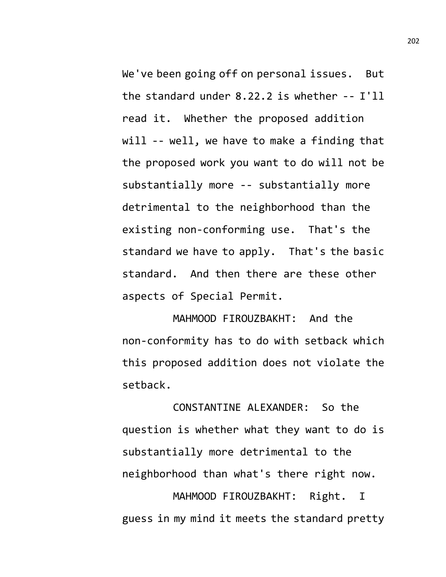We've been going off on personal issues. But the standard under 8.22.2 is whether -- I'll read it. Whether the proposed addition will -- well, we have to make a finding that the proposed work you want to do will not be substantially more -- substantially more detrimental to the neighborhood than the existing non-conforming use. That's the standard we have to apply. That's the basic standard. And then there are these other aspects of Special Permit.

MAHMOOD FIROUZBAKHT: And the non-conformity has to do with setback which this proposed addition does not violate the setback.

CONSTANTINE ALEXANDER: So the question is whether what they want to do is substantially more detrimental to the neighborhood than what's there right now.

MAHMOOD FIROUZBAKHT: Right. I guess in my mind it meets the standard pretty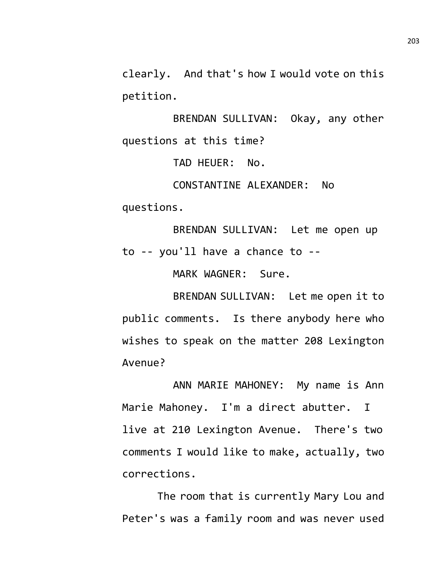clearly. And that's how I would vote on this petition.

BRENDAN SULLIVAN: Okay, any other questions at this time?

TAD HEUER: No.

CONSTANTINE ALEXANDER: No questions.

BRENDAN SULLIVAN: Let me open up to -- you'll have a chance to --

MARK WAGNER: Sure.

BRENDAN SULLIVAN: Let me open it to public comments. Is there anybody here who wishes to speak on the matter 208 Lexington Avenue?

ANN MARIE MAHONEY: My name is Ann Marie Mahoney. I'm a direct abutter. I live at 210 Lexington Avenue. There's two comments I would like to make, actually, two corrections.

The room that is currently Mary Lou and Peter's was a family room and was never used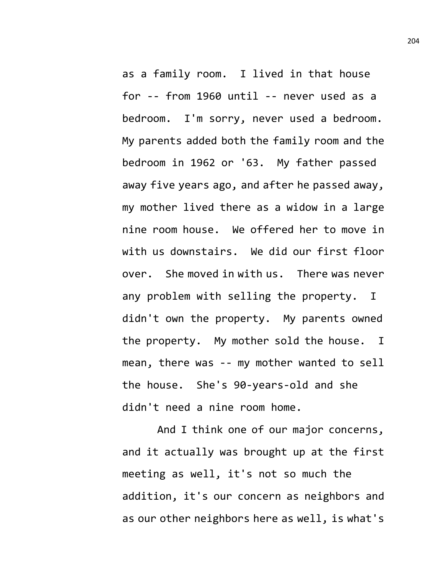as a family room. I lived in that house for -- from 1960 until -- never used as a bedroom. I'm sorry, never used a bedroom. My parents added both the family room and the bedroom in 1962 or '63. My father passed away five years ago, and after he passed away, my mother lived there as a widow in a large nine room house. We offered her to move in with us downstairs. We did our first floor over. She moved in with us. There was never any problem with selling the property. I didn't own the property. My parents owned the property. My mother sold the house. I mean, there was -- my mother wanted to sell the house. She's 90-years-old and she didn't need a nine room home.

And I think one of our major concerns, and it actually was brought up at the first meeting as well, it's not so much the addition, it's our concern as neighbors and as our other neighbors here as well, is what's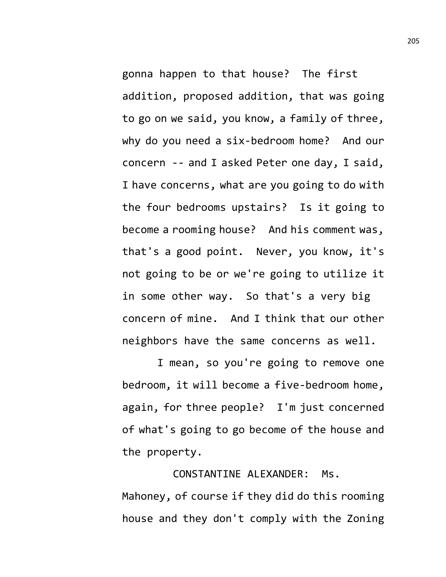gonna happen to that house? The first addition, proposed addition, that was going to go on we said, you know, a family of three, why do you need a six-bedroom home? And our concern -- and I asked Peter one day, I said, I have concerns, what are you going to do with the four bedrooms upstairs? Is it going to become a rooming house? And his comment was, that's a good point. Never, you know, it's not going to be or we're going to utilize it in some other way. So that's a very big concern of mine. And I think that our other neighbors have the same concerns as well.

I mean, so you're going to remove one bedroom, it will become a five-bedroom home, again, for three people? I'm just concerned of what's going to go become of the house and the property.

CONSTANTINE ALEXANDER: Ms. Mahoney, of course if they did do this rooming house and they don't comply with the Zoning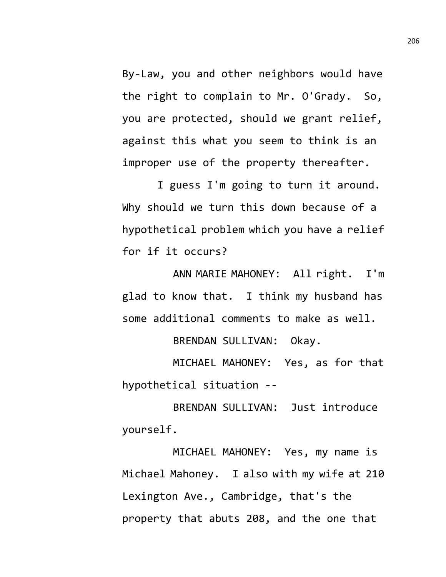By-Law, you and other neighbors would have the right to complain to Mr. O'Grady. So, you are protected, should we grant relief, against this what you seem to think is an improper use of the property thereafter.

I guess I'm going to turn it around. Why should we turn this down because of a hypothetical problem which you have a relief for if it occurs?

ANN MARIE MAHONEY: All right. I'm glad to know that. I think my husband has some additional comments to make as well.

BRENDAN SULLIVAN: Okay.

MICHAEL MAHONEY: Yes, as for that hypothetical situation --

BRENDAN SULLIVAN: Just introduce yourself.

MICHAEL MAHONEY: Yes, my name is Michael Mahoney. I also with my wife at 210 Lexington Ave., Cambridge, that's the property that abuts 208, and the one that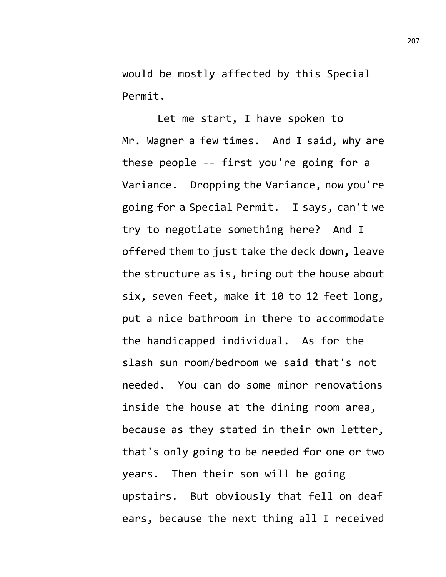would be mostly affected by this Special Permit.

Let me start, I have spoken to Mr. Wagner a few times. And I said, why are these people -- first you're going for a Variance. Dropping the Variance, now you're going for a Special Permit. I says, can't we try to negotiate something here? And I offered them to just take the deck down, leave the structure as is, bring out the house about six, seven feet, make it 10 to 12 feet long, put a nice bathroom in there to accommodate the handicapped individual. As for the slash sun room/bedroom we said that's not needed. You can do some minor renovations inside the house at the dining room area, because as they stated in their own letter, that's only going to be needed for one or two years. Then their son will be going upstairs. But obviously that fell on deaf ears, because the next thing all I received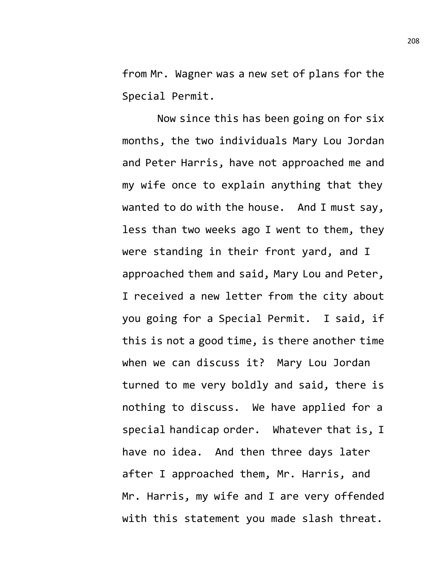from Mr. Wagner was a new set of plans for the Special Permit.

Now since this has been going on for six months, the two individuals Mary Lou Jordan and Peter Harris, have not approached me and my wife once to explain anything that they wanted to do with the house. And I must say, less than two weeks ago I went to them, they were standing in their front yard, and I approached them and said, Mary Lou and Peter, I received a new letter from the city about you going for a Special Permit. I said, if this is not a good time, is there another time when we can discuss it? Mary Lou Jordan turned to me very boldly and said, there is nothing to discuss. We have applied for a special handicap order. Whatever that is, I have no idea. And then three days later after I approached them, Mr. Harris, and Mr. Harris, my wife and I are very offended with this statement you made slash threat.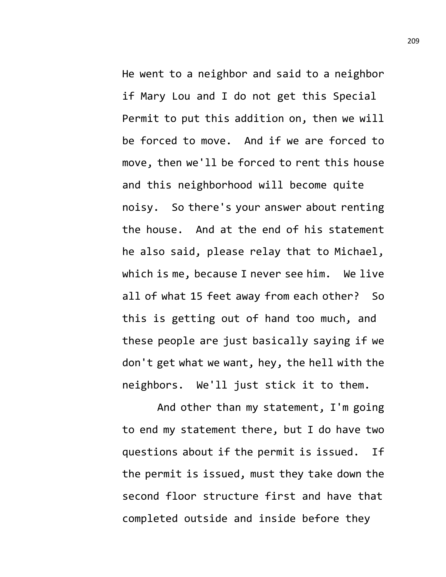He went to a neighbor and said to a neighbor if Mary Lou and I do not get this Special Permit to put this addition on, then we will be forced to move. And if we are forced to move, then we'll be forced to rent this house and this neighborhood will become quite noisy. So there's your answer about renting the house. And at the end of his statement he also said, please relay that to Michael, which is me, because I never see him. We live all of what 15 feet away from each other? So this is getting out of hand too much, and these people are just basically saying if we don't get what we want, hey, the hell with the neighbors. We'll just stick it to them.

And other than my statement, I'm going to end my statement there, but I do have two questions about if the permit is issued. If the permit is issued, must they take down the second floor structure first and have that completed outside and inside before they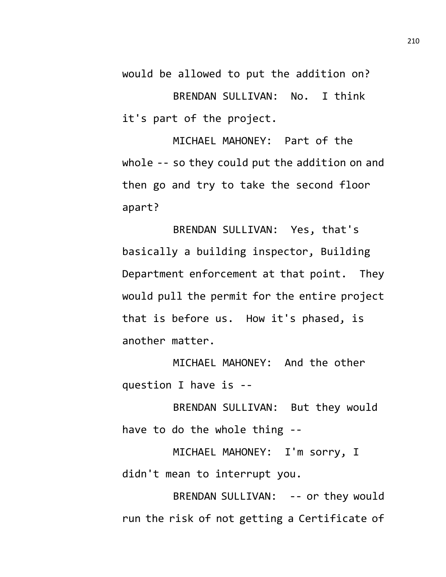would be allowed to put the addition on? BRENDAN SULLIVAN: No. I think it's part of the project.

MICHAEL MAHONEY: Part of the whole -- so they could put the addition on and then go and try to take the second floor apart?

BRENDAN SULLIVAN: Yes, that's basically a building inspector, Building Department enforcement at that point. They would pull the permit for the entire project that is before us. How it's phased, is another matter.

MICHAEL MAHONEY: And the other question I have is --

BRENDAN SULLIVAN: But they would have to do the whole thing --

MICHAEL MAHONEY: I'm sorry, I didn't mean to interrupt you.

BRENDAN SULLIVAN: -- or they would run the risk of not getting a Certificate of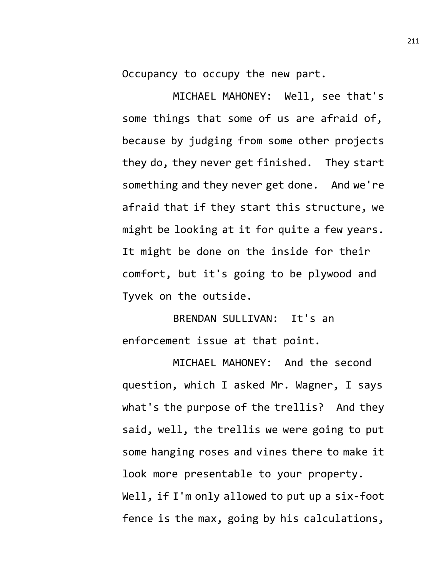Occupancy to occupy the new part.

MICHAEL MAHONEY: Well, see that's some things that some of us are afraid of, because by judging from some other projects they do, they never get finished. They start something and they never get done. And we're afraid that if they start this structure, we might be looking at it for quite a few years. It might be done on the inside for their comfort, but it's going to be plywood and Tyvek on the outside.

BRENDAN SULLIVAN: It's an enforcement issue at that point.

MICHAEL MAHONEY: And the second question, which I asked Mr. Wagner, I says what's the purpose of the trellis? And they said, well, the trellis we were going to put some hanging roses and vines there to make it look more presentable to your property. Well, if I'm only allowed to put up a six-foot fence is the max, going by his calculations,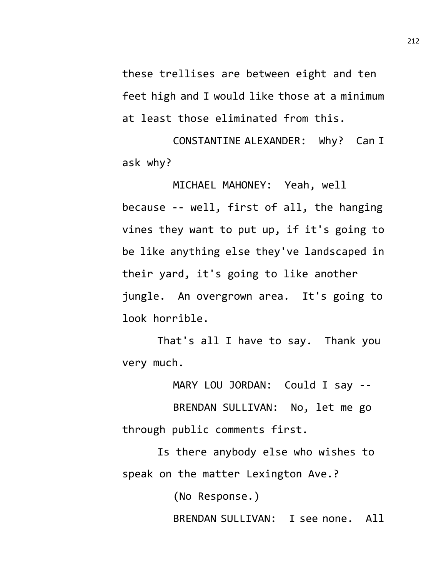these trellises are between eight and ten feet high and I would like those at a minimum at least those eliminated from this.

CONSTANTINE ALEXANDER: Why? Can I ask why?

MICHAEL MAHONEY: Yeah, well because -- well, first of all, the hanging vines they want to put up, if it's going to be like anything else they've landscaped in their yard, it's going to like another jungle. An overgrown area. It's going to look horrible.

That's all I have to say. Thank you very much.

MARY LOU JORDAN: Could I say --

BRENDAN SULLIVAN: No, let me go through public comments first.

Is there anybody else who wishes to speak on the matter Lexington Ave.?

(No Response.)

BRENDAN SULLIVAN: I see none. All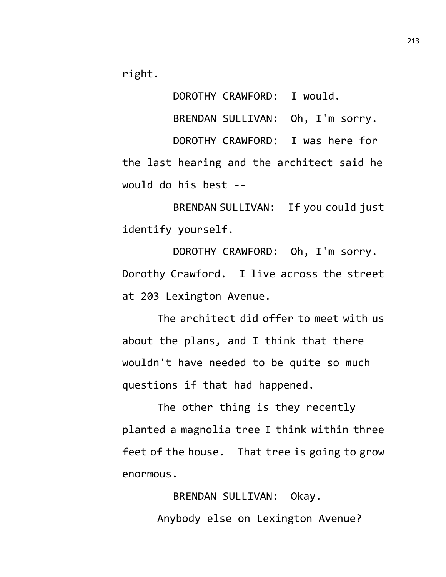right.

DOROTHY CRAWFORD: I would. BRENDAN SULLIVAN: Oh, I'm sorry. DOROTHY CRAWFORD: I was here for the last hearing and the architect said he would do his best --

BRENDAN SULLIVAN: If you could just identify yourself.

DOROTHY CRAWFORD: Oh, I'm sorry. Dorothy Crawford. I live across the street at 203 Lexington Avenue.

The architect did offer to meet with us about the plans, and I think that there wouldn't have needed to be quite so much questions if that had happened.

The other thing is they recently planted a magnolia tree I think within three feet of the house. That tree is going to grow enormous.

> BRENDAN SULLIVAN: Okay. Anybody else on Lexington Avenue?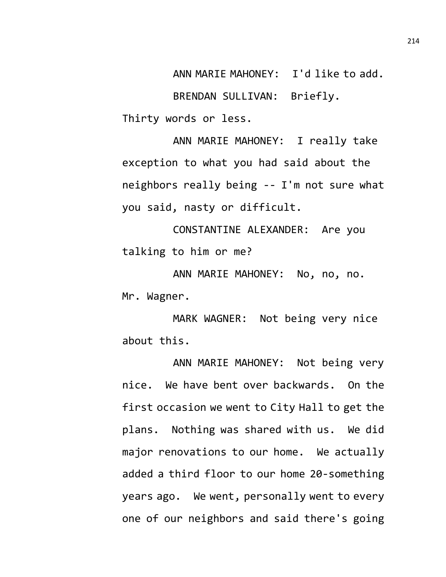ANN MARIE MAHONEY: I'd like to add. BRENDAN SULLIVAN: Briefly. Thirty words or less.

ANN MARIE MAHONEY: I really take exception to what you had said about the neighbors really being -- I'm not sure what you said, nasty or difficult.

CONSTANTINE ALEXANDER: Are you talking to him or me?

ANN MARIE MAHONEY: No, no, no. Mr. Wagner.

MARK WAGNER: Not being very nice about this.

ANN MARIE MAHONEY: Not being very nice. We have bent over backwards. On the first occasion we went to City Hall to get the plans. Nothing was shared with us. We did major renovations to our home. We actually added a third floor to our home 20-something years ago. We went, personally went to every one of our neighbors and said there's going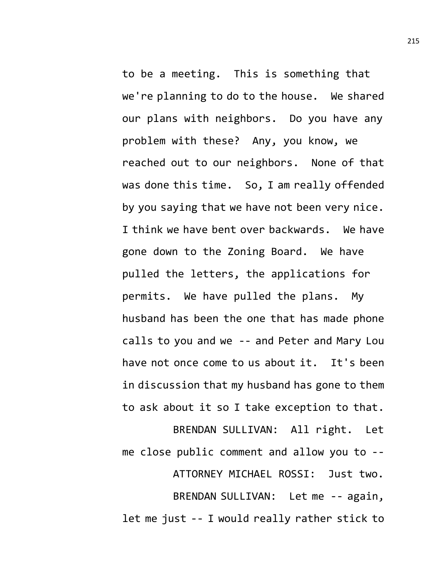to be a meeting. This is something that we're planning to do to the house. We shared our plans with neighbors. Do you have any problem with these? Any, you know, we reached out to our neighbors. None of that was done this time. So, I am really offended by you saying that we have not been very nice. I think we have bent over backwards. We have gone down to the Zoning Board. We have pulled the letters, the applications for permits. We have pulled the plans. My husband has been the one that has made phone calls to you and we -- and Peter and Mary Lou have not once come to us about it. It's been in discussion that my husband has gone to them to ask about it so I take exception to that. BRENDAN SULLIVAN: All right. Let

me close public comment and allow you to -- ATTORNEY MICHAEL ROSSI: Just two. BRENDAN SULLIVAN: Let me -- again, let me just -- I would really rather stick to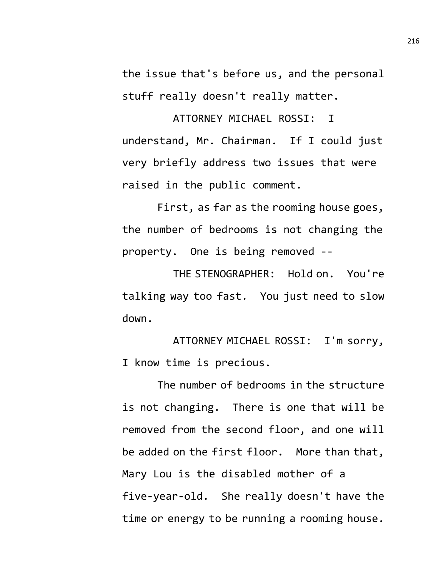the issue that's before us, and the personal stuff really doesn't really matter.

ATTORNEY MICHAEL ROSSI: I understand, Mr. Chairman. If I could just very briefly address two issues that were raised in the public comment.

First, as far as the rooming house goes, the number of bedrooms is not changing the property. One is being removed --

THE STENOGRAPHER: Hold on. You're talking way too fast. You just need to slow down.

ATTORNEY MICHAEL ROSSI: I'm sorry, I know time is precious.

The number of bedrooms in the structure is not changing. There is one that will be removed from the second floor, and one will be added on the first floor. More than that, Mary Lou is the disabled mother of a five-year-old. She really doesn't have the time or energy to be running a rooming house.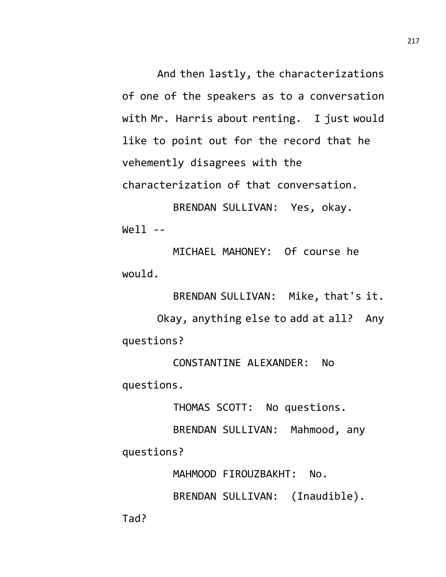And then lastly, the characterizations of one of the speakers as to a conversation with Mr. Harris about renting. I just would like to point out for the record that he vehemently disagrees with the characterization of that conversation.

BRENDAN SULLIVAN: Yes, okay.  $We11 - -$ 

MICHAEL MAHONEY: Of course he would.

BRENDAN SULLIVAN: Mike, that's it. Okay, anything else to add at all? Any questions?

CONSTANTINE ALEXANDER: No questions.

THOMAS SCOTT: No questions.

BRENDAN SULLIVAN: Mahmood, any questions?

MAHMOOD FIROUZBAKHT: No.

BRENDAN SULLIVAN: (Inaudible).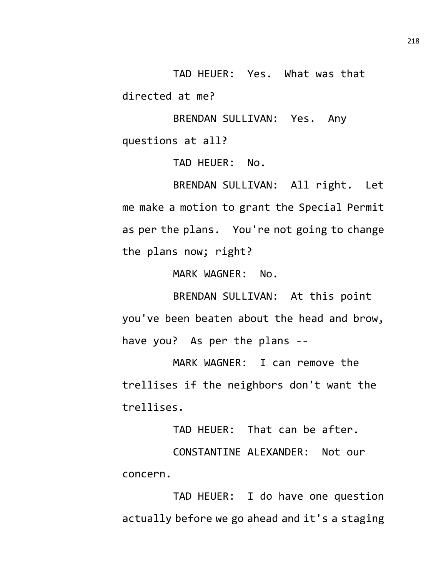TAD HEUER: Yes. What was that directed at me?

BRENDAN SULLIVAN: Yes. Any questions at all?

TAD HEUER: No.

BRENDAN SULLIVAN: All right. Let me make a motion to grant the Special Permit as per the plans. You're not going to change the plans now; right?

MARK WAGNER: No.

BRENDAN SULLIVAN: At this point you've been beaten about the head and brow, have you? As per the plans --

MARK WAGNER: I can remove the trellises if the neighbors don't want the trellises.

TAD HEUER: That can be after.

CONSTANTINE ALEXANDER: Not our concern.

TAD HEUER: I do have one question actually before we go ahead and it's a staging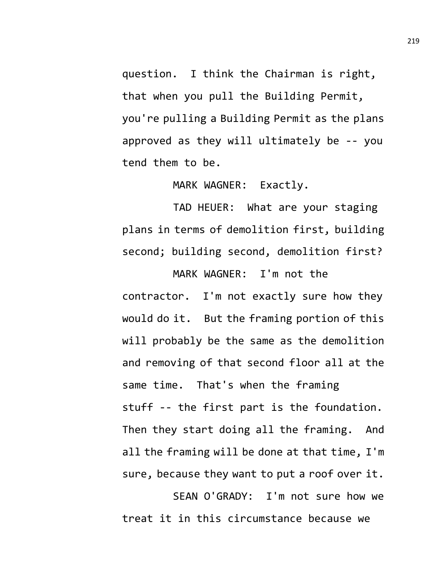question. I think the Chairman is right, that when you pull the Building Permit, you're pulling a Building Permit as the plans approved as they will ultimately be -- you tend them to be.

MARK WAGNER: Exactly.

TAD HEUER: What are your staging plans in terms of demolition first, building second; building second, demolition first?

MARK WAGNER: I'm not the contractor. I'm not exactly sure how they would do it. But the framing portion of this will probably be the same as the demolition and removing of that second floor all at the same time. That's when the framing stuff -- the first part is the foundation. Then they start doing all the framing. And all the framing will be done at that time, I'm sure, because they want to put a roof over it.

SEAN O'GRADY: I'm not sure how we treat it in this circumstance because we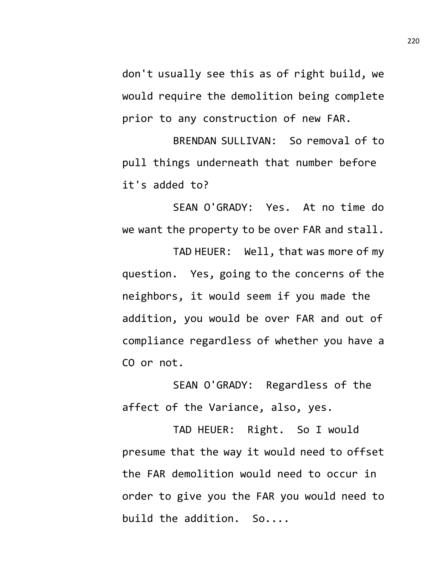don't usually see this as of right build, we would require the demolition being complete prior to any construction of new FAR.

BRENDAN SULLIVAN: So removal of to pull things underneath that number before it's added to?

SEAN O'GRADY: Yes. At no time do we want the property to be over FAR and stall.

TAD HEUER: Well, that was more of my question. Yes, going to the concerns of the neighbors, it would seem if you made the addition, you would be over FAR and out of compliance regardless of whether you have a CO or not.

SEAN O'GRADY: Regardless of the affect of the Variance, also, yes.

TAD HEUER: Right. So I would presume that the way it would need to offset the FAR demolition would need to occur in order to give you the FAR you would need to build the addition. So....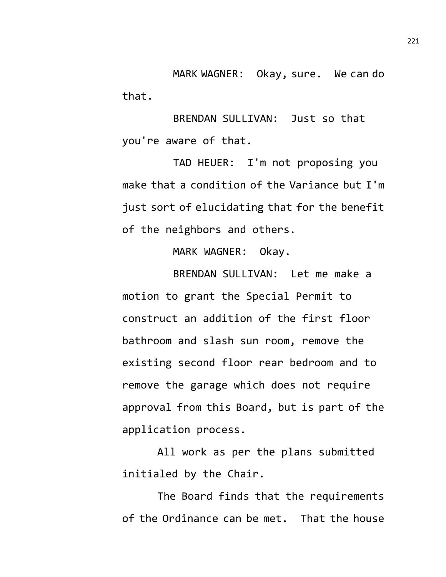MARK WAGNER: Okay, sure. We can do that.

BRENDAN SULLIVAN: Just so that you're aware of that.

TAD HEUER: I'm not proposing you make that a condition of the Variance but I'm just sort of elucidating that for the benefit of the neighbors and others.

MARK WAGNER: Okay.

BRENDAN SULLIVAN: Let me make a motion to grant the Special Permit to construct an addition of the first floor bathroom and slash sun room, remove the existing second floor rear bedroom and to remove the garage which does not require approval from this Board, but is part of the application process.

All work as per the plans submitted initialed by the Chair.

The Board finds that the requirements of the Ordinance can be met. That the house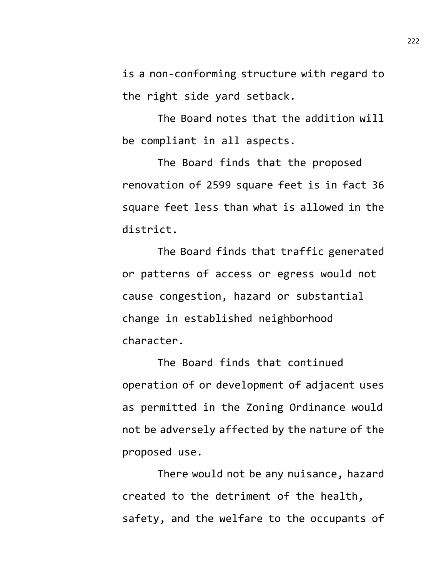is a non-conforming structure with regard to the right side yard setback.

The Board notes that the addition will be compliant in all aspects.

The Board finds that the proposed renovation of 2599 square feet is in fact 36 square feet less than what is allowed in the district.

The Board finds that traffic generated or patterns of access or egress would not cause congestion, hazard or substantial change in established neighborhood character.

The Board finds that continued operation of or development of adjacent uses as permitted in the Zoning Ordinance would not be adversely affected by the nature of the proposed use.

There would not be any nuisance, hazard created to the detriment of the health, safety, and the welfare to the occupants of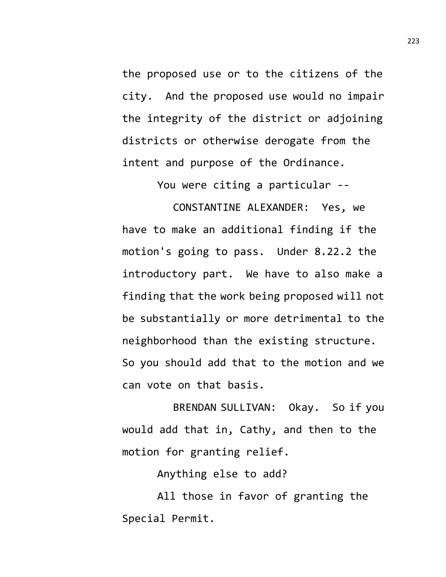the proposed use or to the citizens of the city. And the proposed use would no impair the integrity of the district or adjoining districts or otherwise derogate from the intent and purpose of the Ordinance.

You were citing a particular --

CONSTANTINE ALEXANDER: Yes, we have to make an additional finding if the motion's going to pass. Under 8.22.2 the introductory part. We have to also make a finding that the work being proposed will not be substantially or more detrimental to the neighborhood than the existing structure. So you should add that to the motion and we can vote on that basis.

BRENDAN SULLIVAN: Okay. So if you would add that in, Cathy, and then to the motion for granting relief.

Anything else to add?

All those in favor of granting the Special Permit.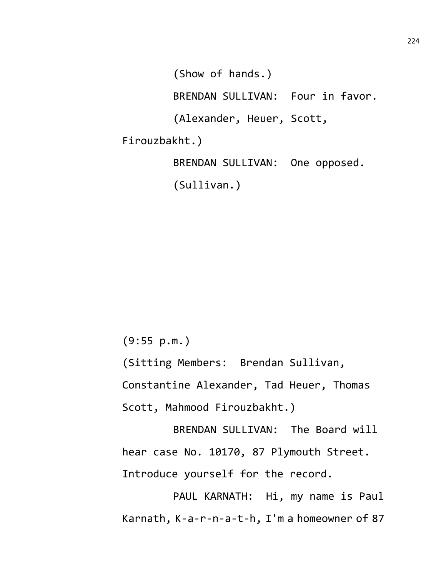(Show of hands.) BRENDAN SULLIVAN: Four in favor. (Alexander, Heuer, Scott, Firouzbakht.) BRENDAN SULLIVAN: One opposed.

(Sullivan.)

(9:55 p.m.)

(Sitting Members: Brendan Sullivan,

Constantine Alexander, Tad Heuer, Thomas

Scott, Mahmood Firouzbakht.)

BRENDAN SULLIVAN: The Board will hear case No. 10170, 87 Plymouth Street. Introduce yourself for the record.

PAUL KARNATH: Hi, my name is Paul Karnath, K-a-r-n-a-t-h, I'm a homeowner of 87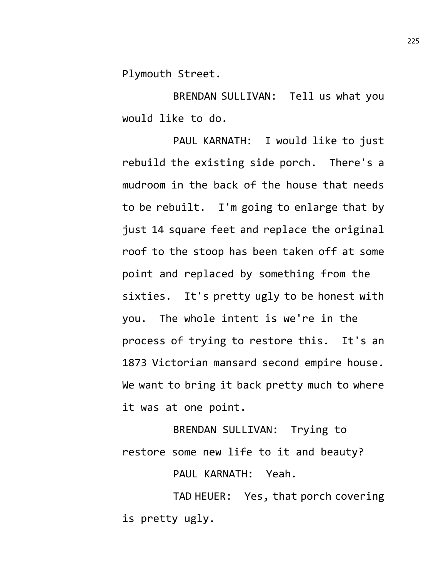Plymouth Street.

BRENDAN SULLIVAN: Tell us what you would like to do.

PAUL KARNATH: I would like to just rebuild the existing side porch. There's a mudroom in the back of the house that needs to be rebuilt. I'm going to enlarge that by just 14 square feet and replace the original roof to the stoop has been taken off at some point and replaced by something from the sixties. It's pretty ugly to be honest with you. The whole intent is we're in the process of trying to restore this. It's an 1873 Victorian mansard second empire house. We want to bring it back pretty much to where it was at one point.

BRENDAN SULLIVAN: Trying to restore some new life to it and beauty?

PAUL KARNATH: Yeah.

TAD HEUER: Yes, that porch covering is pretty ugly.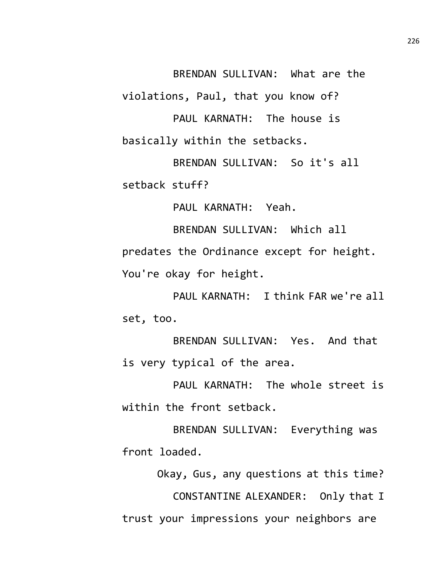BRENDAN SULLIVAN: What are the

violations, Paul, that you know of?

PAUL KARNATH: The house is basically within the setbacks.

BRENDAN SULLIVAN: So it's all setback stuff?

PAUL KARNATH: Yeah.

BRENDAN SULLIVAN: Which all predates the Ordinance except for height. You're okay for height.

PAUL KARNATH: I think FAR we're all set, too.

BRENDAN SULLIVAN: Yes. And that is very typical of the area.

PAUL KARNATH: The whole street is within the front setback.

BRENDAN SULLIVAN: Everything was front loaded.

Okay, Gus, any questions at this time?

CONSTANTINE ALEXANDER: Only that I trust your impressions your neighbors are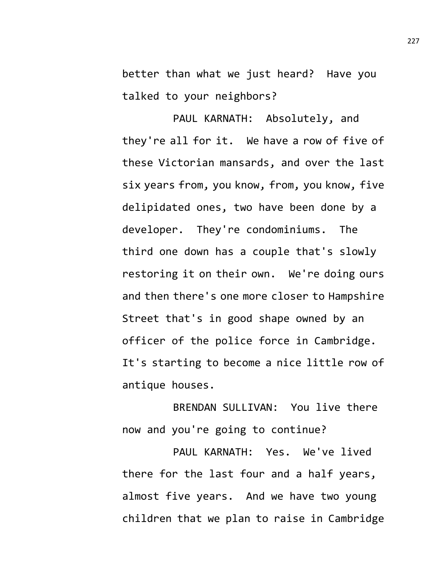better than what we just heard? Have you talked to your neighbors?

PAUL KARNATH: Absolutely, and they're all for it. We have a row of five of these Victorian mansards, and over the last six years from, you know, from, you know, five delipidated ones, two have been done by a developer. They're condominiums. The third one down has a couple that's slowly restoring it on their own. We're doing ours and then there's one more closer to Hampshire Street that's in good shape owned by an officer of the police force in Cambridge. It's starting to become a nice little row of antique houses.

BRENDAN SULLIVAN: You live there now and you're going to continue?

PAUL KARNATH: Yes. We've lived there for the last four and a half years, almost five years. And we have two young children that we plan to raise in Cambridge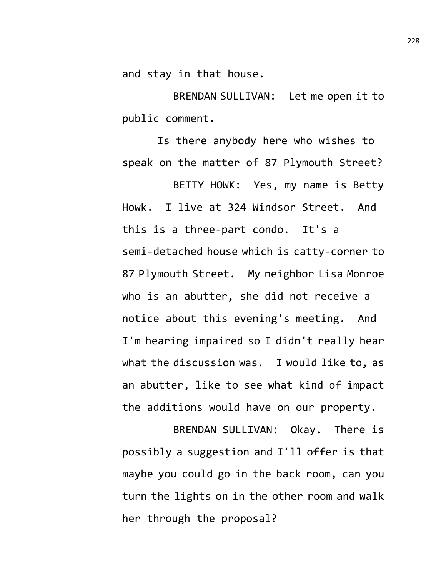and stay in that house.

BRENDAN SULLIVAN: Let me open it to public comment.

Is there anybody here who wishes to speak on the matter of 87 Plymouth Street?

BETTY HOWK: Yes, my name is Betty Howk. I live at 324 Windsor Street. And this is a three-part condo. It's a semi-detached house which is catty-corner to 87 Plymouth Street. My neighbor Lisa Monroe who is an abutter, she did not receive a notice about this evening's meeting. And I'm hearing impaired so I didn't really hear what the discussion was. I would like to, as an abutter, like to see what kind of impact the additions would have on our property.

BRENDAN SULLIVAN: Okay. There is possibly a suggestion and I'll offer is that maybe you could go in the back room, can you turn the lights on in the other room and walk her through the proposal?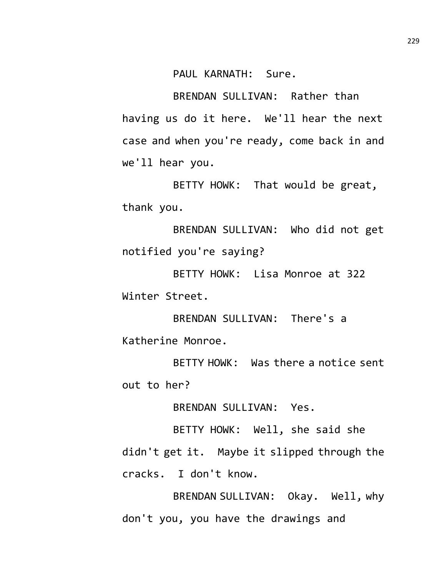PAUL KARNATH: Sure.

BRENDAN SULLIVAN: Rather than having us do it here. We'll hear the next case and when you're ready, come back in and we'll hear you.

BETTY HOWK: That would be great, thank you.

BRENDAN SULLIVAN: Who did not get notified you're saying?

BETTY HOWK: Lisa Monroe at 322 Winter Street.

BRENDAN SULLIVAN: There's a Katherine Monroe.

BETTY HOWK: Was there a notice sent out to her?

BRENDAN SULLIVAN: Yes.

BETTY HOWK: Well, she said she didn't get it. Maybe it slipped through the cracks. I don't know.

BRENDAN SULLIVAN: Okay. Well, why don't you, you have the drawings and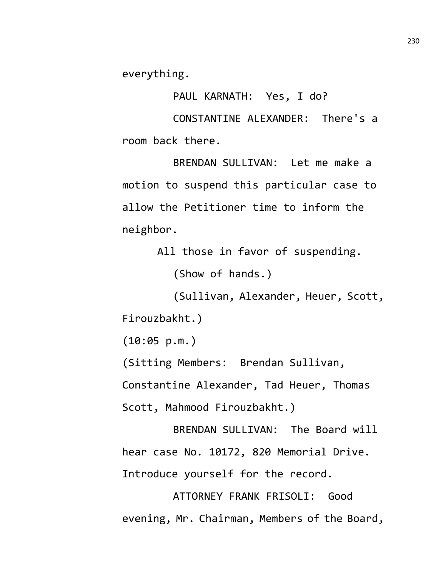everything.

PAUL KARNATH: Yes, I do?

CONSTANTINE ALEXANDER: There's a room back there.

BRENDAN SULLIVAN: Let me make a motion to suspend this particular case to allow the Petitioner time to inform the neighbor.

All those in favor of suspending.

(Show of hands.)

(Sullivan, Alexander, Heuer, Scott, Firouzbakht.)

(10:05 p.m.)

(Sitting Members: Brendan Sullivan,

Constantine Alexander, Tad Heuer, Thomas Scott, Mahmood Firouzbakht.)

BRENDAN SULLIVAN: The Board will hear case No. 10172, 820 Memorial Drive. Introduce yourself for the record.

ATTORNEY FRANK FRISOLI: Good evening, Mr. Chairman, Members of the Board,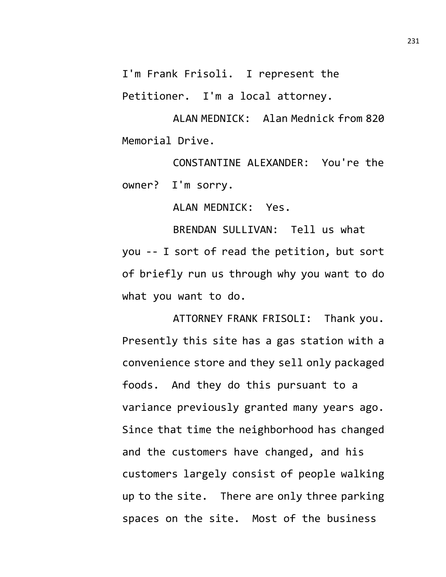I'm Frank Frisoli. I represent the

Petitioner. I'm a local attorney.

ALAN MEDNICK: Alan Mednick from 820 Memorial Drive.

CONSTANTINE ALEXANDER: You're the owner? I'm sorry.

ALAN MEDNICK: Yes.

BRENDAN SULLIVAN: Tell us what you -- I sort of read the petition, but sort of briefly run us through why you want to do what you want to do.

ATTORNEY FRANK FRISOLI: Thank you. Presently this site has a gas station with a convenience store and they sell only packaged foods. And they do this pursuant to a variance previously granted many years ago. Since that time the neighborhood has changed and the customers have changed, and his customers largely consist of people walking up to the site. There are only three parking spaces on the site. Most of the business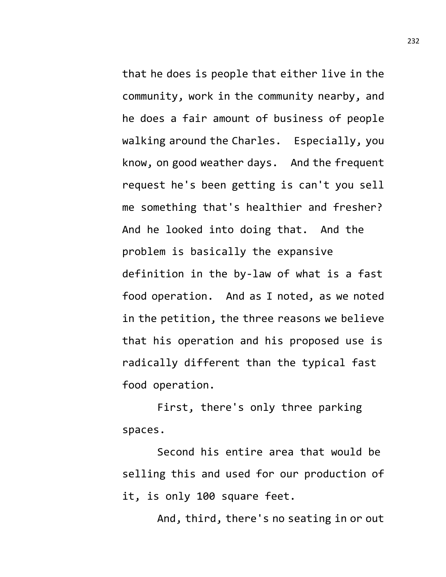that he does is people that either live in the community, work in the community nearby, and he does a fair amount of business of people walking around the Charles. Especially, you know, on good weather days. And the frequent request he's been getting is can't you sell me something that's healthier and fresher? And he looked into doing that. And the problem is basically the expansive definition in the by-law of what is a fast food operation. And as I noted, as we noted in the petition, the three reasons we believe that his operation and his proposed use is radically different than the typical fast food operation.

First, there's only three parking spaces.

Second his entire area that would be selling this and used for our production of it, is only 100 square feet.

And, third, there's no seating in or out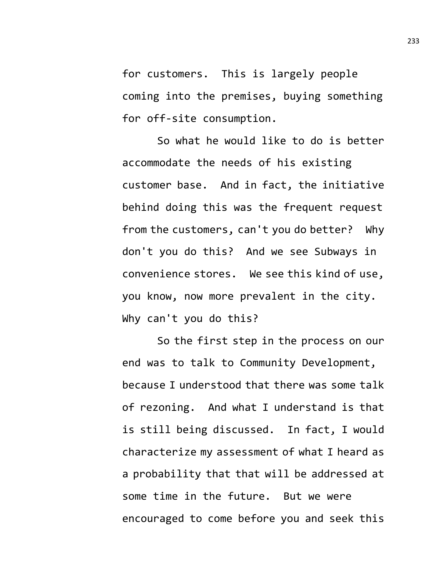for customers. This is largely people coming into the premises, buying something for off-site consumption.

So what he would like to do is better accommodate the needs of his existing customer base. And in fact, the initiative behind doing this was the frequent request from the customers, can't you do better? Why don't you do this? And we see Subways in convenience stores. We see this kind of use, you know, now more prevalent in the city. Why can't you do this?

So the first step in the process on our end was to talk to Community Development, because I understood that there was some talk of rezoning. And what I understand is that is still being discussed. In fact, I would characterize my assessment of what I heard as a probability that that will be addressed at some time in the future. But we were encouraged to come before you and seek this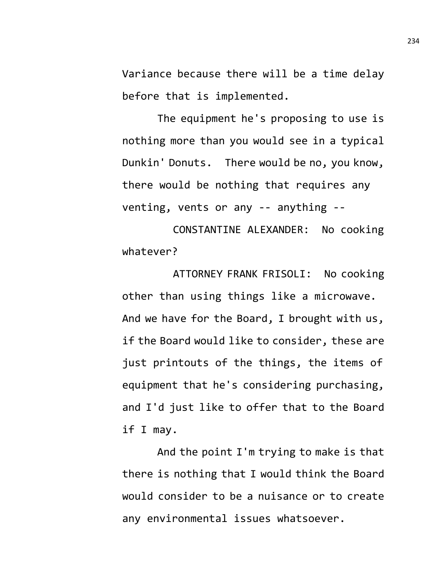Variance because there will be a time delay before that is implemented.

The equipment he's proposing to use is nothing more than you would see in a typical Dunkin' Donuts. There would be no, you know, there would be nothing that requires any venting, vents or any -- anything --

CONSTANTINE ALEXANDER: No cooking whatever?

ATTORNEY FRANK FRISOLI: No cooking other than using things like a microwave. And we have for the Board, I brought with us, if the Board would like to consider, these are just printouts of the things, the items of equipment that he's considering purchasing, and I'd just like to offer that to the Board if I may.

And the point I'm trying to make is that there is nothing that I would think the Board would consider to be a nuisance or to create any environmental issues whatsoever.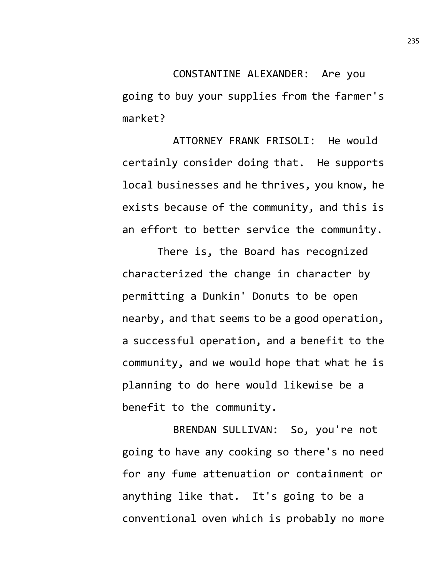CONSTANTINE ALEXANDER: Are you going to buy your supplies from the farmer's market?

ATTORNEY FRANK FRISOLI: He would certainly consider doing that. He supports local businesses and he thrives, you know, he exists because of the community, and this is an effort to better service the community.

There is, the Board has recognized characterized the change in character by permitting a Dunkin' Donuts to be open nearby, and that seems to be a good operation, a successful operation, and a benefit to the community, and we would hope that what he is planning to do here would likewise be a benefit to the community.

BRENDAN SULLIVAN: So, you're not going to have any cooking so there's no need for any fume attenuation or containment or anything like that. It's going to be a conventional oven which is probably no more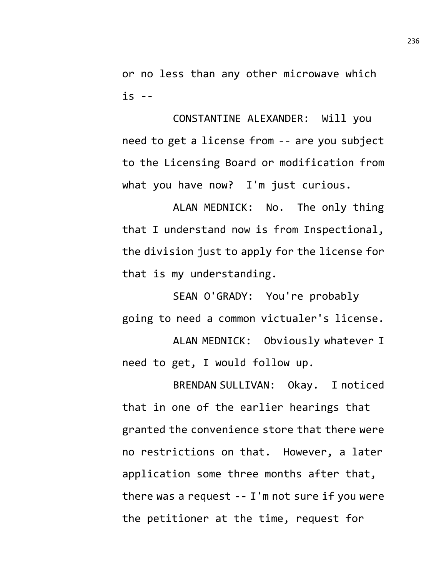or no less than any other microwave which is --

CONSTANTINE ALEXANDER: Will you need to get a license from -- are you subject to the Licensing Board or modification from what you have now? I'm just curious.

ALAN MEDNICK: No. The only thing that I understand now is from Inspectional, the division just to apply for the license for that is my understanding.

SEAN O'GRADY: You're probably going to need a common victualer's license.

ALAN MEDNICK: Obviously whatever I need to get, I would follow up.

BRENDAN SULLIVAN: Okay. I noticed that in one of the earlier hearings that granted the convenience store that there were no restrictions on that. However, a later application some three months after that, there was a request -- I'm not sure if you were the petitioner at the time, request for

236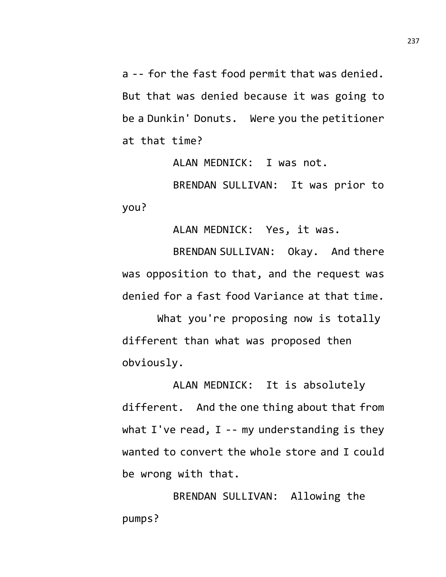a -- for the fast food permit that was denied. But that was denied because it was going to be a Dunkin' Donuts. Were you the petitioner at that time?

ALAN MEDNICK: I was not.

BRENDAN SULLIVAN: It was prior to you?

ALAN MEDNICK: Yes, it was.

BRENDAN SULLIVAN: Okay. And there was opposition to that, and the request was denied for a fast food Variance at that time.

What you're proposing now is totally different than what was proposed then obviously.

ALAN MEDNICK: It is absolutely different. And the one thing about that from what I've read,  $I$  -- my understanding is they wanted to convert the whole store and I could be wrong with that.

BRENDAN SULLIVAN: Allowing the pumps?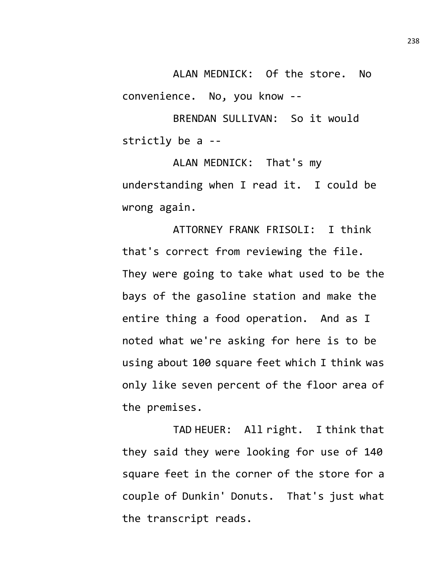ALAN MEDNICK: Of the store. No convenience. No, you know --

BRENDAN SULLIVAN: So it would strictly be a --

ALAN MEDNICK: That's my understanding when I read it. I could be wrong again.

ATTORNEY FRANK FRISOLI: I think that's correct from reviewing the file. They were going to take what used to be the bays of the gasoline station and make the entire thing a food operation. And as I noted what we're asking for here is to be using about 100 square feet which I think was only like seven percent of the floor area of the premises.

TAD HEUER: All right. I think that they said they were looking for use of 140 square feet in the corner of the store for a couple of Dunkin' Donuts. That's just what the transcript reads.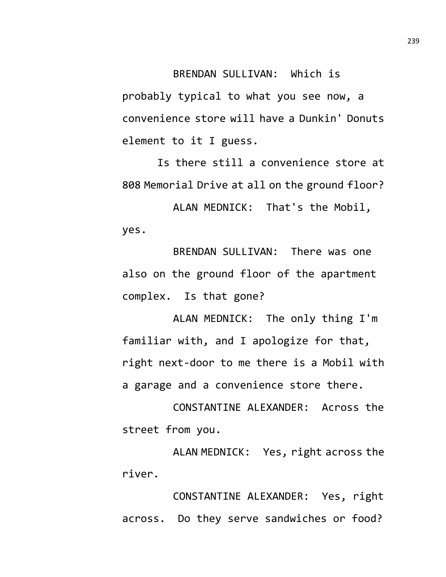## BRENDAN SULLIVAN: Which is

probably typical to what you see now, a convenience store will have a Dunkin' Donuts element to it I guess.

Is there still a convenience store at 808 Memorial Drive at all on the ground floor?

ALAN MEDNICK: That's the Mobil, yes.

BRENDAN SULLIVAN: There was one also on the ground floor of the apartment complex. Is that gone?

ALAN MEDNICK: The only thing I'm familiar with, and I apologize for that, right next-door to me there is a Mobil with a garage and a convenience store there.

CONSTANTINE ALEXANDER: Across the street from you.

ALAN MEDNICK: Yes, right across the river.

CONSTANTINE ALEXANDER: Yes, right across. Do they serve sandwiches or food?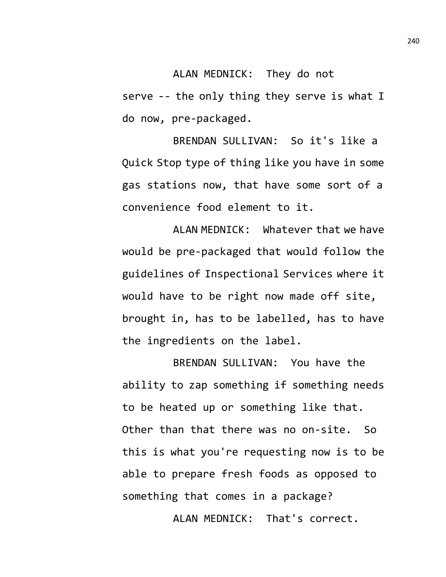ALAN MEDNICK: They do not serve -- the only thing they serve is what I do now, pre-packaged.

BRENDAN SULLIVAN: So it's like a Quick Stop type of thing like you have in some gas stations now, that have some sort of a convenience food element to it.

ALAN MEDNICK: Whatever that we have would be pre-packaged that would follow the guidelines of Inspectional Services where it would have to be right now made off site, brought in, has to be labelled, has to have the ingredients on the label.

BRENDAN SULLIVAN: You have the ability to zap something if something needs to be heated up or something like that. Other than that there was no on-site. So this is what you're requesting now is to be able to prepare fresh foods as opposed to something that comes in a package?

ALAN MEDNICK: That's correct.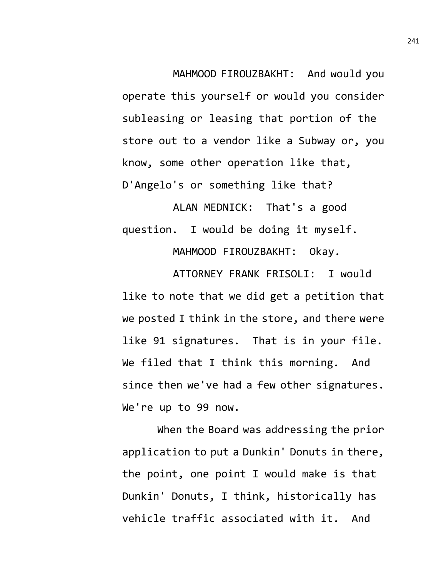MAHMOOD FIROUZBAKHT: And would you operate this yourself or would you consider subleasing or leasing that portion of the store out to a vendor like a Subway or, you know, some other operation like that, D'Angelo's or something like that?

ALAN MEDNICK: That's a good question. I would be doing it myself.

MAHMOOD FIROUZBAKHT: Okay.

ATTORNEY FRANK FRISOLI: I would like to note that we did get a petition that we posted I think in the store, and there were like 91 signatures. That is in your file. We filed that I think this morning. And since then we've had a few other signatures. We're up to 99 now.

When the Board was addressing the prior application to put a Dunkin' Donuts in there, the point, one point I would make is that Dunkin' Donuts, I think, historically has vehicle traffic associated with it. And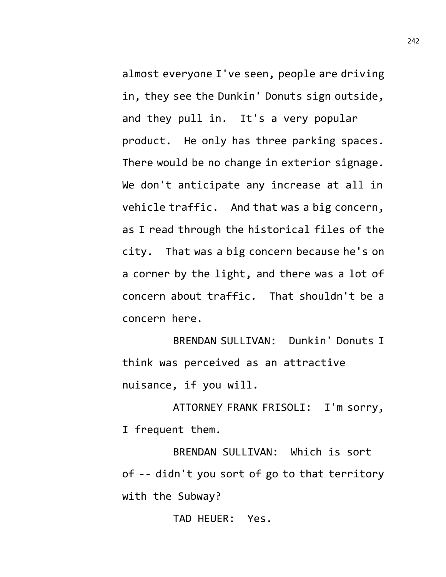almost everyone I've seen, people are driving in, they see the Dunkin' Donuts sign outside, and they pull in. It's a very popular product. He only has three parking spaces. There would be no change in exterior signage. We don't anticipate any increase at all in vehicle traffic. And that was a big concern, as I read through the historical files of the city. That was a big concern because he's on a corner by the light, and there was a lot of concern about traffic. That shouldn't be a concern here.

BRENDAN SULLIVAN: Dunkin' Donuts I think was perceived as an attractive nuisance, if you will.

ATTORNEY FRANK FRISOLI: I'm sorry, I frequent them.

BRENDAN SULLIVAN: Which is sort of -- didn't you sort of go to that territory with the Subway?

TAD HEUER: Yes.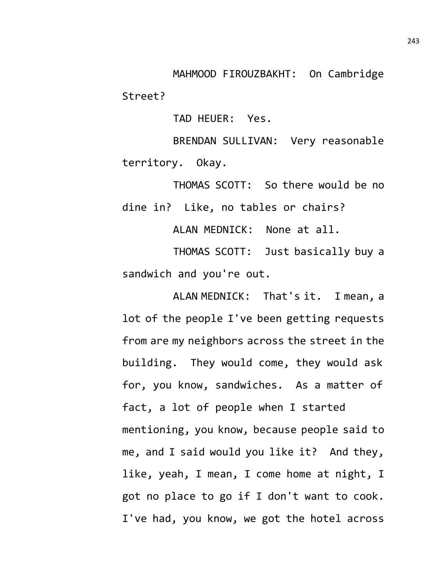MAHMOOD FIROUZBAKHT: On Cambridge Street?

TAD HEUER: Yes.

BRENDAN SULLIVAN: Very reasonable territory. Okay.

THOMAS SCOTT: So there would be no dine in? Like, no tables or chairs?

ALAN MEDNICK: None at all.

THOMAS SCOTT: Just basically buy a sandwich and you're out.

ALAN MEDNICK: That's it. I mean, a lot of the people I've been getting requests from are my neighbors across the street in the building. They would come, they would ask for, you know, sandwiches. As a matter of fact, a lot of people when I started mentioning, you know, because people said to me, and I said would you like it? And they, like, yeah, I mean, I come home at night, I got no place to go if I don't want to cook. I've had, you know, we got the hotel across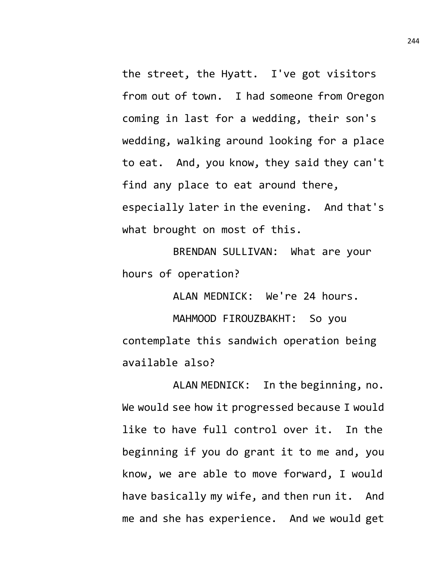the street, the Hyatt. I've got visitors from out of town. I had someone from Oregon coming in last for a wedding, their son's wedding, walking around looking for a place to eat. And, you know, they said they can't find any place to eat around there, especially later in the evening. And that's what brought on most of this.

BRENDAN SULLIVAN: What are your hours of operation?

ALAN MEDNICK: We're 24 hours.

MAHMOOD FIROUZBAKHT: So you contemplate this sandwich operation being available also?

ALAN MEDNICK: In the beginning, no. We would see how it progressed because I would like to have full control over it. In the beginning if you do grant it to me and, you know, we are able to move forward, I would have basically my wife, and then run it. And me and she has experience. And we would get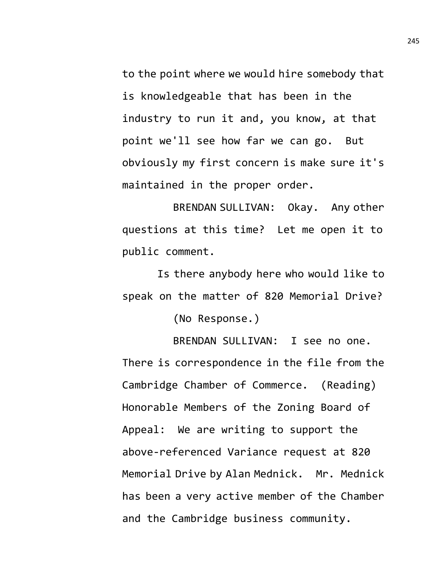to the point where we would hire somebody that is knowledgeable that has been in the industry to run it and, you know, at that point we'll see how far we can go. But obviously my first concern is make sure it's maintained in the proper order.

BRENDAN SULLIVAN: Okay. Any other questions at this time? Let me open it to public comment.

Is there anybody here who would like to speak on the matter of 820 Memorial Drive?

(No Response.)

BRENDAN SULLIVAN: I see no one. There is correspondence in the file from the Cambridge Chamber of Commerce. (Reading) Honorable Members of the Zoning Board of Appeal: We are writing to support the above-referenced Variance request at 820 Memorial Drive by Alan Mednick. Mr. Mednick has been a very active member of the Chamber and the Cambridge business community.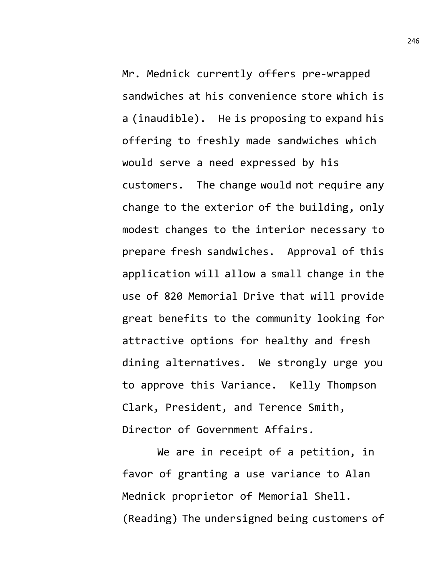Mr. Mednick currently offers pre-wrapped sandwiches at his convenience store which is a (inaudible). He is proposing to expand his offering to freshly made sandwiches which would serve a need expressed by his customers. The change would not require any change to the exterior of the building, only modest changes to the interior necessary to prepare fresh sandwiches. Approval of this application will allow a small change in the use of 820 Memorial Drive that will provide great benefits to the community looking for attractive options for healthy and fresh dining alternatives. We strongly urge you to approve this Variance. Kelly Thompson Clark, President, and Terence Smith, Director of Government Affairs.

We are in receipt of a petition, in favor of granting a use variance to Alan Mednick proprietor of Memorial Shell. (Reading) The undersigned being customers of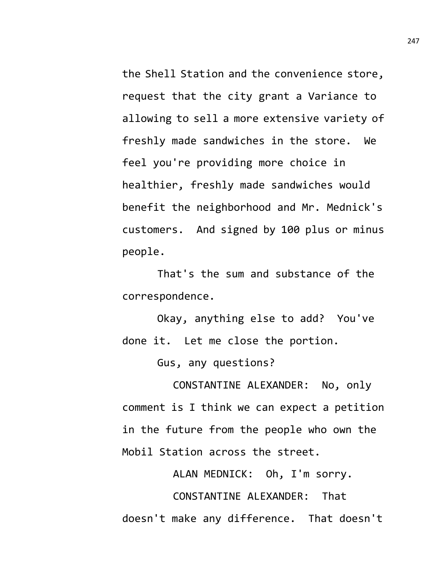the Shell Station and the convenience store, request that the city grant a Variance to allowing to sell a more extensive variety of freshly made sandwiches in the store. We feel you're providing more choice in healthier, freshly made sandwiches would benefit the neighborhood and Mr. Mednick's customers. And signed by 100 plus or minus people.

That's the sum and substance of the correspondence.

Okay, anything else to add? You've done it. Let me close the portion.

Gus, any questions?

CONSTANTINE ALEXANDER: No, only comment is I think we can expect a petition in the future from the people who own the Mobil Station across the street.

ALAN MEDNICK: Oh, I'm sorry.

CONSTANTINE ALEXANDER: That doesn't make any difference. That doesn't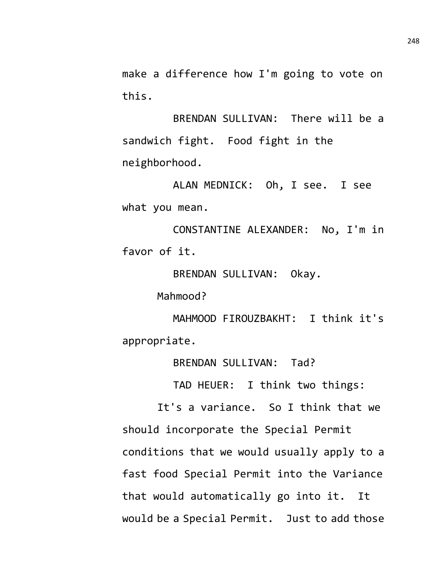make a difference how I'm going to vote on this.

BRENDAN SULLIVAN: There will be a sandwich fight. Food fight in the neighborhood.

ALAN MEDNICK: Oh, I see. I see what you mean.

CONSTANTINE ALEXANDER: No, I'm in favor of it.

BRENDAN SULLIVAN: Okay.

Mahmood?

MAHMOOD FIROUZBAKHT: I think it's appropriate.

BRENDAN SULLIVAN: Tad?

TAD HEUER: I think two things:

It's a variance. So I think that we should incorporate the Special Permit conditions that we would usually apply to a fast food Special Permit into the Variance that would automatically go into it. It would be a Special Permit. Just to add those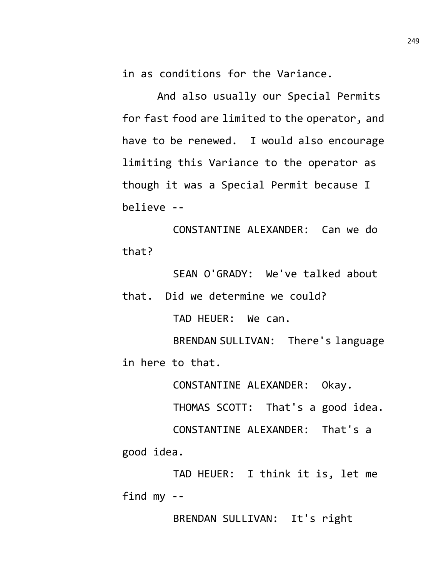in as conditions for the Variance.

And also usually our Special Permits for fast food are limited to the operator, and have to be renewed. I would also encourage limiting this Variance to the operator as though it was a Special Permit because I believe --

CONSTANTINE ALEXANDER: Can we do that?

SEAN O'GRADY: We've talked about

that. Did we determine we could? TAD HEUER: We can. BRENDAN SULLIVAN: There's language

in here to that.

CONSTANTINE ALEXANDER: Okay.

THOMAS SCOTT: That's a good idea.

CONSTANTINE ALEXANDER: That's a good idea.

TAD HEUER: I think it is, let me find my --

BRENDAN SULLIVAN: It's right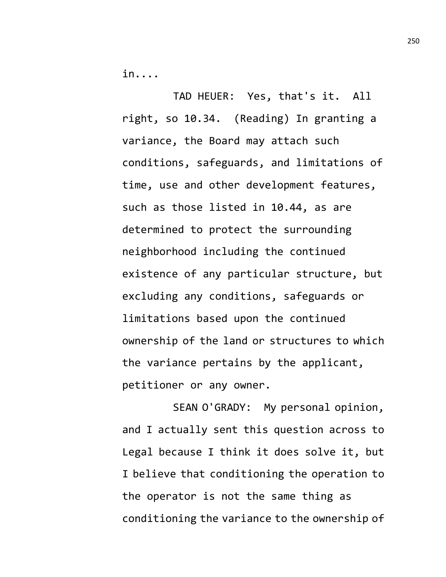in....

TAD HEUER: Yes, that's it. All right, so 10.34. (Reading) In granting a variance, the Board may attach such conditions, safeguards, and limitations of time, use and other development features, such as those listed in 10.44, as are determined to protect the surrounding neighborhood including the continued existence of any particular structure, but excluding any conditions, safeguards or limitations based upon the continued ownership of the land or structures to which the variance pertains by the applicant, petitioner or any owner.

SEAN O'GRADY: My personal opinion, and I actually sent this question across to Legal because I think it does solve it, but I believe that conditioning the operation to the operator is not the same thing as conditioning the variance to the ownership of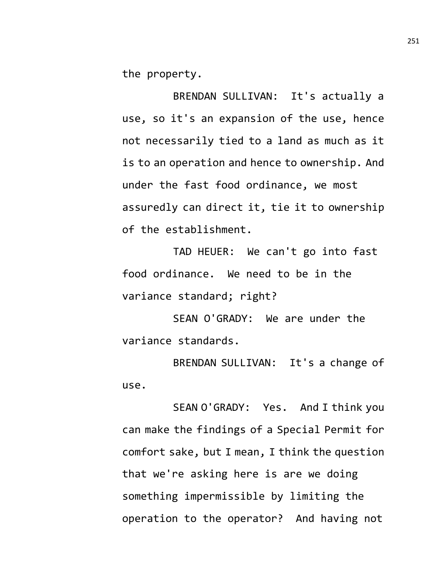the property.

BRENDAN SULLIVAN: It's actually a use, so it's an expansion of the use, hence not necessarily tied to a land as much as it is to an operation and hence to ownership. And under the fast food ordinance, we most assuredly can direct it, tie it to ownership of the establishment.

TAD HEUER: We can't go into fast food ordinance. We need to be in the variance standard; right?

SEAN O'GRADY: We are under the variance standards.

BRENDAN SULLIVAN: It's a change of use.

SEAN O'GRADY: Yes. And I think you can make the findings of a Special Permit for comfort sake, but I mean, I think the question that we're asking here is are we doing something impermissible by limiting the operation to the operator? And having not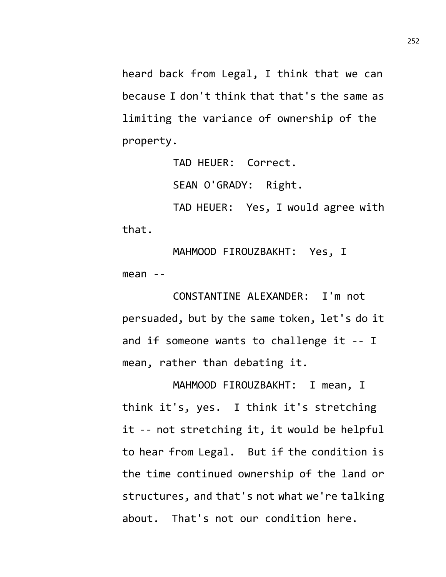heard back from Legal, I think that we can because I don't think that that's the same as limiting the variance of ownership of the property.

TAD HEUER: Correct.

SEAN O'GRADY: Right.

TAD HEUER: Yes, I would agree with that.

MAHMOOD FIROUZBAKHT: Yes, I mean --

CONSTANTINE ALEXANDER: I'm not persuaded, but by the same token, let's do it and if someone wants to challenge it -- I mean, rather than debating it.

MAHMOOD FIROUZBAKHT: I mean, I think it's, yes. I think it's stretching it -- not stretching it, it would be helpful to hear from Legal. But if the condition is the time continued ownership of the land or structures, and that's not what we're talking about. That's not our condition here.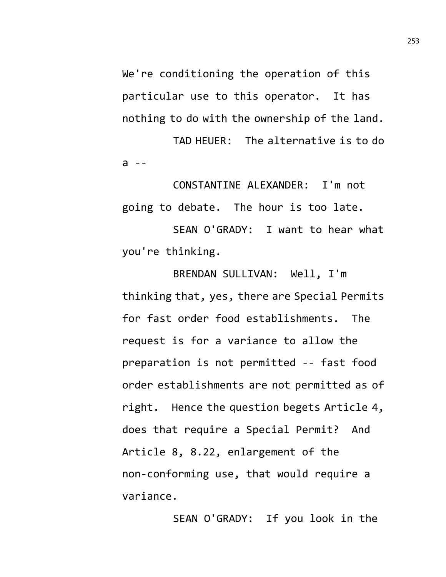We're conditioning the operation of this particular use to this operator. It has nothing to do with the ownership of the land.

TAD HEUER: The alternative is to do a --

CONSTANTINE ALEXANDER: I'm not going to debate. The hour is too late.

SEAN O'GRADY: I want to hear what you're thinking.

BRENDAN SULLIVAN: Well, I'm thinking that, yes, there are Special Permits for fast order food establishments. The request is for a variance to allow the preparation is not permitted -- fast food order establishments are not permitted as of right. Hence the question begets Article 4, does that require a Special Permit? And Article 8, 8.22, enlargement of the non-conforming use, that would require a variance.

SEAN O'GRADY: If you look in the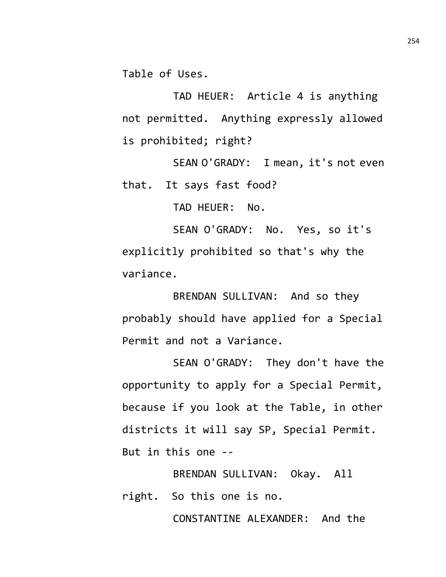Table of Uses.

TAD HEUER: Article 4 is anything not permitted. Anything expressly allowed is prohibited; right?

SEAN O'GRADY: I mean, it's not even that. It says fast food?

TAD HEUER: No.

SEAN O'GRADY: No. Yes, so it's explicitly prohibited so that's why the variance.

BRENDAN SULLIVAN: And so they probably should have applied for a Special Permit and not a Variance.

SEAN O'GRADY: They don't have the opportunity to apply for a Special Permit, because if you look at the Table, in other districts it will say SP, Special Permit. But in this one --

BRENDAN SULLIVAN: Okay. All right. So this one is no.

CONSTANTINE ALEXANDER: And the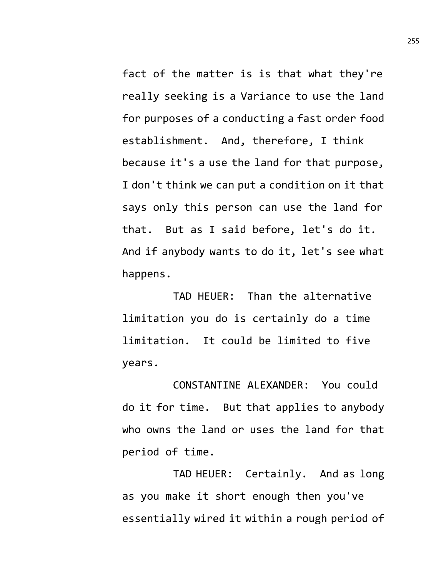fact of the matter is is that what they're really seeking is a Variance to use the land for purposes of a conducting a fast order food establishment. And, therefore, I think because it's a use the land for that purpose, I don't think we can put a condition on it that says only this person can use the land for that. But as I said before, let's do it. And if anybody wants to do it, let's see what happens.

TAD HEUER: Than the alternative limitation you do is certainly do a time limitation. It could be limited to five years.

CONSTANTINE ALEXANDER: You could do it for time. But that applies to anybody who owns the land or uses the land for that period of time.

TAD HEUER: Certainly. And as long as you make it short enough then you've essentially wired it within a rough period of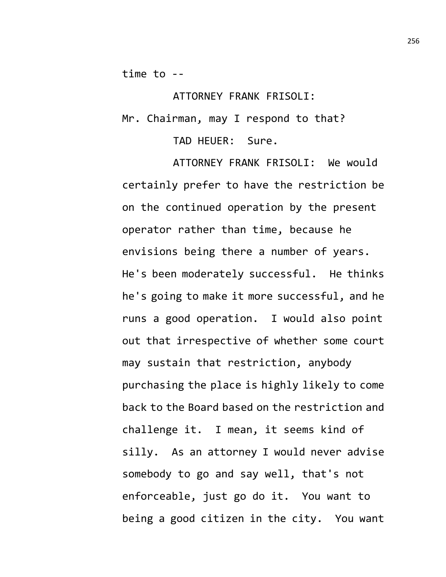time to --

ATTORNEY FRANK FRISOLI: Mr. Chairman, may I respond to that? TAD HEUER: Sure.

ATTORNEY FRANK FRISOLI: We would certainly prefer to have the restriction be on the continued operation by the present operator rather than time, because he envisions being there a number of years. He's been moderately successful. He thinks he's going to make it more successful, and he runs a good operation. I would also point out that irrespective of whether some court may sustain that restriction, anybody purchasing the place is highly likely to come back to the Board based on the restriction and challenge it. I mean, it seems kind of silly. As an attorney I would never advise somebody to go and say well, that's not enforceable, just go do it. You want to being a good citizen in the city. You want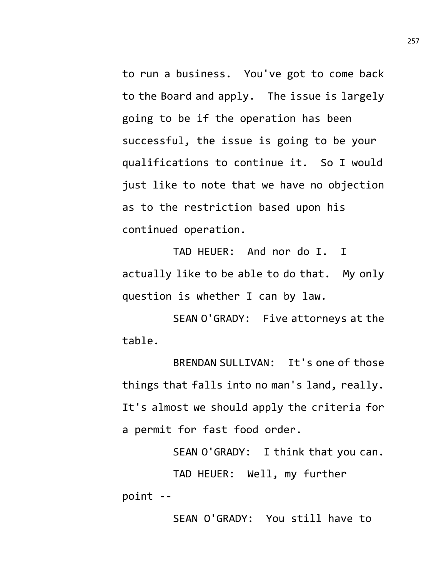to run a business. You've got to come back to the Board and apply. The issue is largely going to be if the operation has been successful, the issue is going to be your qualifications to continue it. So I would just like to note that we have no objection as to the restriction based upon his continued operation.

TAD HEUER: And nor do I. I actually like to be able to do that. My only question is whether I can by law.

SEAN O'GRADY: Five attorneys at the table.

BRENDAN SULLIVAN: It's one of those things that falls into no man's land, really. It's almost we should apply the criteria for a permit for fast food order.

SEAN O'GRADY: I think that you can. TAD HEUER: Well, my further point --

SEAN O'GRADY: You still have to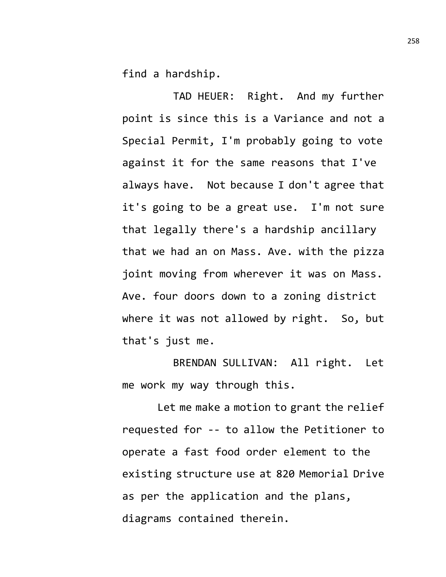find a hardship.

TAD HEUER: Right. And my further point is since this is a Variance and not a Special Permit, I'm probably going to vote against it for the same reasons that I've always have. Not because I don't agree that it's going to be a great use. I'm not sure that legally there's a hardship ancillary that we had an on Mass. Ave. with the pizza joint moving from wherever it was on Mass. Ave. four doors down to a zoning district where it was not allowed by right. So, but that's just me.

BRENDAN SULLIVAN: All right. Let me work my way through this.

Let me make a motion to grant the relief requested for -- to allow the Petitioner to operate a fast food order element to the existing structure use at 820 Memorial Drive as per the application and the plans, diagrams contained therein.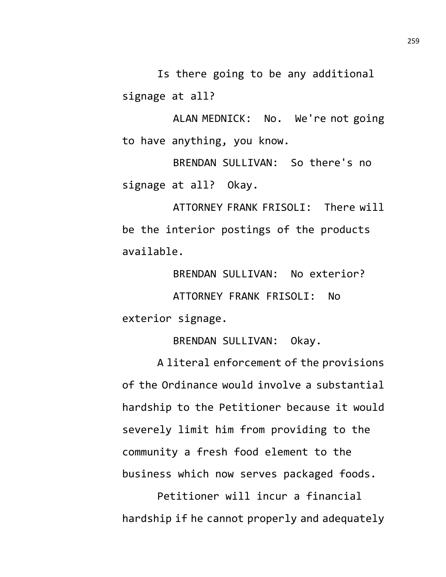Is there going to be any additional signage at all?

ALAN MEDNICK: No. We're not going to have anything, you know.

BRENDAN SULLIVAN: So there's no signage at all? Okay.

ATTORNEY FRANK FRISOLI: There will be the interior postings of the products available.

BRENDAN SULLIVAN: No exterior? ATTORNEY FRANK FRISOLI: No exterior signage.

BRENDAN SULLIVAN: Okay.

A literal enforcement of the provisions of the Ordinance would involve a substantial hardship to the Petitioner because it would severely limit him from providing to the community a fresh food element to the business which now serves packaged foods.

Petitioner will incur a financial hardship if he cannot properly and adequately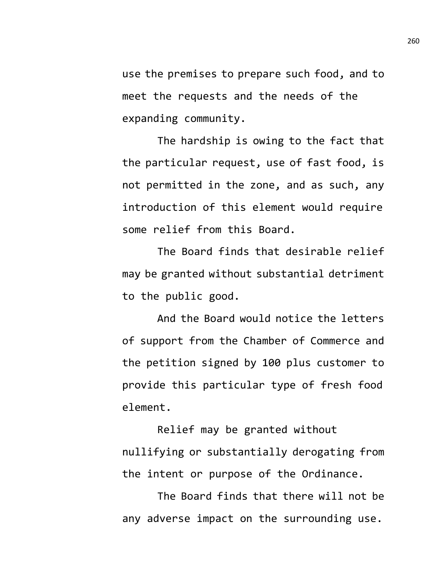use the premises to prepare such food, and to meet the requests and the needs of the expanding community.

The hardship is owing to the fact that the particular request, use of fast food, is not permitted in the zone, and as such, any introduction of this element would require some relief from this Board.

The Board finds that desirable relief may be granted without substantial detriment to the public good.

And the Board would notice the letters of support from the Chamber of Commerce and the petition signed by 100 plus customer to provide this particular type of fresh food element.

Relief may be granted without nullifying or substantially derogating from the intent or purpose of the Ordinance.

The Board finds that there will not be any adverse impact on the surrounding use.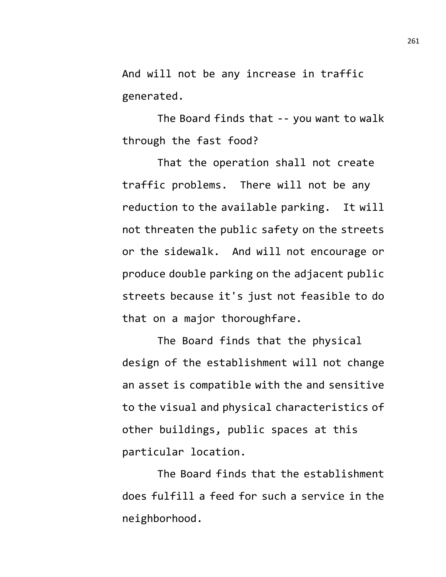And will not be any increase in traffic generated.

The Board finds that -- you want to walk through the fast food?

That the operation shall not create traffic problems. There will not be any reduction to the available parking. It will not threaten the public safety on the streets or the sidewalk. And will not encourage or produce double parking on the adjacent public streets because it's just not feasible to do that on a major thoroughfare.

The Board finds that the physical design of the establishment will not change an asset is compatible with the and sensitive to the visual and physical characteristics of other buildings, public spaces at this particular location.

The Board finds that the establishment does fulfill a feed for such a service in the neighborhood.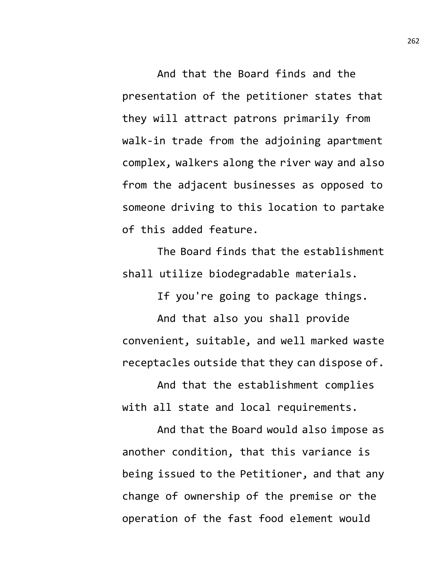And that the Board finds and the presentation of the petitioner states that they will attract patrons primarily from walk-in trade from the adjoining apartment complex, walkers along the river way and also from the adjacent businesses as opposed to someone driving to this location to partake of this added feature.

The Board finds that the establishment shall utilize biodegradable materials.

If you're going to package things.

And that also you shall provide convenient, suitable, and well marked waste receptacles outside that they can dispose of.

And that the establishment complies with all state and local requirements.

And that the Board would also impose as another condition, that this variance is being issued to the Petitioner, and that any change of ownership of the premise or the operation of the fast food element would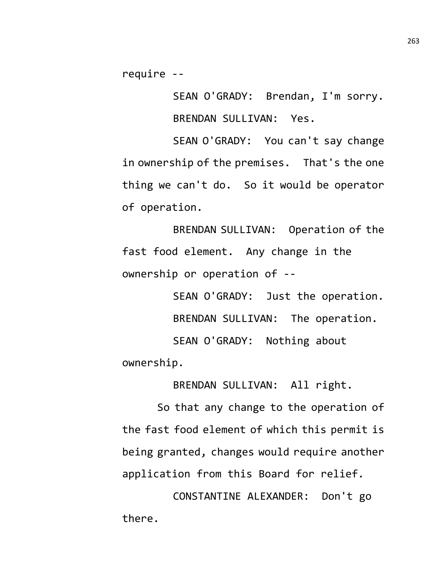require --

SEAN O'GRADY: Brendan, I'm sorry. BRENDAN SULLIVAN: Yes.

SEAN O'GRADY: You can't say change in ownership of the premises. That's the one thing we can't do. So it would be operator of operation.

BRENDAN SULLIVAN: Operation of the fast food element. Any change in the ownership or operation of --

SEAN O'GRADY: Just the operation. BRENDAN SULLIVAN: The operation. SEAN O'GRADY: Nothing about ownership.

BRENDAN SULLIVAN: All right.

So that any change to the operation of the fast food element of which this permit is being granted, changes would require another application from this Board for relief.

CONSTANTINE ALEXANDER: Don't go there.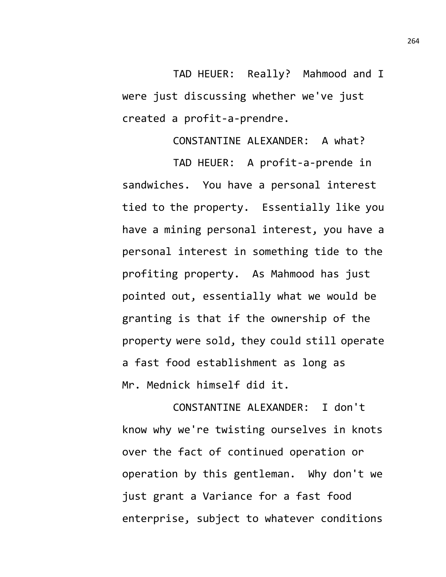TAD HEUER: Really? Mahmood and I were just discussing whether we've just created a profit-a-prendre.

CONSTANTINE ALEXANDER: A what?

TAD HEUER: A profit-a-prende in sandwiches. You have a personal interest tied to the property. Essentially like you have a mining personal interest, you have a personal interest in something tide to the profiting property. As Mahmood has just pointed out, essentially what we would be granting is that if the ownership of the property were sold, they could still operate a fast food establishment as long as Mr. Mednick himself did it.

CONSTANTINE ALEXANDER: I don't know why we're twisting ourselves in knots over the fact of continued operation or operation by this gentleman. Why don't we just grant a Variance for a fast food enterprise, subject to whatever conditions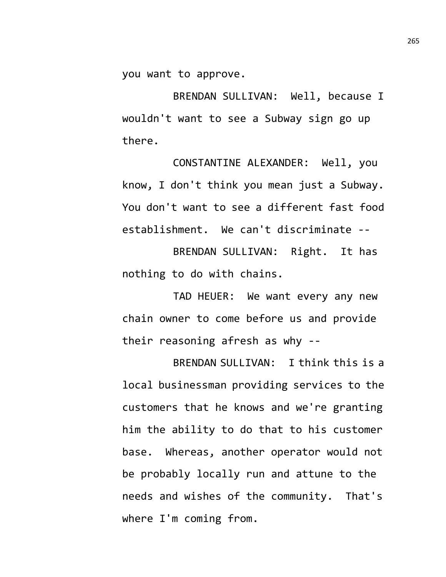you want to approve.

BRENDAN SULLIVAN: Well, because I wouldn't want to see a Subway sign go up there.

CONSTANTINE ALEXANDER: Well, you know, I don't think you mean just a Subway. You don't want to see a different fast food establishment. We can't discriminate --

BRENDAN SULLIVAN: Right. It has nothing to do with chains.

TAD HEUER: We want every any new chain owner to come before us and provide their reasoning afresh as why --

BRENDAN SULLIVAN: I think this is a local businessman providing services to the customers that he knows and we're granting him the ability to do that to his customer base. Whereas, another operator would not be probably locally run and attune to the needs and wishes of the community. That's where I'm coming from.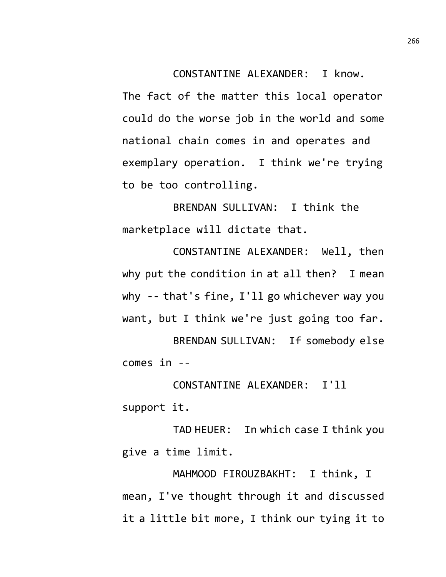CONSTANTINE ALEXANDER: I know.

The fact of the matter this local operator could do the worse job in the world and some national chain comes in and operates and exemplary operation. I think we're trying to be too controlling.

BRENDAN SULLIVAN: I think the marketplace will dictate that.

CONSTANTINE ALEXANDER: Well, then why put the condition in at all then? I mean why -- that's fine, I'll go whichever way you want, but I think we're just going too far. BRENDAN SULLIVAN: If somebody else

comes in --

CONSTANTINE ALEXANDER: I'll support it.

TAD HEUER: In which case I think you give a time limit.

MAHMOOD FIROUZBAKHT: I think, I mean, I've thought through it and discussed it a little bit more, I think our tying it to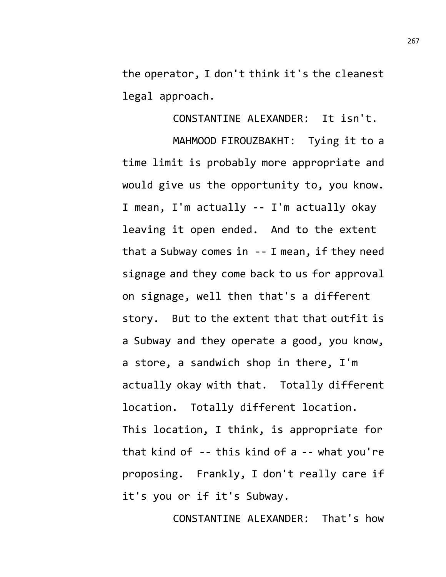the operator, I don't think it's the cleanest legal approach.

CONSTANTINE ALEXANDER: It isn't. MAHMOOD FIROUZBAKHT: Tying it to a time limit is probably more appropriate and would give us the opportunity to, you know. I mean, I'm actually -- I'm actually okay leaving it open ended. And to the extent that a Subway comes in -- I mean, if they need signage and they come back to us for approval on signage, well then that's a different story. But to the extent that that outfit is a Subway and they operate a good, you know, a store, a sandwich shop in there, I'm actually okay with that. Totally different location. Totally different location. This location, I think, is appropriate for that kind of -- this kind of a -- what you're proposing. Frankly, I don't really care if it's you or if it's Subway.

CONSTANTINE ALEXANDER: That's how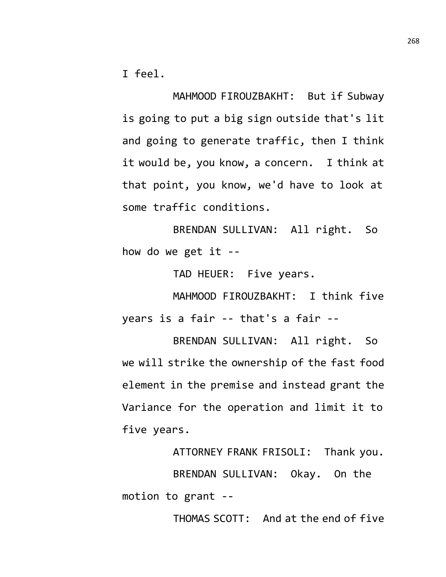I feel.

MAHMOOD FIROUZBAKHT: But if Subway is going to put a big sign outside that's lit and going to generate traffic, then I think it would be, you know, a concern. I think at that point, you know, we'd have to look at some traffic conditions.

BRENDAN SULLIVAN: All right. So how do we get it --

TAD HEUER: Five years.

MAHMOOD FIROUZBAKHT: I think five years is a fair -- that's a fair --

BRENDAN SULLIVAN: All right. So we will strike the ownership of the fast food element in the premise and instead grant the Variance for the operation and limit it to five years.

ATTORNEY FRANK FRISOLI: Thank you. BRENDAN SULLIVAN: Okay. On the motion to grant --

THOMAS SCOTT: And at the end of five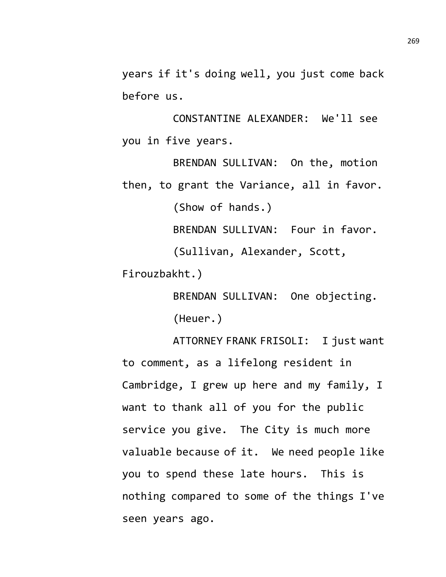years if it's doing well, you just come back before us.

CONSTANTINE ALEXANDER: We'll see you in five years.

BRENDAN SULLIVAN: On the, motion then, to grant the Variance, all in favor. (Show of hands.)

BRENDAN SULLIVAN: Four in favor.

(Sullivan, Alexander, Scott,

Firouzbakht.)

BRENDAN SULLIVAN: One objecting. (Heuer.)

ATTORNEY FRANK FRISOLI: I just want to comment, as a lifelong resident in Cambridge, I grew up here and my family, I want to thank all of you for the public service you give. The City is much more valuable because of it. We need people like you to spend these late hours. This is nothing compared to some of the things I've seen years ago.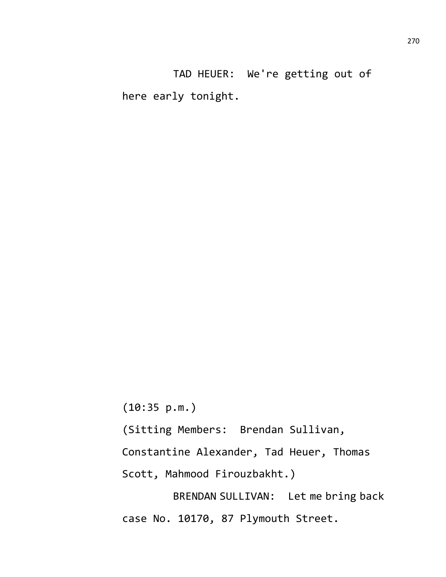TAD HEUER: We're getting out of here early tonight.

(10:35 p.m.)

(Sitting Members: Brendan Sullivan,

Constantine Alexander, Tad Heuer, Thomas

Scott, Mahmood Firouzbakht.)

BRENDAN SULLIVAN: Let me bring back case No. 10170, 87 Plymouth Street.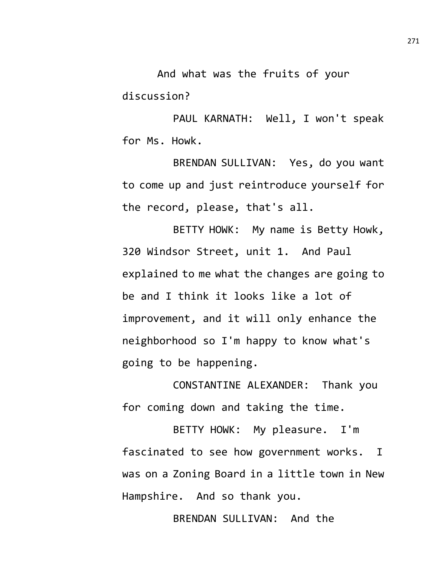And what was the fruits of your discussion?

PAUL KARNATH: Well, I won't speak for Ms. Howk.

BRENDAN SULLIVAN: Yes, do you want to come up and just reintroduce yourself for the record, please, that's all.

BETTY HOWK: My name is Betty Howk, 320 Windsor Street, unit 1. And Paul explained to me what the changes are going to be and I think it looks like a lot of improvement, and it will only enhance the neighborhood so I'm happy to know what's going to be happening.

CONSTANTINE ALEXANDER: Thank you for coming down and taking the time.

BETTY HOWK: My pleasure. I'm fascinated to see how government works. I was on a Zoning Board in a little town in New Hampshire. And so thank you.

BRENDAN SULLIVAN: And the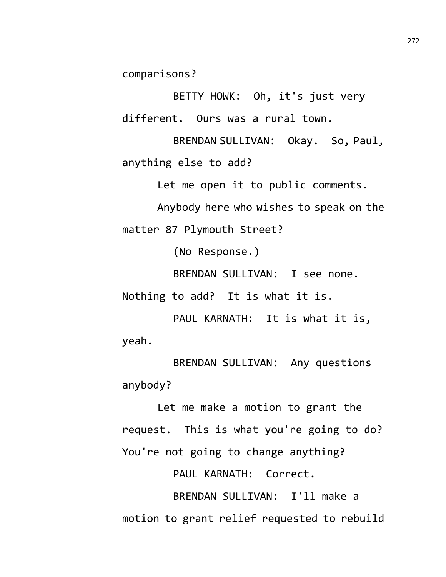comparisons?

BETTY HOWK: Oh, it's just very different. Ours was a rural town.

BRENDAN SULLIVAN: Okay. So, Paul, anything else to add?

Let me open it to public comments.

Anybody here who wishes to speak on the matter 87 Plymouth Street?

(No Response.)

BRENDAN SULLIVAN: I see none.

Nothing to add? It is what it is.

PAUL KARNATH: It is what it is, yeah.

BRENDAN SULLIVAN: Any questions anybody?

Let me make a motion to grant the request. This is what you're going to do? You're not going to change anything?

PAUL KARNATH: Correct.

BRENDAN SULLIVAN: I'll make a motion to grant relief requested to rebuild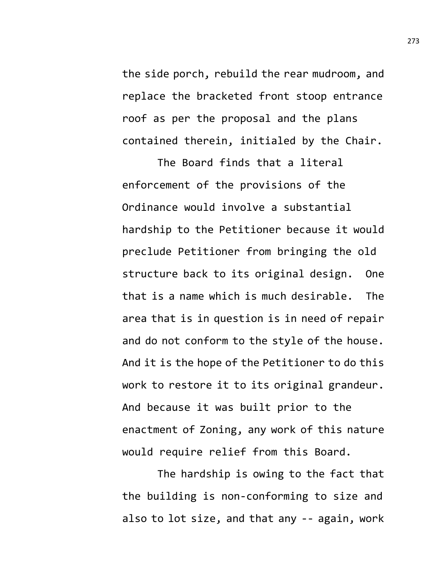the side porch, rebuild the rear mudroom, and replace the bracketed front stoop entrance roof as per the proposal and the plans contained therein, initialed by the Chair.

The Board finds that a literal enforcement of the provisions of the Ordinance would involve a substantial hardship to the Petitioner because it would preclude Petitioner from bringing the old structure back to its original design. One that is a name which is much desirable. The area that is in question is in need of repair and do not conform to the style of the house. And it is the hope of the Petitioner to do this work to restore it to its original grandeur. And because it was built prior to the enactment of Zoning, any work of this nature would require relief from this Board.

The hardship is owing to the fact that the building is non-conforming to size and also to lot size, and that any -- again, work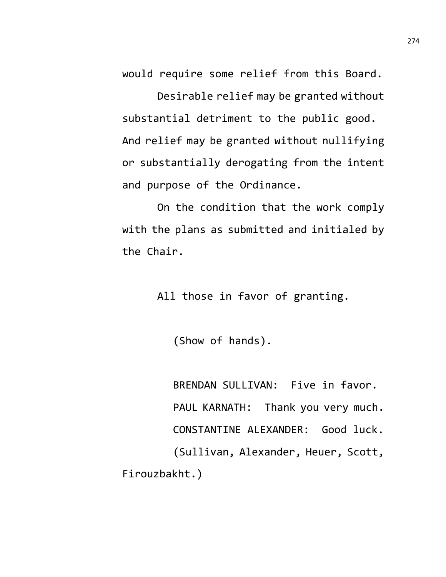would require some relief from this Board.

Desirable relief may be granted without substantial detriment to the public good. And relief may be granted without nullifying or substantially derogating from the intent and purpose of the Ordinance.

On the condition that the work comply with the plans as submitted and initialed by the Chair.

All those in favor of granting.

(Show of hands).

BRENDAN SULLIVAN: Five in favor. PAUL KARNATH: Thank you very much. CONSTANTINE ALEXANDER: Good luck. (Sullivan, Alexander, Heuer, Scott, Firouzbakht.)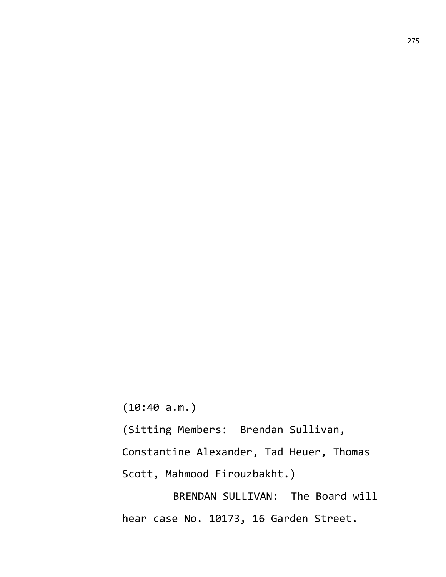(10:40 a.m.)

(Sitting Members: Brendan Sullivan,

Constantine Alexander, Tad Heuer, Thomas

Scott, Mahmood Firouzbakht.)

BRENDAN SULLIVAN: The Board will hear case No. 10173, 16 Garden Street.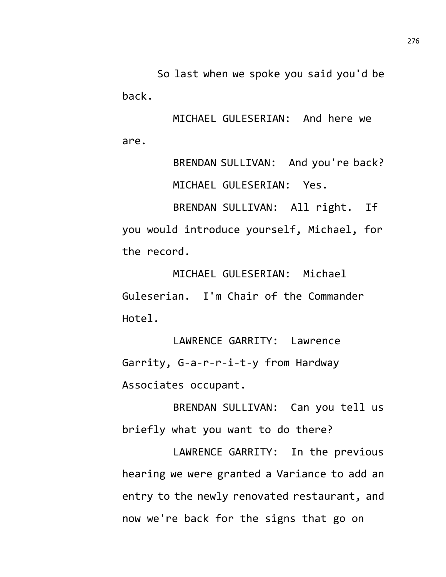So last when we spoke you said you'd be back.

MICHAEL GULESERIAN: And here we are.

> BRENDAN SULLIVAN: And you're back? MICHAEL GULESERIAN: Yes.

BRENDAN SULLIVAN: All right. If you would introduce yourself, Michael, for the record.

MICHAEL GULESERIAN: Michael Guleserian. I'm Chair of the Commander Hotel.

LAWRENCE GARRITY: Lawrence Garrity, G-a-r-r-i-t-y from Hardway Associates occupant.

BRENDAN SULLIVAN: Can you tell us briefly what you want to do there?

LAWRENCE GARRITY: In the previous hearing we were granted a Variance to add an entry to the newly renovated restaurant, and now we're back for the signs that go on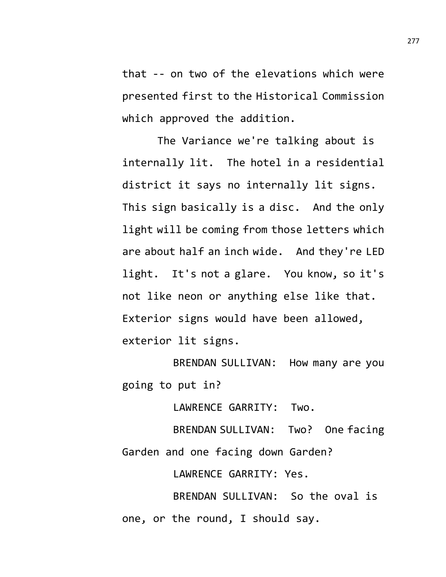that -- on two of the elevations which were presented first to the Historical Commission which approved the addition.

The Variance we're talking about is internally lit. The hotel in a residential district it says no internally lit signs. This sign basically is a disc. And the only light will be coming from those letters which are about half an inch wide. And they're LED light. It's not a glare. You know, so it's not like neon or anything else like that. Exterior signs would have been allowed, exterior lit signs.

BRENDAN SULLIVAN: How many are you going to put in?

LAWRENCE GARRITY: Two.

BRENDAN SULLIVAN: Two? One facing Garden and one facing down Garden?

LAWRENCE GARRITY: Yes.

BRENDAN SULLIVAN: So the oval is one, or the round, I should say.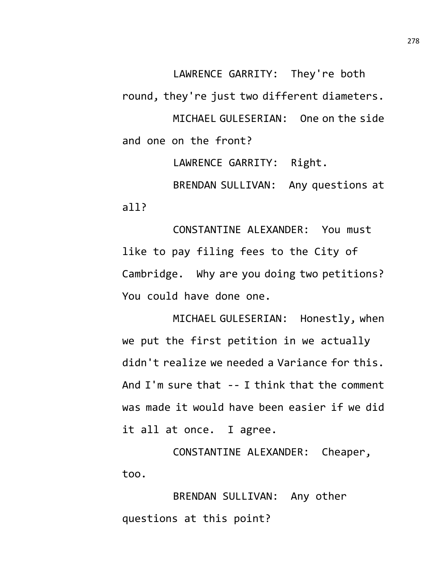LAWRENCE GARRITY: They're both round, they're just two different diameters. MICHAEL GULESERIAN: One on the side and one on the front?

LAWRENCE GARRITY: Right. BRENDAN SULLIVAN: Any questions at all?

CONSTANTINE ALEXANDER: You must like to pay filing fees to the City of Cambridge. Why are you doing two petitions? You could have done one.

MICHAEL GULESERIAN: Honestly, when we put the first petition in we actually didn't realize we needed a Variance for this. And I'm sure that -- I think that the comment was made it would have been easier if we did it all at once. I agree.

CONSTANTINE ALEXANDER: Cheaper, too.

BRENDAN SULLIVAN: Any other questions at this point?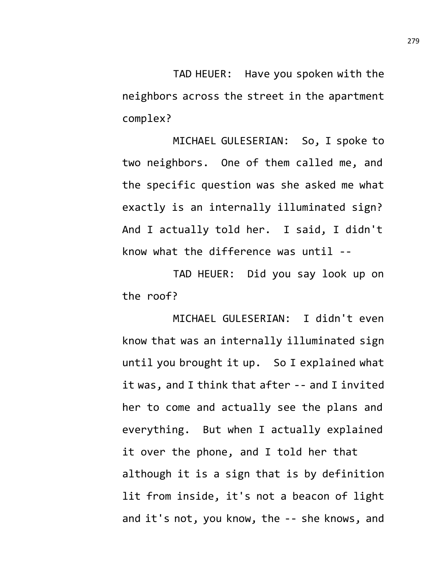TAD HEUER: Have you spoken with the neighbors across the street in the apartment complex?

MICHAEL GULESERIAN: So, I spoke to two neighbors. One of them called me, and the specific question was she asked me what exactly is an internally illuminated sign? And I actually told her. I said, I didn't know what the difference was until --

TAD HEUER: Did you say look up on the roof?

MICHAEL GULESERIAN: I didn't even know that was an internally illuminated sign until you brought it up. So I explained what it was, and I think that after -- and I invited her to come and actually see the plans and everything. But when I actually explained it over the phone, and I told her that although it is a sign that is by definition lit from inside, it's not a beacon of light and it's not, you know, the -- she knows, and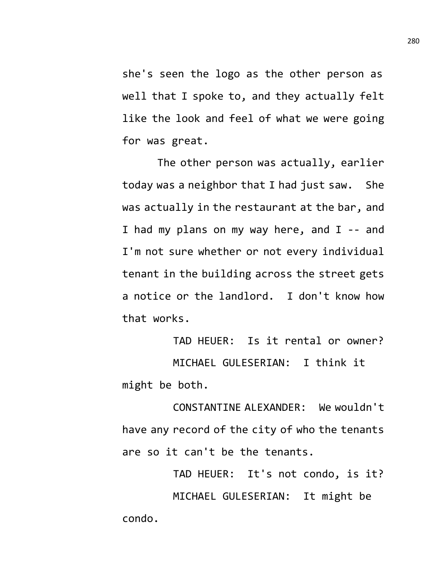she's seen the logo as the other person as well that I spoke to, and they actually felt like the look and feel of what we were going for was great.

The other person was actually, earlier today was a neighbor that I had just saw. She was actually in the restaurant at the bar, and I had my plans on my way here, and I -- and I'm not sure whether or not every individual tenant in the building across the street gets a notice or the landlord. I don't know how that works.

TAD HEUER: Is it rental or owner? MICHAEL GULESERIAN: I think it might be both.

CONSTANTINE ALEXANDER: We wouldn't have any record of the city of who the tenants are so it can't be the tenants.

TAD HEUER: It's not condo, is it? MICHAEL GULESERIAN: It might be condo.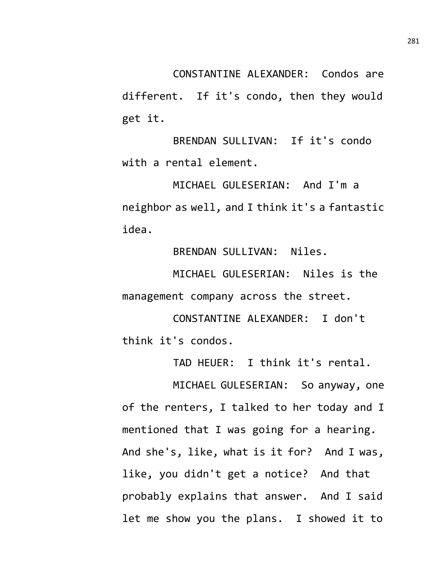CONSTANTINE ALEXANDER: Condos are different. If it's condo, then they would get it.

BRENDAN SULLIVAN: If it's condo with a rental element.

MICHAEL GULESERIAN: And I'm a neighbor as well, and I think it's a fantastic idea.

BRENDAN SULLIVAN: Niles.

MICHAEL GULESERIAN: Niles is the management company across the street.

CONSTANTINE ALEXANDER: I don't think it's condos.

TAD HEUER: I think it's rental.

MICHAEL GULESERIAN: So anyway, one of the renters, I talked to her today and I mentioned that I was going for a hearing. And she's, like, what is it for? And I was, like, you didn't get a notice? And that probably explains that answer. And I said let me show you the plans. I showed it to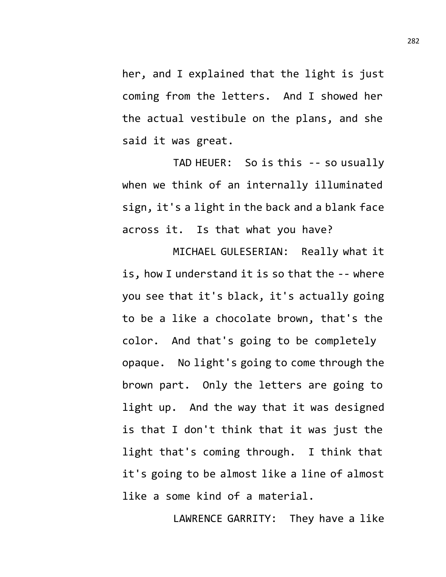her, and I explained that the light is just coming from the letters. And I showed her the actual vestibule on the plans, and she said it was great.

TAD HEUER: So is this -- so usually when we think of an internally illuminated sign, it's a light in the back and a blank face across it. Is that what you have?

MICHAEL GULESERIAN: Really what it is, how I understand it is so that the -- where you see that it's black, it's actually going to be a like a chocolate brown, that's the color. And that's going to be completely opaque. No light's going to come through the brown part. Only the letters are going to light up. And the way that it was designed is that I don't think that it was just the light that's coming through. I think that it's going to be almost like a line of almost like a some kind of a material.

LAWRENCE GARRITY: They have a like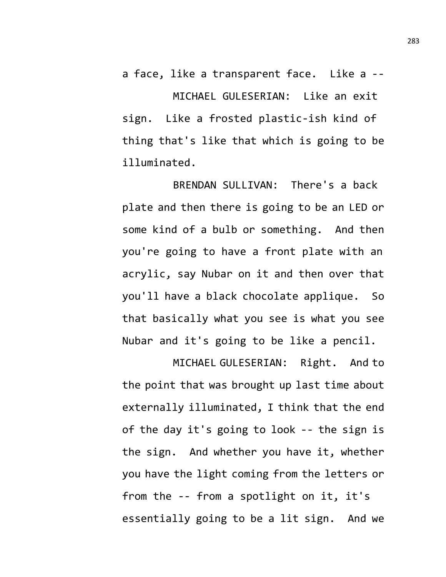a face, like a transparent face. Like a -- MICHAEL GULESERIAN: Like an exit sign. Like a frosted plastic-ish kind of thing that's like that which is going to be illuminated.

BRENDAN SULLIVAN: There's a back plate and then there is going to be an LED or some kind of a bulb or something. And then you're going to have a front plate with an acrylic, say Nubar on it and then over that you'll have a black chocolate applique. So that basically what you see is what you see Nubar and it's going to be like a pencil.

MICHAEL GULESERIAN: Right. And to the point that was brought up last time about externally illuminated, I think that the end of the day it's going to look -- the sign is the sign. And whether you have it, whether you have the light coming from the letters or from the -- from a spotlight on it, it's essentially going to be a lit sign. And we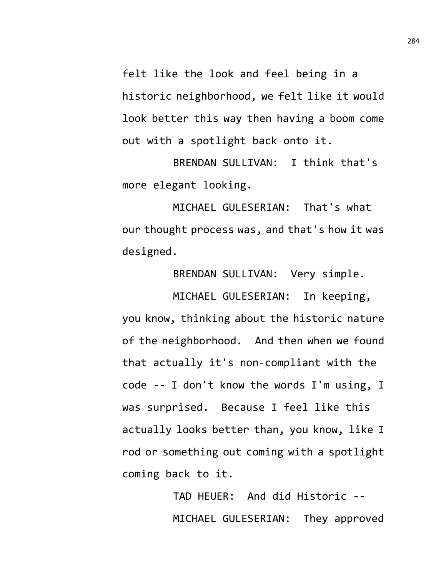felt like the look and feel being in a historic neighborhood, we felt like it would look better this way then having a boom come out with a spotlight back onto it.

BRENDAN SULLIVAN: I think that's more elegant looking.

MICHAEL GULESERIAN: That's what our thought process was, and that's how it was designed.

BRENDAN SULLIVAN: Very simple.

MICHAEL GULESERIAN: In keeping, you know, thinking about the historic nature of the neighborhood. And then when we found that actually it's non-compliant with the code -- I don't know the words I'm using, I was surprised. Because I feel like this actually looks better than, you know, like I rod or something out coming with a spotlight coming back to it.

> TAD HEUER: And did Historic -- MICHAEL GULESERIAN: They approved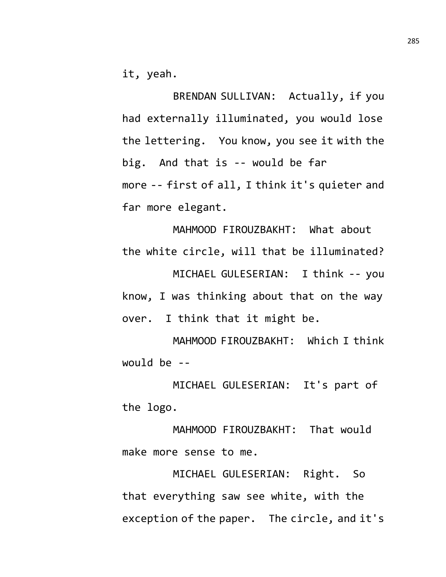it, yeah.

BRENDAN SULLIVAN: Actually, if you had externally illuminated, you would lose the lettering. You know, you see it with the big. And that is -- would be far more -- first of all, I think it's quieter and far more elegant.

MAHMOOD FIROUZBAKHT: What about the white circle, will that be illuminated? MICHAEL GULESERIAN: I think -- you know, I was thinking about that on the way over. I think that it might be.

MAHMOOD FIROUZBAKHT: Which I think would be --

MICHAEL GULESERIAN: It's part of the logo.

MAHMOOD FIROUZBAKHT: That would make more sense to me.

MICHAEL GULESERIAN: Right. So that everything saw see white, with the exception of the paper. The circle, and it's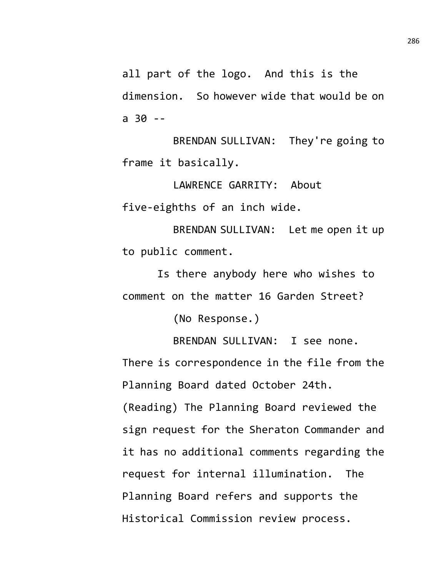all part of the logo. And this is the dimension. So however wide that would be on a 30 --

BRENDAN SULLIVAN: They're going to frame it basically.

LAWRENCE GARRITY: About five-eighths of an inch wide.

BRENDAN SULLIVAN: Let me open it up to public comment.

Is there anybody here who wishes to comment on the matter 16 Garden Street?

(No Response.)

BRENDAN SULLIVAN: I see none.

There is correspondence in the file from the Planning Board dated October 24th.

(Reading) The Planning Board reviewed the sign request for the Sheraton Commander and it has no additional comments regarding the request for internal illumination. The Planning Board refers and supports the Historical Commission review process.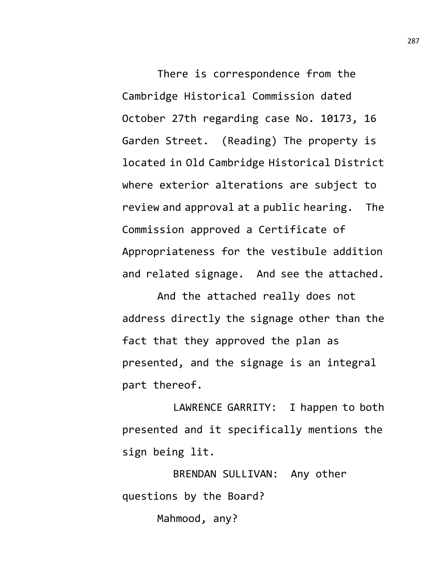There is correspondence from the Cambridge Historical Commission dated October 27th regarding case No. 10173, 16 Garden Street. (Reading) The property is located in Old Cambridge Historical District where exterior alterations are subject to review and approval at a public hearing. The Commission approved a Certificate of Appropriateness for the vestibule addition and related signage. And see the attached.

And the attached really does not address directly the signage other than the fact that they approved the plan as presented, and the signage is an integral part thereof.

LAWRENCE GARRITY: I happen to both presented and it specifically mentions the sign being lit.

BRENDAN SULLIVAN: Any other questions by the Board?

Mahmood, any?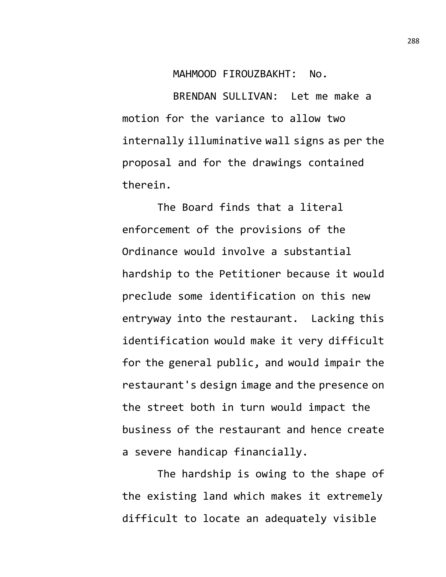MAHMOOD FIROUZBAKHT: No.

BRENDAN SULLIVAN: Let me make a motion for the variance to allow two internally illuminative wall signs as per the proposal and for the drawings contained therein.

The Board finds that a literal enforcement of the provisions of the Ordinance would involve a substantial hardship to the Petitioner because it would preclude some identification on this new entryway into the restaurant. Lacking this identification would make it very difficult for the general public, and would impair the restaurant's design image and the presence on the street both in turn would impact the business of the restaurant and hence create a severe handicap financially.

The hardship is owing to the shape of the existing land which makes it extremely difficult to locate an adequately visible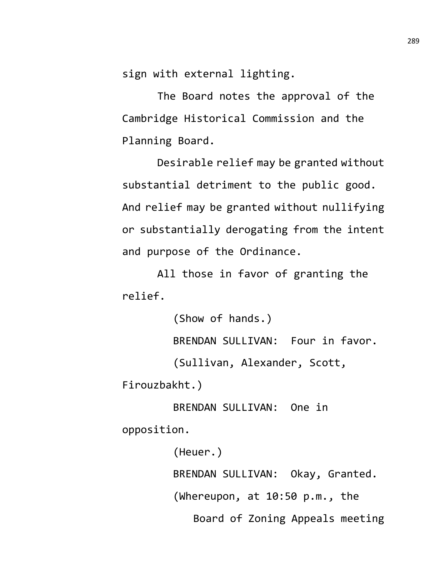sign with external lighting.

The Board notes the approval of the Cambridge Historical Commission and the Planning Board.

Desirable relief may be granted without substantial detriment to the public good. And relief may be granted without nullifying or substantially derogating from the intent and purpose of the Ordinance.

All those in favor of granting the relief.

(Show of hands.) BRENDAN SULLIVAN: Four in favor. (Sullivan, Alexander, Scott, Firouzbakht.)

BRENDAN SULLIVAN: One in opposition.

> (Heuer.) BRENDAN SULLIVAN: Okay, Granted. (Whereupon, at 10:50 p.m., the Board of Zoning Appeals meeting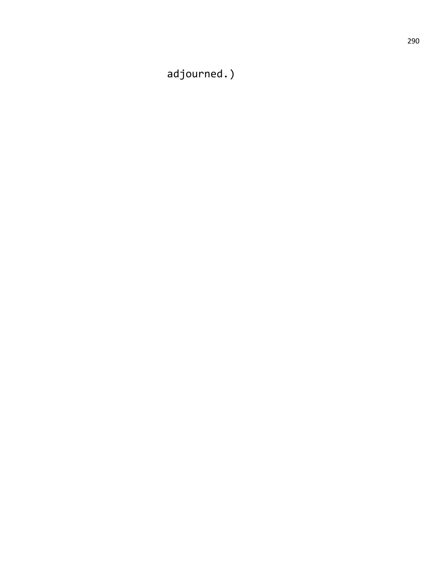adjourned.)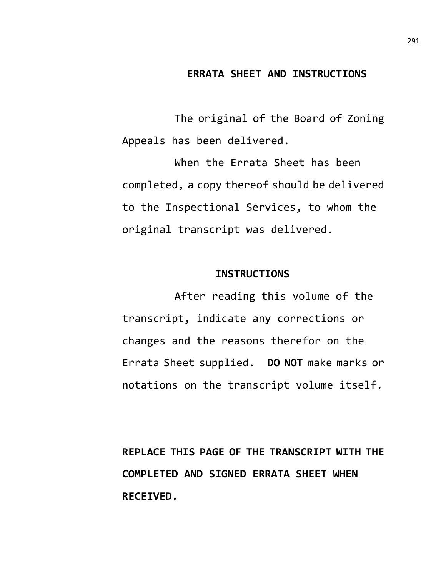#### **ERRATA SHEET AND INSTRUCTIONS**

The original of the Board of Zoning Appeals has been delivered.

When the Errata Sheet has been completed, a copy thereof should be delivered to the Inspectional Services, to whom the original transcript was delivered.

#### **INSTRUCTIONS**

After reading this volume of the transcript, indicate any corrections or changes and the reasons therefor on the Errata Sheet supplied. **DO NOT** make marks or notations on the transcript volume itself.

**REPLACE THIS PAGE OF THE TRANSCRIPT WITH THE COMPLETED AND SIGNED ERRATA SHEET WHEN RECEIVED.**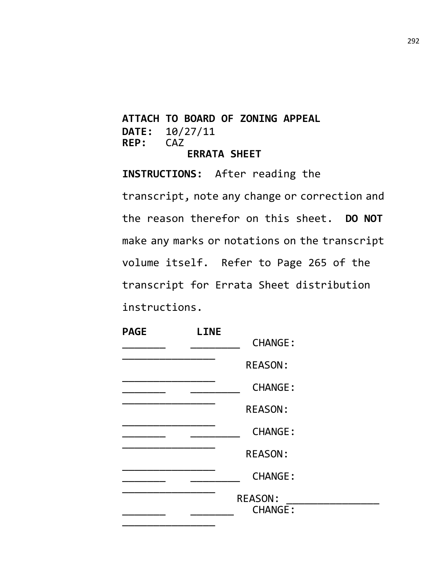# **ATTACH TO BOARD OF ZONING APPEAL DATE:** 10/27/11<br>**REP:** CAZ REP: **ERRATA SHEET**

**INSTRUCTIONS:** After reading the transcript, note any change or correction and the reason therefor on this sheet. **DO NOT** make any marks or notations on the transcript volume itself. Refer to Page 265 of the transcript for Errata Sheet distribution instructions.

| <b>PAGE</b> | <b>LINE</b> |                                  |  |
|-------------|-------------|----------------------------------|--|
|             |             | <b>CHANGE:</b>                   |  |
|             |             | <b>REASON:</b>                   |  |
|             |             | <b>CHANGE:</b>                   |  |
|             |             | <b>REASON:</b>                   |  |
|             |             | <b>CHANGE:</b>                   |  |
|             |             | <b>REASON:</b>                   |  |
|             |             | <b>CHANGE:</b>                   |  |
|             |             | <b>REASON:</b><br><b>CHANGE:</b> |  |
|             |             |                                  |  |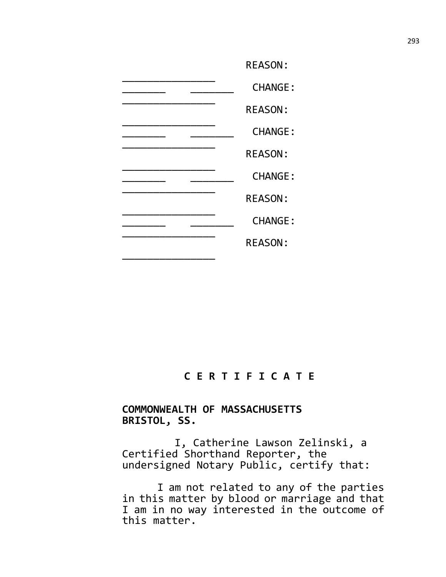| <b>REASON:</b> |
|----------------|
| <b>CHANGE:</b> |
| <b>REASON:</b> |
| <b>CHANGE:</b> |
| <b>REASON:</b> |
| <b>CHANGE:</b> |
| <b>REASON:</b> |
| <b>CHANGE:</b> |
| <b>REASON:</b> |
|                |

# **C E R T I F I C A T E**

## **COMMONWEALTH OF MASSACHUSETTS BRISTOL, SS.**

I, Catherine Lawson Zelinski, a Certified Shorthand Reporter, the undersigned Notary Public, certify that:

I am not related to any of the parties in this matter by blood or marriage and that I am in no way interested in the outcome of this matter.